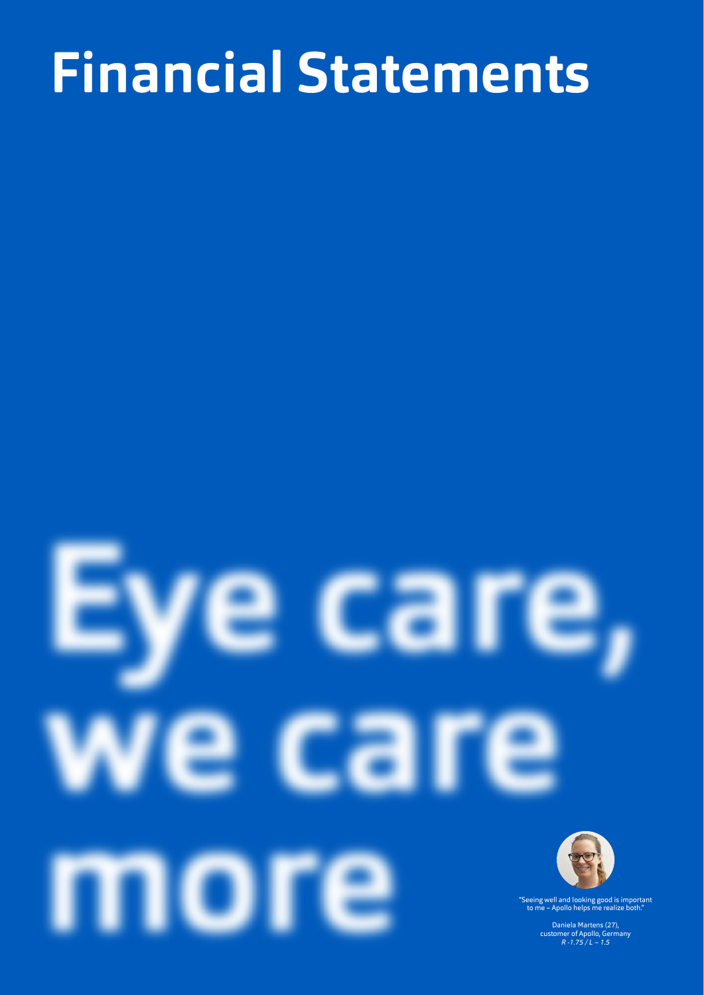# **Financial Statements Financial Statements**

# סו "Seeing well and looking good is important to me – Apollo helps me realize both."

Daniela Martens (27), customer of Apollo, Germany *R -1.75 / L – 1.5*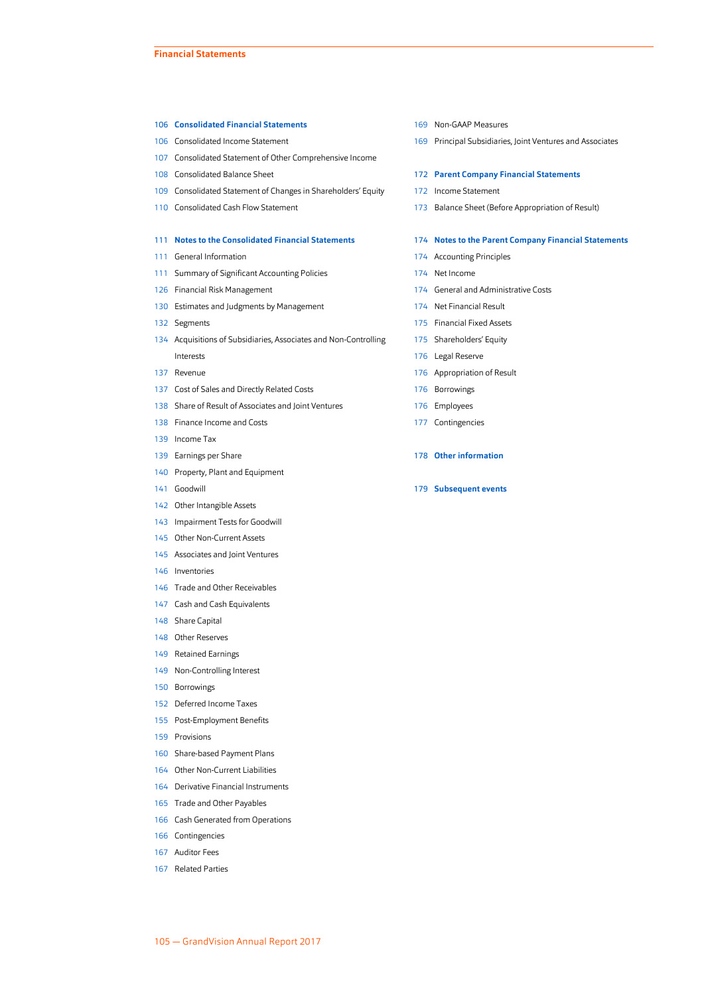#### **[Consolidated Financial Statements](#page-2-0)**

- [Consolidated Income Statement](#page-2-0)
- [Consolidated Statement of Other Comprehensive Income](#page-3-0)
- [Consolidated Balance Sheet](#page-4-0)
- [Consolidated Statement of Changes in Shareholders' Equity](#page-5-0)
- [Consolidated Cash Flow Statement](#page-6-0)

#### **[Notes to the Consolidated Financial Statements](#page-7-0)**

- [General Information](#page-7-0)
- [Summary of Significant Accounting Policies](#page-7-0)
- [Financial Risk Management](#page-22-0)
- [Estimates and Judgments by Management](#page-26-0)
- [Segments](#page-28-0)
- [Acquisitions of Subsidiaries, Associates and Non-Controlling](#page-30-0) [Interests](#page-30-0)
- [Revenue](#page-33-0)
- [Cost of Sales and Directly Related Costs](#page-33-0)
- [Share of Result of Associates and Joint Ventures](#page-34-0)
- [Finance Income and Costs](#page-34-0)
- [Income Tax](#page-35-0)
- [Earnings per Share](#page-35-0)
- [Property, Plant and Equipment](#page-36-0)
- [Goodwill](#page-37-0)
- [Other Intangible Assets](#page-38-0)
- [Impairment Tests for Goodwill](#page-39-0)
- [Other Non-Current Assets](#page-41-0)
- [Associates and Joint Ventures](#page-41-0)
- [Inventories](#page-42-0)
- [Trade and Other Receivables](#page-42-0)
- [Cash and Cash Equivalents](#page-43-0)
- [Share Capital](#page-44-0)
- [Other Reserves](#page-44-0)
- [Retained Earnings](#page-45-0)
- [Non-Controlling Interest](#page-45-0)
- [Borrowings](#page-46-0)
- [Deferred Income Taxes](#page-48-0)
- [Post-Employment Benefits](#page-51-0)
- [Provisions](#page-55-0)
- [Share-based Payment Plans](#page-56-0)
- [Other Non-Current Liabilities](#page-60-0)
- [Derivative Financial Instruments](#page-60-0)
- [Trade and Other Payables](#page-61-0)
- [Cash Generated from Operations](#page-62-0)
- [Contingencies](#page-62-0)
- [Auditor Fees](#page-63-0)
- [Related Parties](#page-63-0)
- [Non-GAAP Measures](#page-65-0)
- [Principal Subsidiaries, Joint Ventures and Associates](#page-65-0)

#### **[Parent Company Financial Statements](#page-68-0)**

- [Income Statement](#page-68-0)
- [Balance Sheet \(Before Appropriation of Result\)](#page-69-0)

#### **[Notes to the Parent Company Financial Statements](#page-70-0)**

- [Accounting Principles](#page-70-0)
- [Net Income](#page-70-0)
- [General and Administrative Costs](#page-70-0)
- [Net Financial Result](#page-70-0)
- [Financial Fixed Assets](#page-71-0)
- [Shareholders' Equity](#page-71-0)
- [Legal Reserve](#page-72-0)
- [Appropriation of Result](#page-72-0)
- [Borrowings](#page-72-0)
- [Employees](#page-72-0)
- [Contingencies](#page-73-0)
- **[Other information](#page-74-0)**
- **[Subsequent events](#page-75-0)**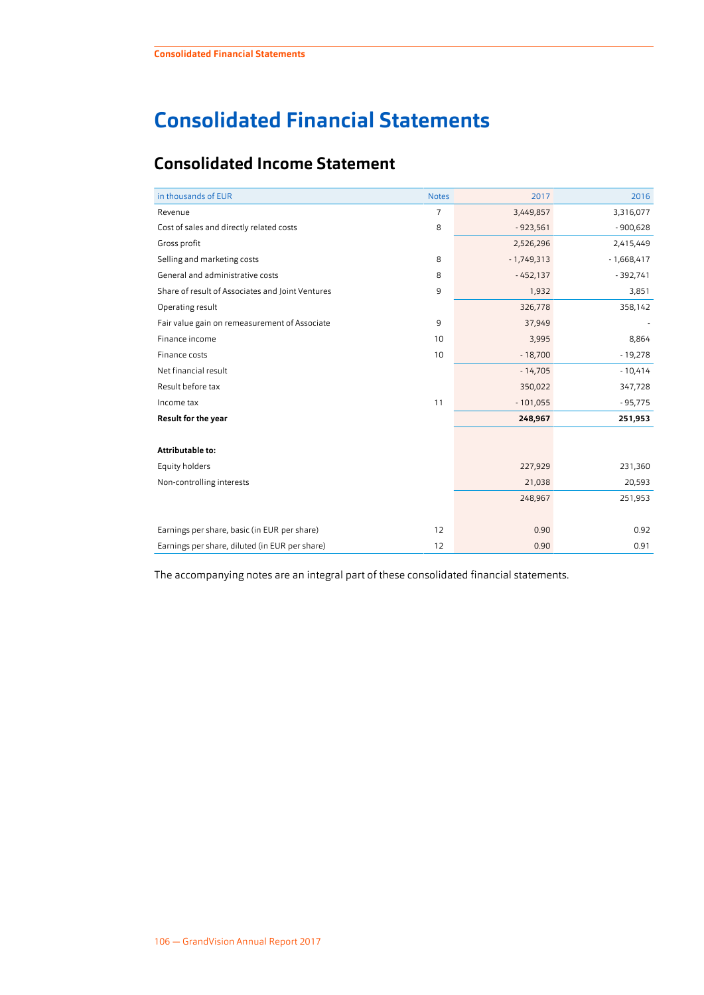# <span id="page-2-0"></span>**Consolidated Financial Statements**

# **Consolidated Income Statement**

| in thousands of EUR                              | <b>Notes</b>   | 2017         | 2016         |
|--------------------------------------------------|----------------|--------------|--------------|
| Revenue                                          | $\overline{7}$ | 3,449,857    | 3,316,077    |
| Cost of sales and directly related costs         | 8              | $-923,561$   | $-900,628$   |
| Gross profit                                     |                | 2,526,296    | 2,415,449    |
| Selling and marketing costs                      | 8              | $-1,749,313$ | $-1,668,417$ |
| General and administrative costs                 | 8              | $-452,137$   | $-392,741$   |
| Share of result of Associates and Joint Ventures | 9              | 1,932        | 3,851        |
| Operating result                                 |                | 326,778      | 358,142      |
| Fair value gain on remeasurement of Associate    | 9              | 37,949       |              |
| Finance income                                   | 10             | 3,995        | 8,864        |
| Finance costs                                    | 10             | $-18,700$    | $-19,278$    |
| Net financial result                             |                | $-14,705$    | $-10,414$    |
| Result before tax                                |                | 350,022      | 347,728      |
| Income tax                                       | 11             | $-101,055$   | $-95,775$    |
| <b>Result for the year</b>                       |                | 248,967      | 251,953      |
|                                                  |                |              |              |
| Attributable to:                                 |                |              |              |
| Equity holders                                   |                | 227,929      | 231,360      |
| Non-controlling interests                        |                | 21,038       | 20,593       |
|                                                  |                | 248,967      | 251,953      |
|                                                  |                |              |              |
| Earnings per share, basic (in EUR per share)     | 12             | 0.90         | 0.92         |
| Earnings per share, diluted (in EUR per share)   | 12             | 0.90         | 0.91         |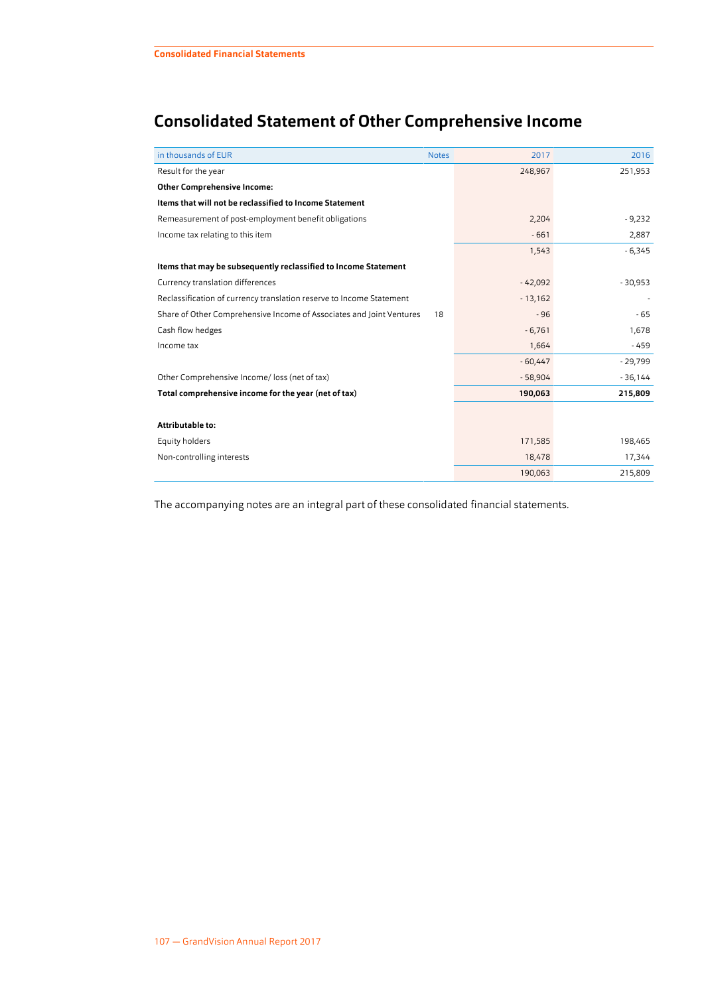# <span id="page-3-0"></span>**Consolidated Statement of Other Comprehensive Income**

| in thousands of EUR                                                  | <b>Notes</b> | 2017      | 2016      |
|----------------------------------------------------------------------|--------------|-----------|-----------|
| Result for the year                                                  |              | 248,967   | 251,953   |
| <b>Other Comprehensive Income:</b>                                   |              |           |           |
| Items that will not be reclassified to Income Statement              |              |           |           |
| Remeasurement of post-employment benefit obligations                 |              | 2,204     | $-9,232$  |
| Income tax relating to this item                                     |              | $-661$    | 2,887     |
|                                                                      |              | 1,543     | $-6,345$  |
| Items that may be subsequently reclassified to Income Statement      |              |           |           |
| Currency translation differences                                     |              | $-42,092$ | $-30,953$ |
| Reclassification of currency translation reserve to Income Statement |              | $-13,162$ |           |
| Share of Other Comprehensive Income of Associates and Joint Ventures | 18           | $-96$     | $-65$     |
| Cash flow hedges                                                     |              | $-6,761$  | 1,678     |
| Income tax                                                           |              | 1,664     | $-459$    |
|                                                                      |              | $-60,447$ | $-29,799$ |
| Other Comprehensive Income/ loss (net of tax)                        |              | $-58,904$ | $-36,144$ |
| Total comprehensive income for the year (net of tax)                 |              | 190,063   | 215,809   |
|                                                                      |              |           |           |
| Attributable to:                                                     |              |           |           |
| Equity holders                                                       |              | 171,585   | 198,465   |
| Non-controlling interests                                            |              | 18,478    | 17,344    |
|                                                                      |              | 190,063   | 215,809   |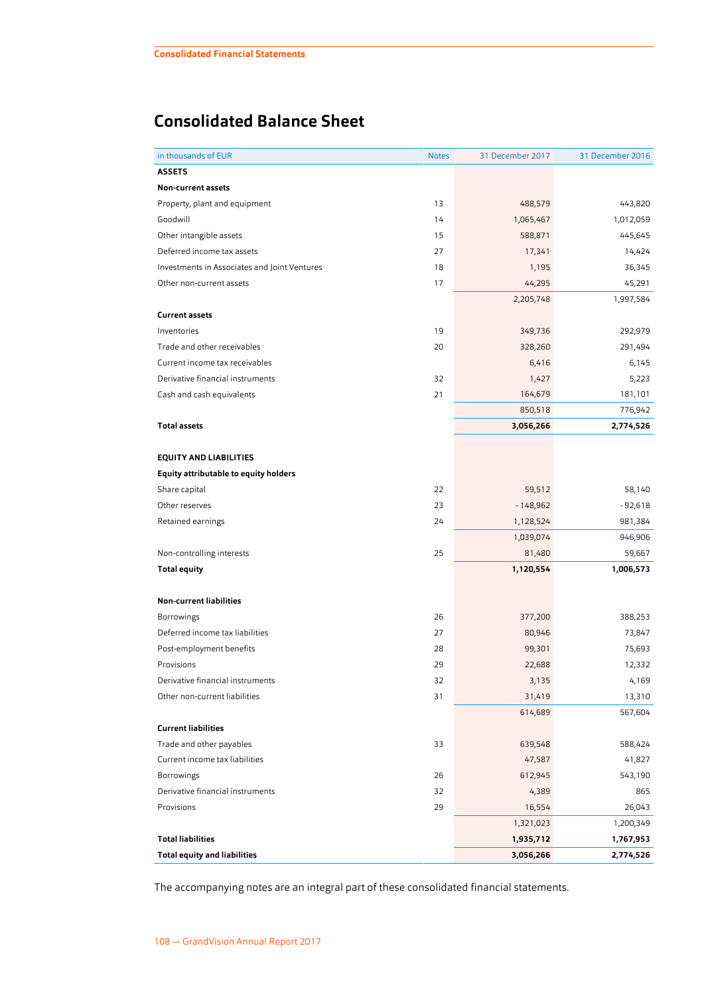# <span id="page-4-0"></span>**Consolidated Balance Sheet**

| in thousands of EUR                          | <b>Notes</b> | 31 December 2017 | 31 December 2016 |
|----------------------------------------------|--------------|------------------|------------------|
| <b>ASSETS</b>                                |              |                  |                  |
| Non-current assets                           |              |                  |                  |
| Property, plant and equipment                | 13           | 488,579          | 443,820          |
| Goodwill                                     | 14           | 1,065,467        | 1,012,059        |
| Other intangible assets                      | 15           | 588,871          | 445,645          |
| Deferred income tax assets                   | 27           | 17,341           | 14,424           |
| Investments in Associates and Joint Ventures | 18           | 1,195            | 36,345           |
| Other non-current assets                     | 17           | 44,295           | 45,291           |
|                                              |              | 2,205,748        | 1,997,584        |
| <b>Current assets</b>                        |              |                  |                  |
| Inventories                                  | 19           | 349,736          | 292,979          |
| Trade and other receivables                  | 20           | 328,260          | 291,494          |
| Current income tax receivables               |              | 6,416            | 6,145            |
| Derivative financial instruments             | 32           | 1,427            | 5,223            |
| Cash and cash equivalents                    | 21           | 164,679          | 181,101          |
|                                              |              | 850,518          | 776,942          |
| <b>Total assets</b>                          |              | 3,056,266        | 2,774,526        |
|                                              |              |                  |                  |
| <b>EQUITY AND LIABILITIES</b>                |              |                  |                  |
| <b>Equity attributable to equity holders</b> |              |                  |                  |
| Share capital                                | 22           | 59,512           | 58,140           |
| Other reserves                               | 23           | $-148,962$       | - 92,618         |
| Retained earnings                            | 24           | 1,128,524        | 981,384          |
|                                              |              | 1,039,074        | 946,906          |
| Non-controlling interests                    | 25           | 81,480           | 59,667           |
| <b>Total equity</b>                          |              | 1,120,554        | 1,006,573        |
|                                              |              |                  |                  |
| <b>Non-current liabilities</b>               |              |                  |                  |
| <b>Borrowings</b>                            | 26           | 377,200          | 388,253          |
| Deferred income tax liabilities              | 27           | 80,946           | 73,847           |
| Post-employment benefits                     | 28           | 99,301           | 75,693           |
| Provisions                                   | 29           | 22,688           | 12,332           |
| Derivative financial instruments             | 32           | 3,135            | 4,169            |
| Other non-current liabilities                | 31           | 31,419           | 13,310           |
|                                              |              | 614,689          | 567,604          |
| <b>Current liabilities</b>                   |              |                  |                  |
| Trade and other payables                     | 33           | 639,548          | 588,424          |
| Current income tax liabilities               |              | 47,587           | 41,827           |
| Borrowings                                   | 26           | 612,945          | 543,190          |
| Derivative financial instruments             | 32           | 4,389            | 865              |
| Provisions                                   | 29           | 16,554           | 26,043           |
|                                              |              | 1,321,023        | 1,200,349        |
| <b>Total liabilities</b>                     |              | 1,935,712        | 1,767,953        |
| <b>Total equity and liabilities</b>          |              | 3,056,266        | 2,774,526        |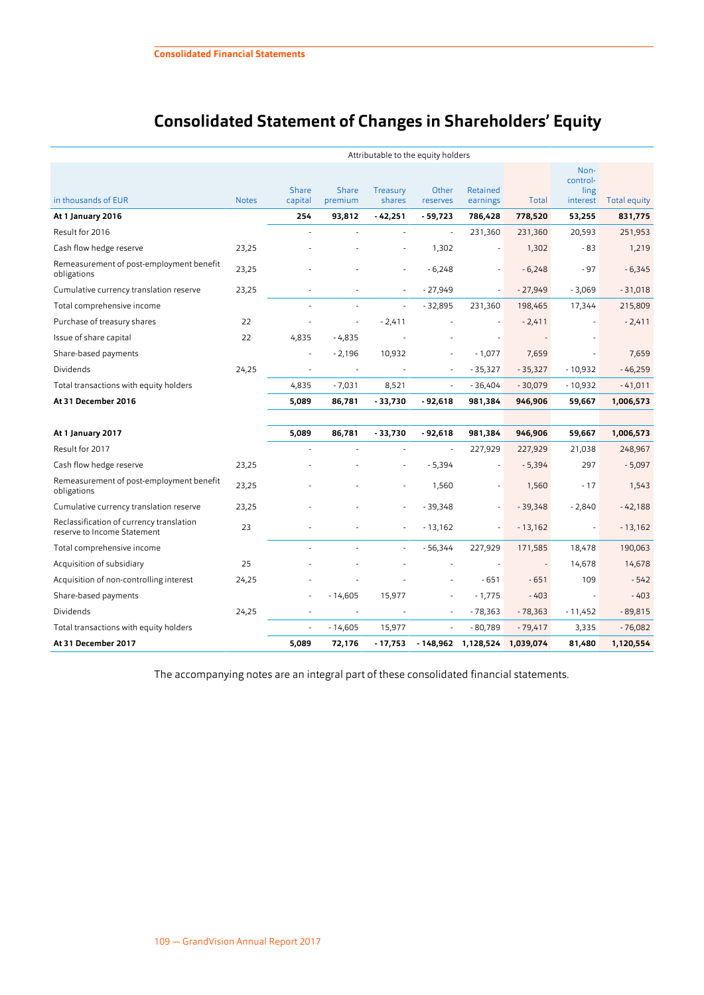# **Consolidated Statement of Changes in Shareholders' Equity**

<span id="page-5-0"></span>

|                                                                         | Attributable to the equity holders |                         |                          |                    |                   |                      |                          |                                      |              |
|-------------------------------------------------------------------------|------------------------------------|-------------------------|--------------------------|--------------------|-------------------|----------------------|--------------------------|--------------------------------------|--------------|
| in thousands of EUR                                                     | <b>Notes</b>                       | <b>Share</b><br>capital | Share<br>premium         | Treasury<br>shares | Other<br>reserves | Retained<br>earnings | Total                    | Non-<br>control-<br>ling<br>interest | Total equity |
| At 1 January 2016                                                       |                                    | 254                     | 93,812                   | $-42,251$          | $-59,723$         | 786,428              | 778,520                  | 53,255                               | 831,775      |
| Result for 2016                                                         |                                    |                         |                          |                    | ÷,                | 231,360              | 231,360                  | 20,593                               | 251,953      |
| Cash flow hedge reserve                                                 | 23,25                              |                         |                          |                    | 1,302             | $\sim$               | 1,302                    | - 83                                 | 1,219        |
| Remeasurement of post-employment benefit<br>obligations                 | 23,25                              |                         |                          |                    | $-6,248$          |                      | $-6,248$                 | $-97$                                | $-6,345$     |
| Cumulative currency translation reserve                                 | 23,25                              |                         |                          |                    | $-27,949$         |                      | $-27,949$                | $-3,069$                             | $-31,018$    |
| Total comprehensive income                                              |                                    |                         |                          |                    | $-32,895$         | 231,360              | 198,465                  | 17,344                               | 215,809      |
| Purchase of treasury shares                                             | 22                                 |                         |                          | $-2,411$           |                   |                      | $-2,411$                 |                                      | $-2,411$     |
| Issue of share capital                                                  | 22                                 | 4,835                   | $-4,835$                 |                    |                   |                      |                          |                                      |              |
| Share-based payments                                                    |                                    |                         | $-2,196$                 | 10,932             |                   | $-1,077$             | 7,659                    |                                      | 7,659        |
| <b>Dividends</b>                                                        | 24,25                              |                         | $\overline{\phantom{a}}$ |                    |                   | $-35,327$            | $-35,327$                | $-10,932$                            | $-46,259$    |
| Total transactions with equity holders                                  |                                    | 4,835                   | $-7,031$                 | 8,521              |                   | $-36,404$            | $-30,079$                | $-10,932$                            | $-41,011$    |
| At 31 December 2016                                                     |                                    | 5,089                   | 86,781                   | $-33,730$          | - 92,618          | 981,384              | 946,906                  | 59,667                               | 1,006,573    |
|                                                                         |                                    |                         |                          |                    |                   |                      |                          |                                      |              |
| At 1 January 2017                                                       |                                    | 5,089                   | 86,781                   | - 33,730           | $-92,618$         | 981,384              | 946,906                  | 59,667                               | 1,006,573    |
| Result for 2017                                                         |                                    |                         |                          |                    |                   | 227,929              | 227,929                  | 21,038                               | 248,967      |
| Cash flow hedge reserve                                                 | 23,25                              |                         |                          |                    | $-5,394$          |                      | $-5,394$                 | 297                                  | $-5,097$     |
| Remeasurement of post-employment benefit<br>obligations                 | 23,25                              |                         |                          |                    | 1,560             |                      | 1,560                    | $-17$                                | 1,543        |
| Cumulative currency translation reserve                                 | 23,25                              |                         |                          |                    | $-39,348$         |                      | $-39,348$                | $-2,840$                             | $-42,188$    |
| Reclassification of currency translation<br>reserve to Income Statement | 23                                 |                         |                          |                    | $-13,162$         |                      | $-13,162$                | ÷,                                   | $-13,162$    |
| Total comprehensive income                                              |                                    |                         |                          |                    | $-56,344$         | 227,929              | 171,585                  | 18,478                               | 190,063      |
| Acquisition of subsidiary                                               | 25                                 |                         |                          |                    |                   |                      | $\overline{\phantom{a}}$ | 14,678                               | 14,678       |
| Acquisition of non-controlling interest                                 | 24,25                              |                         |                          |                    |                   | $-651$               | $-651$                   | 109                                  | $-542$       |
| Share-based payments                                                    |                                    |                         | $-14,605$                | 15,977             |                   | $-1,775$             | $-403$                   | $\overline{\phantom{a}}$             | $-403$       |
| Dividends                                                               | 24,25                              |                         |                          |                    |                   | $-78,363$            | $-78,363$                | $-11,452$                            | $-89,815$    |
| Total transactions with equity holders                                  |                                    |                         | $-14,605$                | 15,977             |                   | $-80,789$            | $-79,417$                | 3,335                                | $-76,082$    |
| At 31 December 2017                                                     |                                    | 5,089                   | 72,176                   | - 17,753           |                   | - 148,962 1,128,524  | 1,039,074                | 81,480                               | 1,120,554    |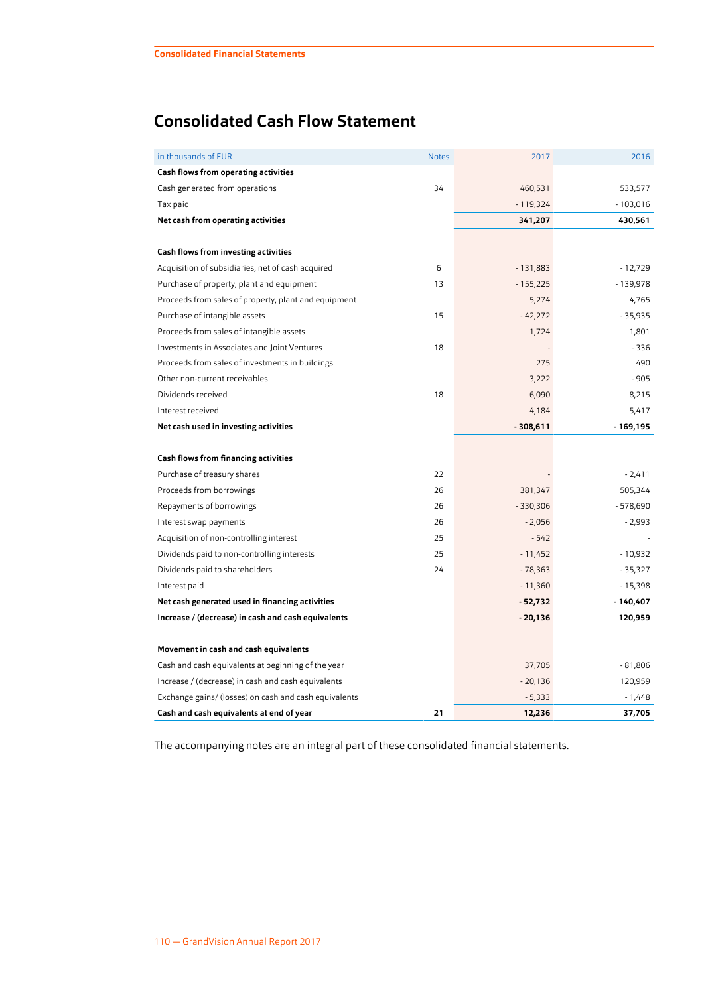# <span id="page-6-0"></span>**Consolidated Cash Flow Statement**

| in thousands of EUR                                   | <b>Notes</b> | 2017       | 2016       |
|-------------------------------------------------------|--------------|------------|------------|
| <b>Cash flows from operating activities</b>           |              |            |            |
| Cash generated from operations                        | 34           | 460,531    | 533,577    |
| Tax paid                                              |              | $-119,324$ | $-103,016$ |
| Net cash from operating activities                    |              | 341,207    | 430,561    |
|                                                       |              |            |            |
| <b>Cash flows from investing activities</b>           |              |            |            |
| Acquisition of subsidiaries, net of cash acquired     | 6            | $-131,883$ | $-12,729$  |
| Purchase of property, plant and equipment             | 13           | $-155,225$ | - 139,978  |
| Proceeds from sales of property, plant and equipment  |              | 5,274      | 4,765      |
| Purchase of intangible assets                         | 15           | $-42,272$  | $-35,935$  |
| Proceeds from sales of intangible assets              |              | 1,724      | 1,801      |
| Investments in Associates and Joint Ventures          | 18           |            | $-336$     |
| Proceeds from sales of investments in buildings       |              | 275        | 490        |
| Other non-current receivables                         |              | 3,222      | $-905$     |
| Dividends received                                    | 18           | 6,090      | 8,215      |
| Interest received                                     |              | 4,184      | 5,417      |
| Net cash used in investing activities                 |              | $-308,611$ | - 169,195  |
|                                                       |              |            |            |
| <b>Cash flows from financing activities</b>           |              |            |            |
| Purchase of treasury shares                           | 22           |            | $-2,411$   |
| Proceeds from borrowings                              | 26           | 381,347    | 505,344    |
| Repayments of borrowings                              | 26           | $-330,306$ | - 578,690  |
| Interest swap payments                                | 26           | $-2,056$   | $-2,993$   |
| Acquisition of non-controlling interest               | 25           | $-542$     |            |
| Dividends paid to non-controlling interests           | 25           | $-11,452$  | $-10,932$  |
| Dividends paid to shareholders                        | 24           | $-78,363$  | $-35,327$  |
| Interest paid                                         |              | $-11,360$  | $-15,398$  |
| Net cash generated used in financing activities       |              | $-52,732$  | - 140,407  |
| Increase / (decrease) in cash and cash equivalents    |              | $-20,136$  | 120,959    |
|                                                       |              |            |            |
| Movement in cash and cash equivalents                 |              |            |            |
| Cash and cash equivalents at beginning of the year    |              | 37,705     | $-81,806$  |
| Increase / (decrease) in cash and cash equivalents    |              | $-20,136$  | 120,959    |
| Exchange gains/ (losses) on cash and cash equivalents |              | $-5,333$   | - 1,448    |
| Cash and cash equivalents at end of year              | 21           | 12,236     | 37,705     |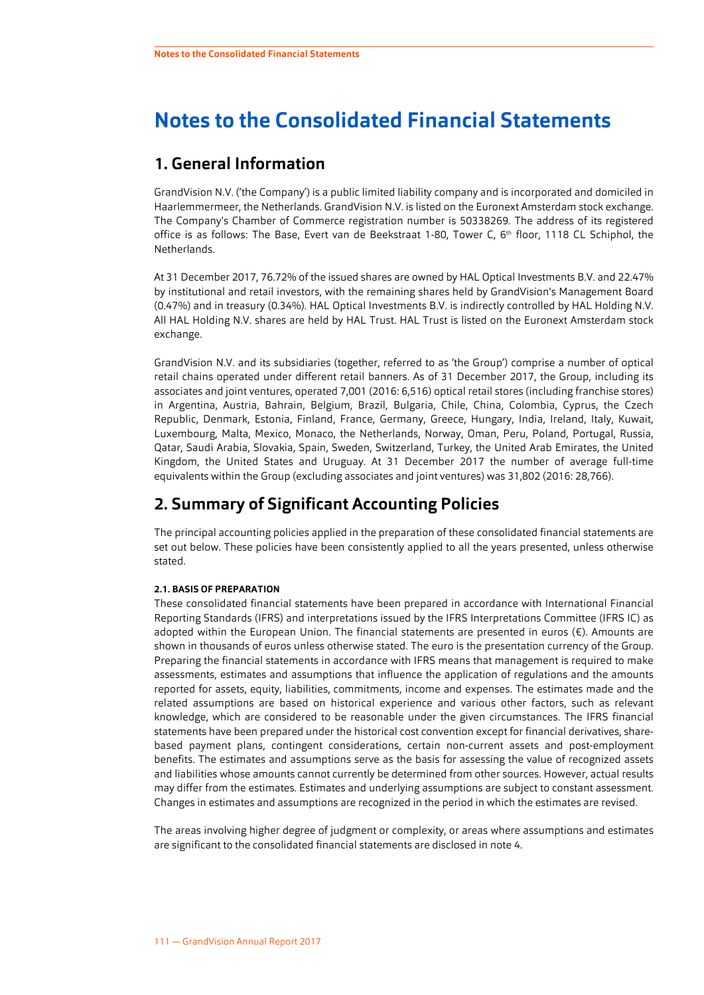# <span id="page-7-0"></span>**Notes to the Consolidated Financial Statements**

# **1. General Information**

GrandVision N.V. ('the Company') is a public limited liability company and is incorporated and domiciled in Haarlemmermeer, the Netherlands. GrandVision N.V. is listed on the Euronext Amsterdam stock exchange. The Company's Chamber of Commerce registration number is 50338269*.* The address of its registered office is as follows: The Base, Evert van de Beekstraat 1-80, Tower C, 6 th floor, 1118 CL Schiphol, the Netherlands.

At 31 December 2017, 76.72% of the issued shares are owned by HAL Optical Investments B.V. and 22.47% by institutional and retail investors, with the remaining shares held by GrandVision's Management Board (0.47%) and in treasury (0.34%). HAL Optical Investments B.V. is indirectly controlled by HAL Holding N.V. All HAL Holding N.V. shares are held by HAL Trust. HAL Trust is listed on the Euronext Amsterdam stock exchange.

GrandVision N.V. and its subsidiaries (together, referred to as 'the Group') comprise a number of optical retail chains operated under different retail banners. As of 31 December 2017, the Group, including its associates and joint ventures, operated 7,001 (2016: 6,516) optical retail stores (including franchise stores) in Argentina, Austria, Bahrain, Belgium, Brazil, Bulgaria, Chile, China, Colombia, Cyprus, the Czech Republic, Denmark, Estonia, Finland, France, Germany, Greece, Hungary, India, Ireland, Italy, Kuwait, Luxembourg, Malta, Mexico, Monaco, the Netherlands, Norway, Oman, Peru, Poland, Portugal, Russia, Qatar, Saudi Arabia, Slovakia, Spain, Sweden, Switzerland, Turkey, the United Arab Emirates, the United Kingdom, the United States and Uruguay. At 31 December 2017 the number of average full-time equivalents within the Group (excluding associates and joint ventures) was 31,802 (2016: 28,766).

# **2. Summary of Significant Accounting Policies**

The principal accounting policies applied in the preparation of these consolidated financial statements are set out below. These policies have been consistently applied to all the years presented, unless otherwise stated.

#### **2.1. BASIS OF PREPARATION**

These consolidated financial statements have been prepared in accordance with International Financial Reporting Standards (IFRS) and interpretations issued by the IFRS Interpretations Committee (IFRS IC) as adopted within the European Union. The financial statements are presented in euros (€). Amounts are shown in thousands of euros unless otherwise stated. The euro is the presentation currency of the Group. Preparing the financial statements in accordance with IFRS means that management is required to make assessments, estimates and assumptions that influence the application of regulations and the amounts reported for assets, equity, liabilities, commitments, income and expenses. The estimates made and the related assumptions are based on historical experience and various other factors, such as relevant knowledge, which are considered to be reasonable under the given circumstances. The IFRS financial statements have been prepared under the historical cost convention except for financial derivatives, sharebased payment plans, contingent considerations, certain non-current assets and post-employment benefits. The estimates and assumptions serve as the basis for assessing the value of recognized assets and liabilities whose amounts cannot currently be determined from other sources. However, actual results may differ from the estimates. Estimates and underlying assumptions are subject to constant assessment. Changes in estimates and assumptions are recognized in the period in which the estimates are revised.

The areas involving higher degree of judgment or complexity, or areas where assumptions and estimates are significant to the consolidated financial statements are disclosed in note [4.](#page-26-0)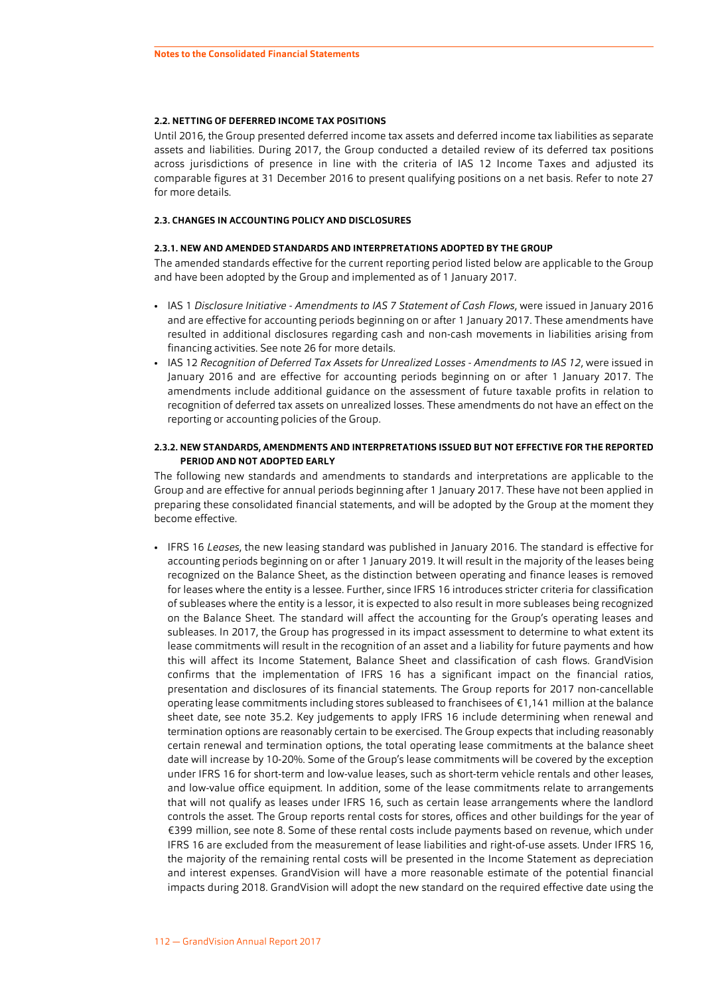#### **2.2. NETTING OF DEFERRED INCOME TAX POSITIONS**

Until 2016, the Group presented deferred income tax assets and deferred income tax liabilities as separate assets and liabilities. During 2017, the Group conducted a detailed review of its deferred tax positions across jurisdictions of presence in line with the criteria of IAS 12 Income Taxes and adjusted its comparable figures at 31 December 2016 to present qualifying positions on a net basis. Refer to note [27](#page-48-0) for more details.

#### **2.3. CHANGES IN ACCOUNTING POLICY AND DISCLOSURES**

#### **2.3.1. NEW AND AMENDED STANDARDS AND INTERPRETATIONS ADOPTED BY THE GROUP**

The amended standards effective for the current reporting period listed below are applicable to the Group and have been adopted by the Group and implemented as of 1 January 2017.

- IAS 1 *Disclosure Initiative Amendments to IAS 7 Statement of Cash Flows*, were issued in January 2016 and are effective for accounting periods beginning on or after 1 January 2017. These amendments have resulted in additional disclosures regarding cash and non-cash movements in liabilities arising from financing activities. See note [26](#page-46-0) for more details.
- IAS 12 *Recognition of Deferred Tax Assets for Unrealized Losses Amendments to IAS 12*, were issued in January 2016 and are effective for accounting periods beginning on or after 1 January 2017. The amendments include additional guidance on the assessment of future taxable profits in relation to recognition of deferred tax assets on unrealized losses. These amendments do not have an effect on the reporting or accounting policies of the Group.

#### **2.3.2. NEW STANDARDS, AMENDMENTS AND INTERPRETATIONS ISSUED BUT NOT EFFECTIVE FOR THE REPORTED PERIOD AND NOT ADOPTED EARLY**

The following new standards and amendments to standards and interpretations are applicable to the Group and are effective for annual periods beginning after 1 January 2017. These have not been applied in preparing these consolidated financial statements, and will be adopted by the Group at the moment they become effective.

• IFRS 16 *Leases*, the new leasing standard was published in January 2016. The standard is effective for accounting periods beginning on or after 1 January 2019. It will result in the majority of the leases being recognized on the Balance Sheet, as the distinction between operating and finance leases is removed for leases where the entity is a lessee. Further, since IFRS 16 introduces stricter criteria for classification of subleases where the entity is a lessor, it is expected to also result in more subleases being recognized on the Balance Sheet. The standard will affect the accounting for the Group's operating leases and subleases. In 2017, the Group has progressed in its impact assessment to determine to what extent its lease commitments will result in the recognition of an asset and a liability for future payments and how this will affect its Income Statement, Balance Sheet and classification of cash flows. GrandVision confirms that the implementation of IFRS 16 has a significant impact on the financial ratios, presentation and disclosures of its financial statements. The Group reports for 2017 non-cancellable operating lease commitments including stores subleased to franchisees of €1,141 million at the balance sheet date, see note [35.2.](#page-63-0) Key judgements to apply IFRS 16 include determining when renewal and termination options are reasonably certain to be exercised. The Group expects that including reasonably certain renewal and termination options, the total operating lease commitments at the balance sheet date will increase by 10-20%. Some of the Group's lease commitments will be covered by the exception under IFRS 16 for short-term and low-value leases, such as short-term vehicle rentals and other leases, and low-value office equipment. In addition, some of the lease commitments relate to arrangements that will not qualify as leases under IFRS 16, such as certain lease arrangements where the landlord controls the asset. The Group reports rental costs for stores, offices and other buildings for the year of €399 million, see note [8](#page-33-0). Some of these rental costs include payments based on revenue, which under IFRS 16 are excluded from the measurement of lease liabilities and right-of-use assets. Under IFRS 16, the majority of the remaining rental costs will be presented in the Income Statement as depreciation and interest expenses. GrandVision will have a more reasonable estimate of the potential financial impacts during 2018. GrandVision will adopt the new standard on the required effective date using the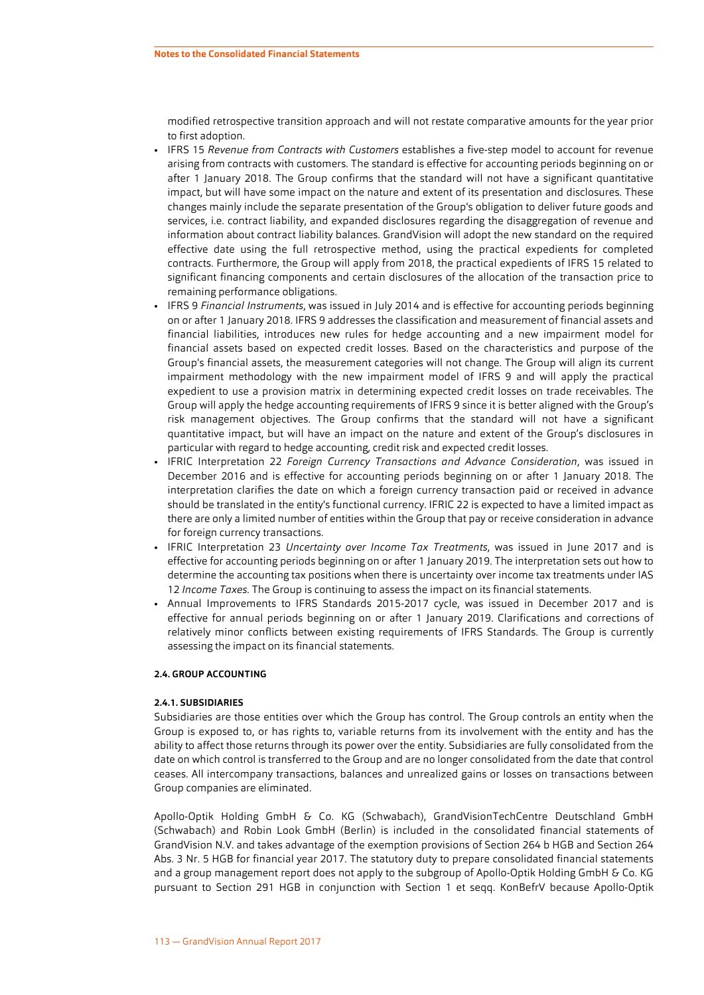modified retrospective transition approach and will not restate comparative amounts for the year prior to first adoption.

- IFRS 15 *Revenue from Contracts with Customers* establishes a five-step model to account for revenue arising from contracts with customers. The standard is effective for accounting periods beginning on or after 1 January 2018. The Group confirms that the standard will not have a significant quantitative impact, but will have some impact on the nature and extent of its presentation and disclosures. These changes mainly include the separate presentation of the Group's obligation to deliver future goods and services, i.e. contract liability, and expanded disclosures regarding the disaggregation of revenue and information about contract liability balances. GrandVision will adopt the new standard on the required effective date using the full retrospective method, using the practical expedients for completed contracts. Furthermore, the Group will apply from 2018, the practical expedients of IFRS 15 related to significant financing components and certain disclosures of the allocation of the transaction price to remaining performance obligations.
- IFRS 9 *Financial Instruments*, was issued in July 2014 and is effective for accounting periods beginning on or after 1 January 2018. IFRS 9 addresses the classification and measurement of financial assets and financial liabilities, introduces new rules for hedge accounting and a new impairment model for financial assets based on expected credit losses. Based on the characteristics and purpose of the Group's financial assets, the measurement categories will not change. The Group will align its current impairment methodology with the new impairment model of IFRS 9 and will apply the practical expedient to use a provision matrix in determining expected credit losses on trade receivables. The Group will apply the hedge accounting requirements of IFRS 9 since it is better aligned with the Group's risk management objectives. The Group confirms that the standard will not have a significant quantitative impact, but will have an impact on the nature and extent of the Group's disclosures in particular with regard to hedge accounting, credit risk and expected credit losses.
- IFRIC Interpretation 22 *Foreign Currency Transactions and Advance Consideration*, was issued in December 2016 and is effective for accounting periods beginning on or after 1 January 2018. The interpretation clarifies the date on which a foreign currency transaction paid or received in advance should be translated in the entity's functional currency. IFRIC 22 is expected to have a limited impact as there are only a limited number of entities within the Group that pay or receive consideration in advance for foreign currency transactions.
- IFRIC Interpretation 23 *Uncertainty over Income Tax Treatments*, was issued in June 2017 and is effective for accounting periods beginning on or after 1 January 2019. The interpretation sets out how to determine the accounting tax positions when there is uncertainty over income tax treatments under IAS 12 *Income Taxes*. The Group is continuing to assess the impact on its financial statements.
- Annual Improvements to IFRS Standards 2015-2017 cycle, was issued in December 2017 and is effective for annual periods beginning on or after 1 January 2019. Clarifications and corrections of relatively minor conflicts between existing requirements of IFRS Standards. The Group is currently assessing the impact on its financial statements.

#### **2.4. GROUP ACCOUNTING**

#### **2.4.1. SUBSIDIARIES**

Subsidiaries are those entities over which the Group has control. The Group controls an entity when the Group is exposed to, or has rights to, variable returns from its involvement with the entity and has the ability to affect those returns through its power over the entity. Subsidiaries are fully consolidated from the date on which control is transferred to the Group and are no longer consolidated from the date that control ceases. All intercompany transactions, balances and unrealized gains or losses on transactions between Group companies are eliminated.

Apollo-Optik Holding GmbH & Co. KG (Schwabach), GrandVisionTechCentre Deutschland GmbH (Schwabach) and Robin Look GmbH (Berlin) is included in the consolidated financial statements of GrandVision N.V. and takes advantage of the exemption provisions of Section 264 b HGB and Section 264 Abs. 3 Nr. 5 HGB for financial year 2017. The statutory duty to prepare consolidated financial statements and a group management report does not apply to the subgroup of Apollo-Optik Holding GmbH & Co. KG pursuant to Section 291 HGB in conjunction with Section 1 et seqq. KonBefrV because Apollo-Optik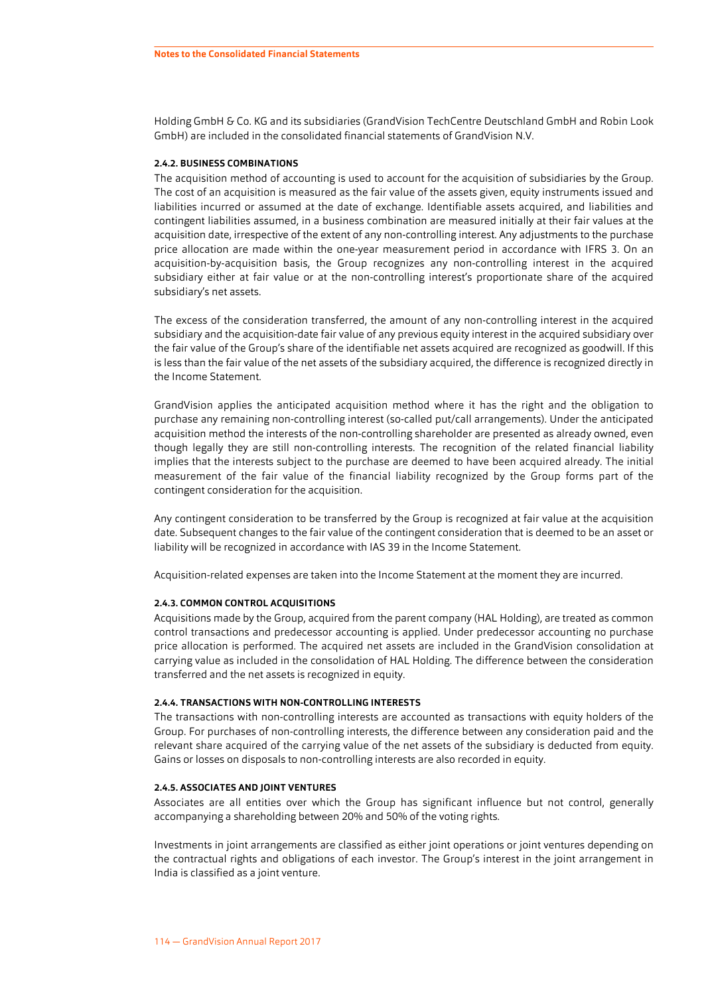Holding GmbH & Co. KG and its subsidiaries (GrandVision TechCentre Deutschland GmbH and Robin Look GmbH) are included in the consolidated financial statements of GrandVision N.V.

#### **2.4.2. BUSINESS COMBINATIONS**

The acquisition method of accounting is used to account for the acquisition of subsidiaries by the Group. The cost of an acquisition is measured as the fair value of the assets given, equity instruments issued and liabilities incurred or assumed at the date of exchange. Identifiable assets acquired, and liabilities and contingent liabilities assumed, in a business combination are measured initially at their fair values at the acquisition date, irrespective of the extent of any non-controlling interest. Any adjustments to the purchase price allocation are made within the one-year measurement period in accordance with IFRS 3. On an acquisition-by-acquisition basis, the Group recognizes any non-controlling interest in the acquired subsidiary either at fair value or at the non-controlling interest's proportionate share of the acquired subsidiary's net assets.

The excess of the consideration transferred, the amount of any non-controlling interest in the acquired subsidiary and the acquisition-date fair value of any previous equity interest in the acquired subsidiary over the fair value of the Group's share of the identifiable net assets acquired are recognized as goodwill. If this is less than the fair value of the net assets of the subsidiary acquired, the difference is recognized directly in the Income Statement.

GrandVision applies the anticipated acquisition method where it has the right and the obligation to purchase any remaining non-controlling interest (so-called put/call arrangements). Under the anticipated acquisition method the interests of the non-controlling shareholder are presented as already owned, even though legally they are still non-controlling interests. The recognition of the related financial liability implies that the interests subject to the purchase are deemed to have been acquired already. The initial measurement of the fair value of the financial liability recognized by the Group forms part of the contingent consideration for the acquisition.

Any contingent consideration to be transferred by the Group is recognized at fair value at the acquisition date. Subsequent changes to the fair value of the contingent consideration that is deemed to be an asset or liability will be recognized in accordance with IAS 39 in the Income Statement.

Acquisition-related expenses are taken into the Income Statement at the moment they are incurred.

#### **2.4.3. COMMON CONTROL ACQUISITIONS**

Acquisitions made by the Group, acquired from the parent company (HAL Holding), are treated as common control transactions and predecessor accounting is applied. Under predecessor accounting no purchase price allocation is performed. The acquired net assets are included in the GrandVision consolidation at carrying value as included in the consolidation of HAL Holding. The difference between the consideration transferred and the net assets is recognized in equity.

#### **2.4.4. TRANSACTIONS WITH NON-CONTROLLING INTERESTS**

The transactions with non-controlling interests are accounted as transactions with equity holders of the Group. For purchases of non-controlling interests, the difference between any consideration paid and the relevant share acquired of the carrying value of the net assets of the subsidiary is deducted from equity. Gains or losses on disposals to non-controlling interests are also recorded in equity.

#### **2.4.5. ASSOCIATES AND JOINT VENTURES**

Associates are all entities over which the Group has significant influence but not control, generally accompanying a shareholding between 20% and 50% of the voting rights.

Investments in joint arrangements are classified as either joint operations or joint ventures depending on the contractual rights and obligations of each investor. The Group's interest in the joint arrangement in India is classified as a joint venture.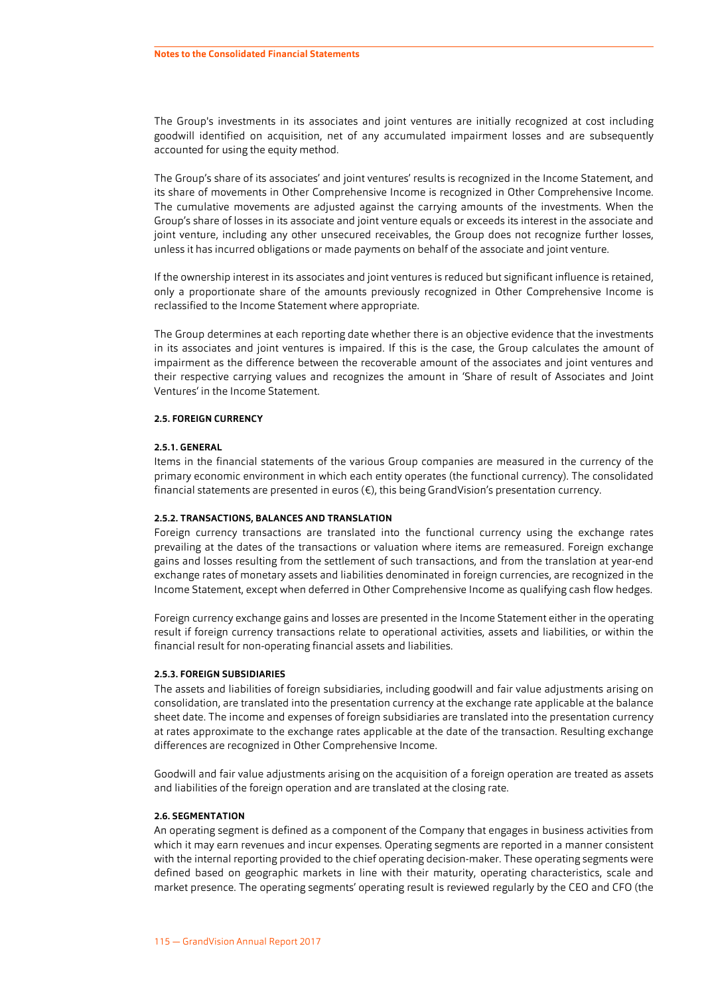The Group's investments in its associates and joint ventures are initially recognized at cost including goodwill identified on acquisition, net of any accumulated impairment losses and are subsequently accounted for using the equity method.

The Group's share of its associates' and joint ventures' results is recognized in the Income Statement, and its share of movements in Other Comprehensive Income is recognized in Other Comprehensive Income. The cumulative movements are adjusted against the carrying amounts of the investments. When the Group's share of losses in its associate and joint venture equals or exceeds its interest in the associate and joint venture, including any other unsecured receivables, the Group does not recognize further losses, unless it has incurred obligations or made payments on behalf of the associate and joint venture.

If the ownership interest in its associates and joint ventures is reduced but significant influence is retained, only a proportionate share of the amounts previously recognized in Other Comprehensive Income is reclassified to the Income Statement where appropriate.

The Group determines at each reporting date whether there is an objective evidence that the investments in its associates and joint ventures is impaired. If this is the case, the Group calculates the amount of impairment as the difference between the recoverable amount of the associates and joint ventures and their respective carrying values and recognizes the amount in 'Share of result of Associates and Joint Ventures' in the Income Statement.

#### **2.5. FOREIGN CURRENCY**

#### **2.5.1. GENERAL**

Items in the financial statements of the various Group companies are measured in the currency of the primary economic environment in which each entity operates (the functional currency). The consolidated financial statements are presented in euros (€), this being GrandVision's presentation currency.

#### **2.5.2. TRANSACTIONS, BALANCES AND TRANSLATION**

Foreign currency transactions are translated into the functional currency using the exchange rates prevailing at the dates of the transactions or valuation where items are remeasured. Foreign exchange gains and losses resulting from the settlement of such transactions, and from the translation at year-end exchange rates of monetary assets and liabilities denominated in foreign currencies, are recognized in the Income Statement, except when deferred in Other Comprehensive Income as qualifying cash flow hedges.

Foreign currency exchange gains and losses are presented in the Income Statement either in the operating result if foreign currency transactions relate to operational activities, assets and liabilities, or within the financial result for non-operating financial assets and liabilities.

#### **2.5.3. FOREIGN SUBSIDIARIES**

The assets and liabilities of foreign subsidiaries, including goodwill and fair value adjustments arising on consolidation, are translated into the presentation currency at the exchange rate applicable at the balance sheet date. The income and expenses of foreign subsidiaries are translated into the presentation currency at rates approximate to the exchange rates applicable at the date of the transaction. Resulting exchange differences are recognized in Other Comprehensive Income.

Goodwill and fair value adjustments arising on the acquisition of a foreign operation are treated as assets and liabilities of the foreign operation and are translated at the closing rate.

#### **2.6. SEGMENTATION**

An operating segment is defined as a component of the Company that engages in business activities from which it may earn revenues and incur expenses. Operating segments are reported in a manner consistent with the internal reporting provided to the chief operating decision-maker. These operating segments were defined based on geographic markets in line with their maturity, operating characteristics, scale and market presence. The operating segments' operating result is reviewed regularly by the CEO and CFO (the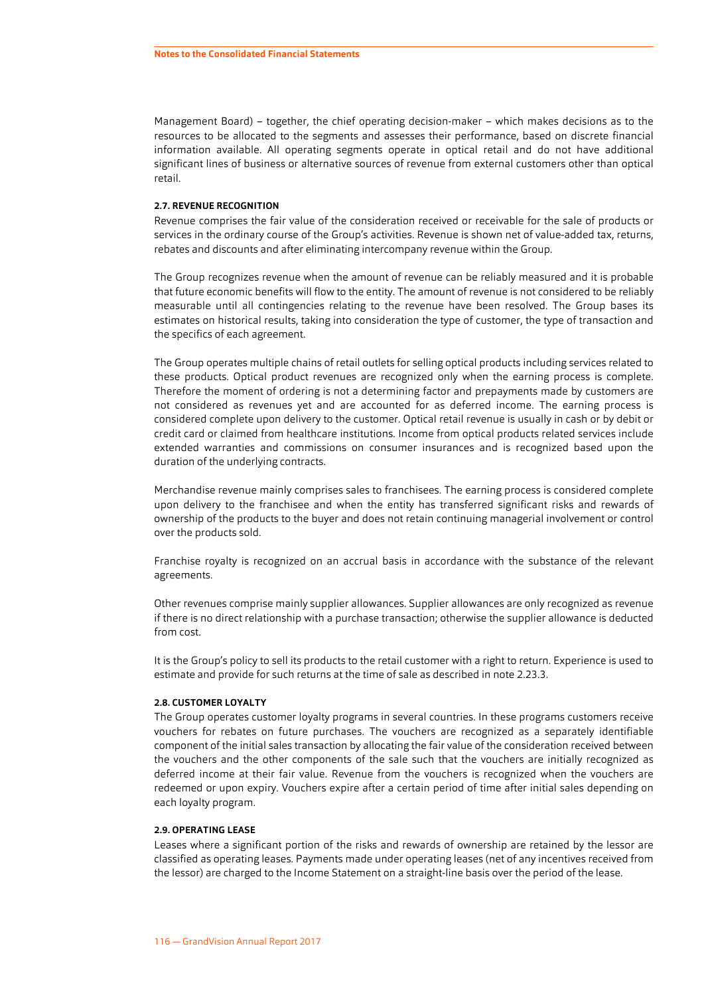Management Board) – together, the chief operating decision-maker – which makes decisions as to the resources to be allocated to the segments and assesses their performance, based on discrete financial information available. All operating segments operate in optical retail and do not have additional significant lines of business or alternative sources of revenue from external customers other than optical retail.

#### **2.7. REVENUE RECOGNITION**

Revenue comprises the fair value of the consideration received or receivable for the sale of products or services in the ordinary course of the Group's activities. Revenue is shown net of value-added tax, returns, rebates and discounts and after eliminating intercompany revenue within the Group.

The Group recognizes revenue when the amount of revenue can be reliably measured and it is probable that future economic benefits will flow to the entity. The amount of revenue is not considered to be reliably measurable until all contingencies relating to the revenue have been resolved. The Group bases its estimates on historical results, taking into consideration the type of customer, the type of transaction and the specifics of each agreement.

The Group operates multiple chains of retail outlets for selling optical products including services related to these products. Optical product revenues are recognized only when the earning process is complete. Therefore the moment of ordering is not a determining factor and prepayments made by customers are not considered as revenues yet and are accounted for as deferred income. The earning process is considered complete upon delivery to the customer. Optical retail revenue is usually in cash or by debit or credit card or claimed from healthcare institutions. Income from optical products related services include extended warranties and commissions on consumer insurances and is recognized based upon the duration of the underlying contracts.

Merchandise revenue mainly comprises sales to franchisees. The earning process is considered complete upon delivery to the franchisee and when the entity has transferred significant risks and rewards of ownership of the products to the buyer and does not retain continuing managerial involvement or control over the products sold.

Franchise royalty is recognized on an accrual basis in accordance with the substance of the relevant agreements.

Other revenues comprise mainly supplier allowances. Supplier allowances are only recognized as revenue if there is no direct relationship with a purchase transaction; otherwise the supplier allowance is deducted from cost.

It is the Group's policy to sell its products to the retail customer with a right to return. Experience is used to estimate and provide for such returns at the time of sale as described in note [2.23.3.](#page-21-0)

#### **2.8. CUSTOMER LOYALTY**

The Group operates customer loyalty programs in several countries. In these programs customers receive vouchers for rebates on future purchases. The vouchers are recognized as a separately identifiable component of the initial sales transaction by allocating the fair value of the consideration received between the vouchers and the other components of the sale such that the vouchers are initially recognized as deferred income at their fair value. Revenue from the vouchers is recognized when the vouchers are redeemed or upon expiry. Vouchers expire after a certain period of time after initial sales depending on each loyalty program.

#### **2.9. OPERATING LEASE**

Leases where a significant portion of the risks and rewards of ownership are retained by the lessor are classified as operating leases. Payments made under operating leases (net of any incentives received from the lessor) are charged to the Income Statement on a straight-line basis over the period of the lease.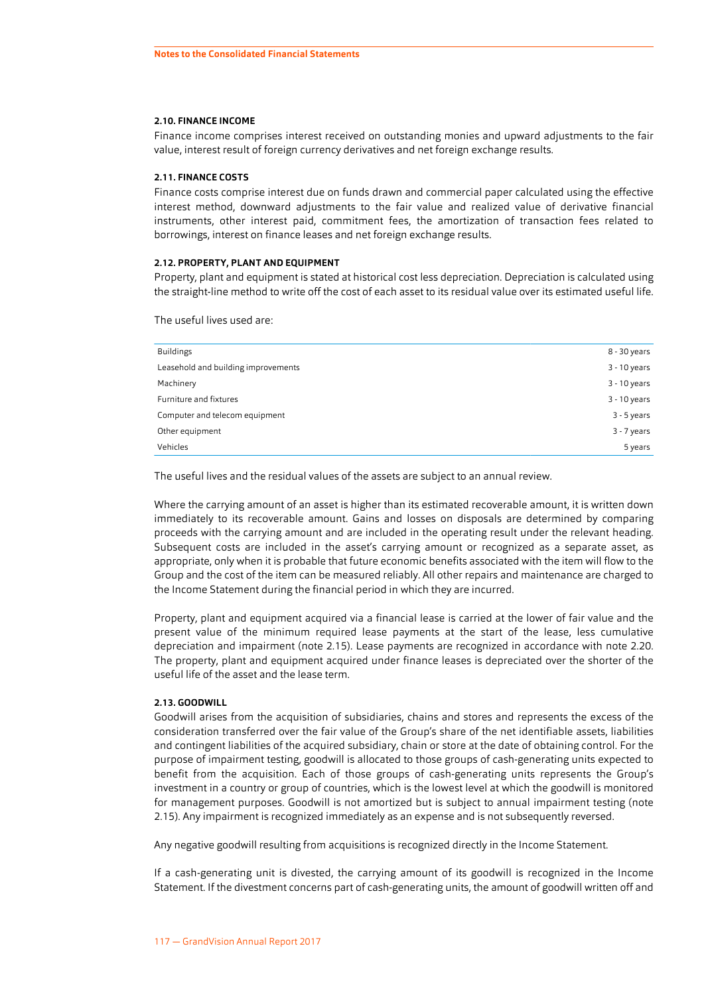#### **2.10. FINANCE INCOME**

Finance income comprises interest received on outstanding monies and upward adjustments to the fair value, interest result of foreign currency derivatives and net foreign exchange results.

#### **2.11. FINANCE COSTS**

Finance costs comprise interest due on funds drawn and commercial paper calculated using the effective interest method, downward adjustments to the fair value and realized value of derivative financial instruments, other interest paid, commitment fees, the amortization of transaction fees related to borrowings, interest on finance leases and net foreign exchange results.

#### **2.12. PROPERTY, PLANT AND EQUIPMENT**

Property, plant and equipment is stated at historical cost less depreciation. Depreciation is calculated using the straight-line method to write off the cost of each asset to its residual value over its estimated useful life.

The useful lives used are:

| <b>Buildings</b>                    | 8 - 30 years   |
|-------------------------------------|----------------|
| Leasehold and building improvements | $3 - 10$ years |
| Machinery                           | $3 - 10$ years |
| Furniture and fixtures              | 3 - 10 years   |
| Computer and telecom equipment      | $3 - 5$ years  |
| Other equipment                     | $3 - 7$ years  |
| Vehicles                            | 5 years        |

The useful lives and the residual values of the assets are subject to an annual review.

Where the carrying amount of an asset is higher than its estimated recoverable amount, it is written down immediately to its recoverable amount. Gains and losses on disposals are determined by comparing proceeds with the carrying amount and are included in the operating result under the relevant heading. Subsequent costs are included in the asset's carrying amount or recognized as a separate asset, as appropriate, only when it is probable that future economic benefits associated with the item will flow to the Group and the cost of the item can be measured reliably. All other repairs and maintenance are charged to the Income Statement during the financial period in which they are incurred.

Property, plant and equipment acquired via a financial lease is carried at the lower of fair value and the present value of the minimum required lease payments at the start of the lease, less cumulative depreciation and impairment (note 2.15). Lease payments are recognized in accordance with note [2.20.](#page-18-0) The property, plant and equipment acquired under finance leases is depreciated over the shorter of the useful life of the asset and the lease term.

#### **2.13. GOODWILL**

Goodwill arises from the acquisition of subsidiaries, chains and stores and represents the excess of the consideration transferred over the fair value of the Group's share of the net identifiable assets, liabilities and contingent liabilities of the acquired subsidiary, chain or store at the date of obtaining control. For the purpose of impairment testing, goodwill is allocated to those groups of cash-generating units expected to benefit from the acquisition. Each of those groups of cash-generating units represents the Group's investment in a country or group of countries, which is the lowest level at which the goodwill is monitored for management purposes. Goodwill is not amortized but is subject to annual impairment testing (note [2.15\)](#page-15-0). Any impairment is recognized immediately as an expense and is not subsequently reversed.

Any negative goodwill resulting from acquisitions is recognized directly in the Income Statement.

If a cash-generating unit is divested, the carrying amount of its goodwill is recognized in the Income Statement. If the divestment concerns part of cash-generating units, the amount of goodwill written off and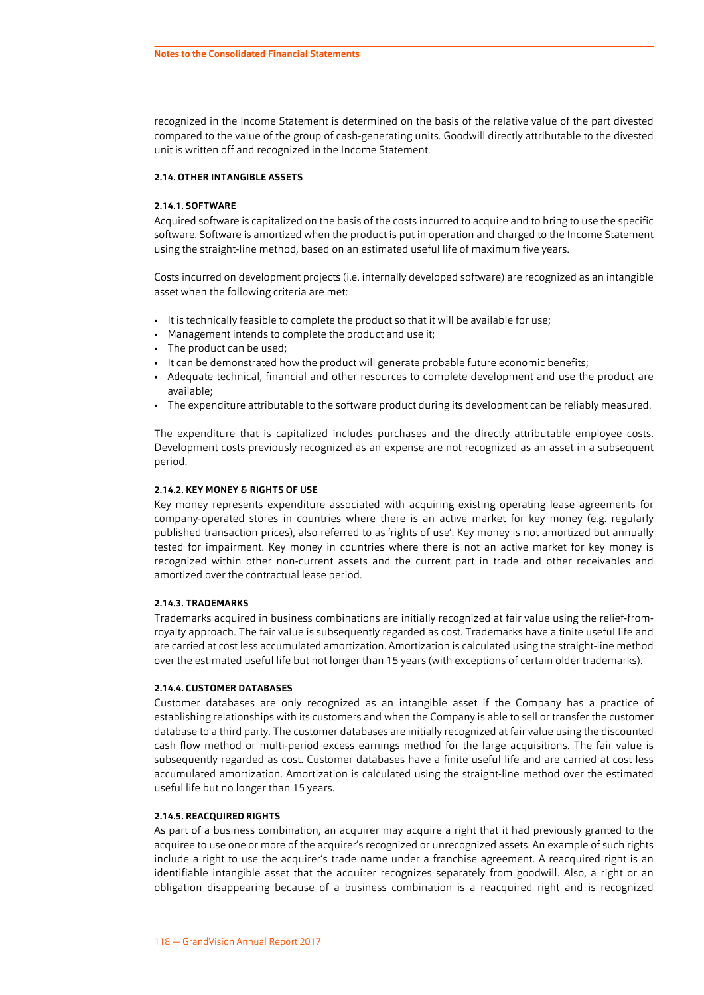<span id="page-14-0"></span>recognized in the Income Statement is determined on the basis of the relative value of the part divested compared to the value of the group of cash-generating units. Goodwill directly attributable to the divested unit is written off and recognized in the Income Statement.

#### **2.14. OTHER INTANGIBLE ASSETS**

#### **2.14.1. SOFTWARE**

Acquired software is capitalized on the basis of the costs incurred to acquire and to bring to use the specific software. Software is amortized when the product is put in operation and charged to the Income Statement using the straight-line method, based on an estimated useful life of maximum five years.

Costs incurred on development projects (i.e. internally developed software) are recognized as an intangible asset when the following criteria are met:

- It is technically feasible to complete the product so that it will be available for use;
- Management intends to complete the product and use it;
- The product can be used;
- It can be demonstrated how the product will generate probable future economic benefits;
- Adequate technical, financial and other resources to complete development and use the product are available;
- The expenditure attributable to the software product during its development can be reliably measured.

The expenditure that is capitalized includes purchases and the directly attributable employee costs. Development costs previously recognized as an expense are not recognized as an asset in a subsequent period.

#### **2.14.2. KEY MONEY & RIGHTS OF USE**

Key money represents expenditure associated with acquiring existing operating lease agreements for company-operated stores in countries where there is an active market for key money (e.g. regularly published transaction prices), also referred to as 'rights of use'. Key money is not amortized but annually tested for impairment. Key money in countries where there is not an active market for key money is recognized within other non-current assets and the current part in trade and other receivables and amortized over the contractual lease period.

#### **2.14.3. TRADEMARKS**

Trademarks acquired in business combinations are initially recognized at fair value using the relief-fromroyalty approach. The fair value is subsequently regarded as cost. Trademarks have a finite useful life and are carried at cost less accumulated amortization. Amortization is calculated using the straight-line method over the estimated useful life but not longer than 15 years (with exceptions of certain older trademarks).

#### **2.14.4. CUSTOMER DATABASES**

Customer databases are only recognized as an intangible asset if the Company has a practice of establishing relationships with its customers and when the Company is able to sell or transfer the customer database to a third party. The customer databases are initially recognized at fair value using the discounted cash flow method or multi-period excess earnings method for the large acquisitions. The fair value is subsequently regarded as cost. Customer databases have a finite useful life and are carried at cost less accumulated amortization. Amortization is calculated using the straight-line method over the estimated useful life but no longer than 15 years.

#### **2.14.5. REACQUIRED RIGHTS**

As part of a business combination, an acquirer may acquire a right that it had previously granted to the acquiree to use one or more of the acquirer's recognized or unrecognized assets. An example of such rights include a right to use the acquirer's trade name under a franchise agreement. A reacquired right is an identifiable intangible asset that the acquirer recognizes separately from goodwill. Also, a right or an obligation disappearing because of a business combination is a reacquired right and is recognized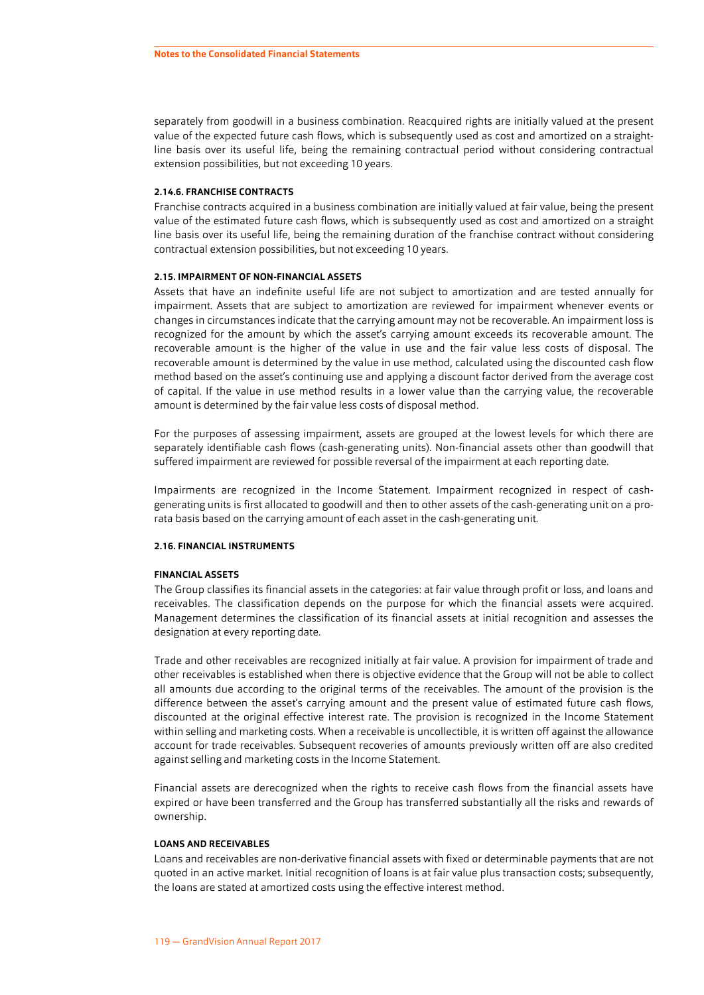<span id="page-15-0"></span>separately from goodwill in a business combination. Reacquired rights are initially valued at the present value of the expected future cash flows, which is subsequently used as cost and amortized on a straightline basis over its useful life, being the remaining contractual period without considering contractual extension possibilities, but not exceeding 10 years.

#### **2.14.6. FRANCHISE CONTRACTS**

Franchise contracts acquired in a business combination are initially valued at fair value, being the present value of the estimated future cash flows, which is subsequently used as cost and amortized on a straight line basis over its useful life, being the remaining duration of the franchise contract without considering contractual extension possibilities, but not exceeding 10 years.

#### **2.15. IMPAIRMENT OF NON-FINANCIAL ASSETS**

Assets that have an indefinite useful life are not subject to amortization and are tested annually for impairment. Assets that are subject to amortization are reviewed for impairment whenever events or changes in circumstances indicate that the carrying amount may not be recoverable. An impairment loss is recognized for the amount by which the asset's carrying amount exceeds its recoverable amount. The recoverable amount is the higher of the value in use and the fair value less costs of disposal. The recoverable amount is determined by the value in use method, calculated using the discounted cash flow method based on the asset's continuing use and applying a discount factor derived from the average cost of capital. If the value in use method results in a lower value than the carrying value, the recoverable amount is determined by the fair value less costs of disposal method.

For the purposes of assessing impairment, assets are grouped at the lowest levels for which there are separately identifiable cash flows (cash-generating units). Non-financial assets other than goodwill that suffered impairment are reviewed for possible reversal of the impairment at each reporting date.

Impairments are recognized in the Income Statement. Impairment recognized in respect of cashgenerating units is first allocated to goodwill and then to other assets of the cash-generating unit on a prorata basis based on the carrying amount of each asset in the cash-generating unit.

#### **2.16. FINANCIAL INSTRUMENTS**

#### **FINANCIAL ASSETS**

The Group classifies its financial assets in the categories: at fair value through profit or loss, and loans and receivables. The classification depends on the purpose for which the financial assets were acquired. Management determines the classification of its financial assets at initial recognition and assesses the designation at every reporting date.

Trade and other receivables are recognized initially at fair value. A provision for impairment of trade and other receivables is established when there is objective evidence that the Group will not be able to collect all amounts due according to the original terms of the receivables. The amount of the provision is the difference between the asset's carrying amount and the present value of estimated future cash flows, discounted at the original effective interest rate. The provision is recognized in the Income Statement within selling and marketing costs. When a receivable is uncollectible, it is written off against the allowance account for trade receivables. Subsequent recoveries of amounts previously written off are also credited against selling and marketing costs in the Income Statement.

Financial assets are derecognized when the rights to receive cash flows from the financial assets have expired or have been transferred and the Group has transferred substantially all the risks and rewards of ownership.

#### **LOANS AND RECEIVABLES**

Loans and receivables are non-derivative financial assets with fixed or determinable payments that are not quoted in an active market. Initial recognition of loans is at fair value plus transaction costs; subsequently, the loans are stated at amortized costs using the effective interest method.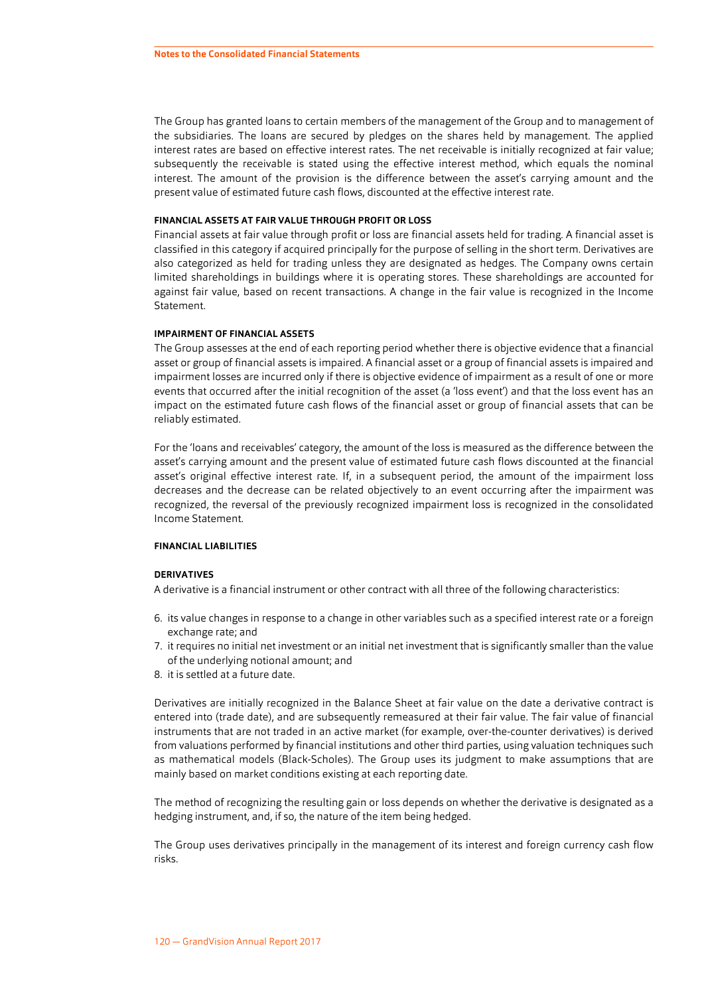The Group has granted loans to certain members of the management of the Group and to management of the subsidiaries. The loans are secured by pledges on the shares held by management. The applied interest rates are based on effective interest rates. The net receivable is initially recognized at fair value; subsequently the receivable is stated using the effective interest method, which equals the nominal interest. The amount of the provision is the difference between the asset's carrying amount and the present value of estimated future cash flows, discounted at the effective interest rate.

#### **FINANCIAL ASSETS AT FAIR VALUE THROUGH PROFIT OR LOSS**

Financial assets at fair value through profit or loss are financial assets held for trading. A financial asset is classified in this category if acquired principally for the purpose of selling in the short term. Derivatives are also categorized as held for trading unless they are designated as hedges. The Company owns certain limited shareholdings in buildings where it is operating stores. These shareholdings are accounted for against fair value, based on recent transactions. A change in the fair value is recognized in the Income Statement.

#### **IMPAIRMENT OF FINANCIAL ASSETS**

The Group assesses at the end of each reporting period whether there is objective evidence that a financial asset or group of financial assets is impaired. A financial asset or a group of financial assets is impaired and impairment losses are incurred only if there is objective evidence of impairment as a result of one or more events that occurred after the initial recognition of the asset (a 'loss event') and that the loss event has an impact on the estimated future cash flows of the financial asset or group of financial assets that can be reliably estimated.

For the 'loans and receivables' category, the amount of the loss is measured as the difference between the asset's carrying amount and the present value of estimated future cash flows discounted at the financial asset's original effective interest rate. If, in a subsequent period, the amount of the impairment loss decreases and the decrease can be related objectively to an event occurring after the impairment was recognized, the reversal of the previously recognized impairment loss is recognized in the consolidated Income Statement.

#### **FINANCIAL LIABILITIES**

#### **DERIVATIVES**

A derivative is a financial instrument or other contract with all three of the following characteristics:

- 6. its value changes in response to a change in other variables such as a specified interest rate or a foreign exchange rate; and
- 7. it requires no initial net investment or an initial net investment that is significantly smaller than the value of the underlying notional amount; and
- 8. it is settled at a future date.

Derivatives are initially recognized in the Balance Sheet at fair value on the date a derivative contract is entered into (trade date), and are subsequently remeasured at their fair value. The fair value of financial instruments that are not traded in an active market (for example, over-the-counter derivatives) is derived from valuations performed by financial institutions and other third parties, using valuation techniques such as mathematical models (Black-Scholes). The Group uses its judgment to make assumptions that are mainly based on market conditions existing at each reporting date.

The method of recognizing the resulting gain or loss depends on whether the derivative is designated as a hedging instrument, and, if so, the nature of the item being hedged.

The Group uses derivatives principally in the management of its interest and foreign currency cash flow risks.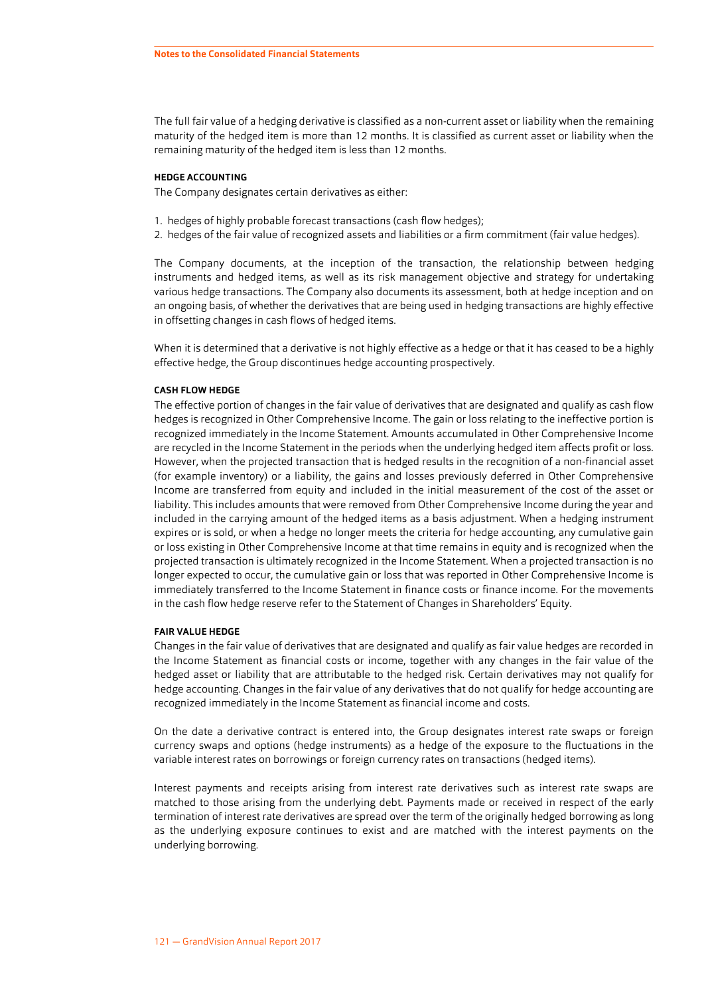The full fair value of a hedging derivative is classified as a non-current asset or liability when the remaining maturity of the hedged item is more than 12 months. It is classified as current asset or liability when the remaining maturity of the hedged item is less than 12 months.

#### **HEDGE ACCOUNTING**

The Company designates certain derivatives as either:

- 1. hedges of highly probable forecast transactions (cash flow hedges);
- 2. hedges of the fair value of recognized assets and liabilities or a firm commitment (fair value hedges).

The Company documents, at the inception of the transaction, the relationship between hedging instruments and hedged items, as well as its risk management objective and strategy for undertaking various hedge transactions. The Company also documents its assessment, both at hedge inception and on an ongoing basis, of whether the derivatives that are being used in hedging transactions are highly effective in offsetting changes in cash flows of hedged items.

When it is determined that a derivative is not highly effective as a hedge or that it has ceased to be a highly effective hedge, the Group discontinues hedge accounting prospectively.

#### **CASH FLOW HEDGE**

The effective portion of changes in the fair value of derivatives that are designated and qualify as cash flow hedges is recognized in Other Comprehensive Income. The gain or loss relating to the ineffective portion is recognized immediately in the Income Statement. Amounts accumulated in Other Comprehensive Income are recycled in the Income Statement in the periods when the underlying hedged item affects profit or loss. However, when the projected transaction that is hedged results in the recognition of a non-financial asset (for example inventory) or a liability, the gains and losses previously deferred in Other Comprehensive Income are transferred from equity and included in the initial measurement of the cost of the asset or liability. This includes amounts that were removed from Other Comprehensive Income during the year and included in the carrying amount of the hedged items as a basis adjustment. When a hedging instrument expires or is sold, or when a hedge no longer meets the criteria for hedge accounting, any cumulative gain or loss existing in Other Comprehensive Income at that time remains in equity and is recognized when the projected transaction is ultimately recognized in the Income Statement. When a projected transaction is no longer expected to occur, the cumulative gain or loss that was reported in Other Comprehensive Income is immediately transferred to the Income Statement in finance costs or finance income. For the movements in the cash flow hedge reserve refer to the Statement of Changes in Shareholders' Equity.

#### **FAIR VALUE HEDGE**

Changes in the fair value of derivatives that are designated and qualify as fair value hedges are recorded in the Income Statement as financial costs or income, together with any changes in the fair value of the hedged asset or liability that are attributable to the hedged risk. Certain derivatives may not qualify for hedge accounting. Changes in the fair value of any derivatives that do not qualify for hedge accounting are recognized immediately in the Income Statement as financial income and costs.

On the date a derivative contract is entered into, the Group designates interest rate swaps or foreign currency swaps and options (hedge instruments) as a hedge of the exposure to the fluctuations in the variable interest rates on borrowings or foreign currency rates on transactions (hedged items).

Interest payments and receipts arising from interest rate derivatives such as interest rate swaps are matched to those arising from the underlying debt. Payments made or received in respect of the early termination of interest rate derivatives are spread over the term of the originally hedged borrowing as long as the underlying exposure continues to exist and are matched with the interest payments on the underlying borrowing.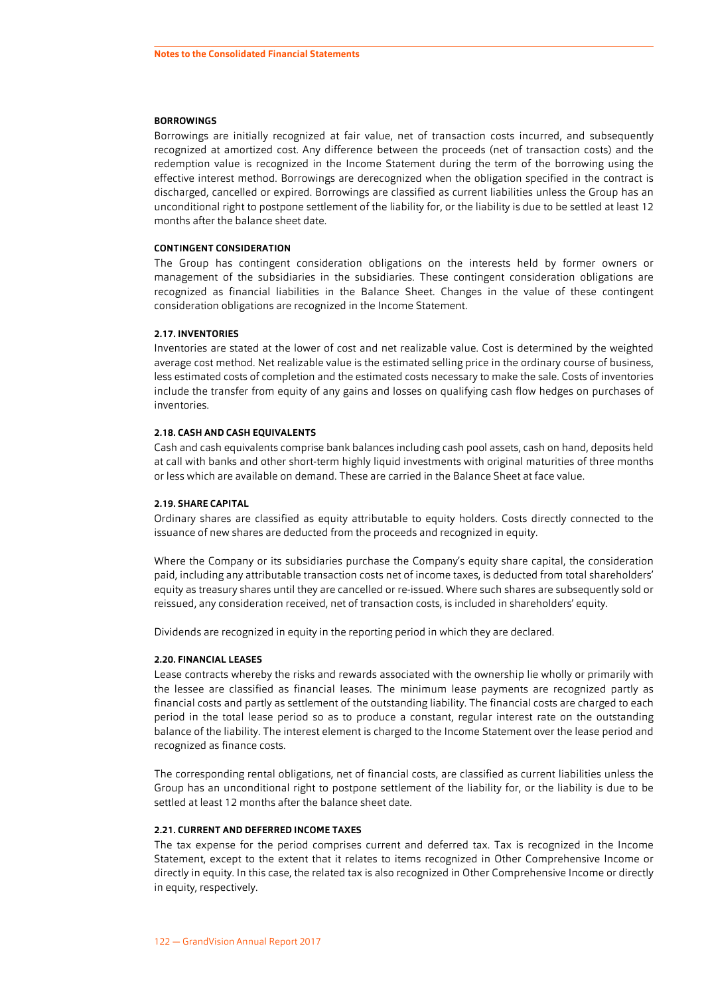#### <span id="page-18-0"></span>**BORROWINGS**

Borrowings are initially recognized at fair value, net of transaction costs incurred, and subsequently recognized at amortized cost. Any difference between the proceeds (net of transaction costs) and the redemption value is recognized in the Income Statement during the term of the borrowing using the effective interest method. Borrowings are derecognized when the obligation specified in the contract is discharged, cancelled or expired. Borrowings are classified as current liabilities unless the Group has an unconditional right to postpone settlement of the liability for, or the liability is due to be settled at least 12 months after the balance sheet date.

#### **CONTINGENT CONSIDERATION**

The Group has contingent consideration obligations on the interests held by former owners or management of the subsidiaries in the subsidiaries. These contingent consideration obligations are recognized as financial liabilities in the Balance Sheet. Changes in the value of these contingent consideration obligations are recognized in the Income Statement.

#### **2.17. INVENTORIES**

Inventories are stated at the lower of cost and net realizable value. Cost is determined by the weighted average cost method. Net realizable value is the estimated selling price in the ordinary course of business, less estimated costs of completion and the estimated costs necessary to make the sale. Costs of inventories include the transfer from equity of any gains and losses on qualifying cash flow hedges on purchases of inventories.

#### **2.18. CASH AND CASH EQUIVALENTS**

Cash and cash equivalents comprise bank balances including cash pool assets, cash on hand, deposits held at call with banks and other short-term highly liquid investments with original maturities of three months or less which are available on demand. These are carried in the Balance Sheet at face value.

#### **2.19. SHARE CAPITAL**

Ordinary shares are classified as equity attributable to equity holders. Costs directly connected to the issuance of new shares are deducted from the proceeds and recognized in equity.

Where the Company or its subsidiaries purchase the Company's equity share capital, the consideration paid, including any attributable transaction costs net of income taxes, is deducted from total shareholders' equity as treasury shares until they are cancelled or re-issued. Where such shares are subsequently sold or reissued, any consideration received, net of transaction costs, is included in shareholders' equity.

Dividends are recognized in equity in the reporting period in which they are declared.

#### **2.20. FINANCIAL LEASES**

Lease contracts whereby the risks and rewards associated with the ownership lie wholly or primarily with the lessee are classified as financial leases. The minimum lease payments are recognized partly as financial costs and partly as settlement of the outstanding liability. The financial costs are charged to each period in the total lease period so as to produce a constant, regular interest rate on the outstanding balance of the liability. The interest element is charged to the Income Statement over the lease period and recognized as finance costs.

The corresponding rental obligations, net of financial costs, are classified as current liabilities unless the Group has an unconditional right to postpone settlement of the liability for, or the liability is due to be settled at least 12 months after the balance sheet date.

#### **2.21. CURRENT AND DEFERRED INCOME TAXES**

The tax expense for the period comprises current and deferred tax. Tax is recognized in the Income Statement, except to the extent that it relates to items recognized in Other Comprehensive Income or directly in equity. In this case, the related tax is also recognized in Other Comprehensive Income or directly in equity, respectively.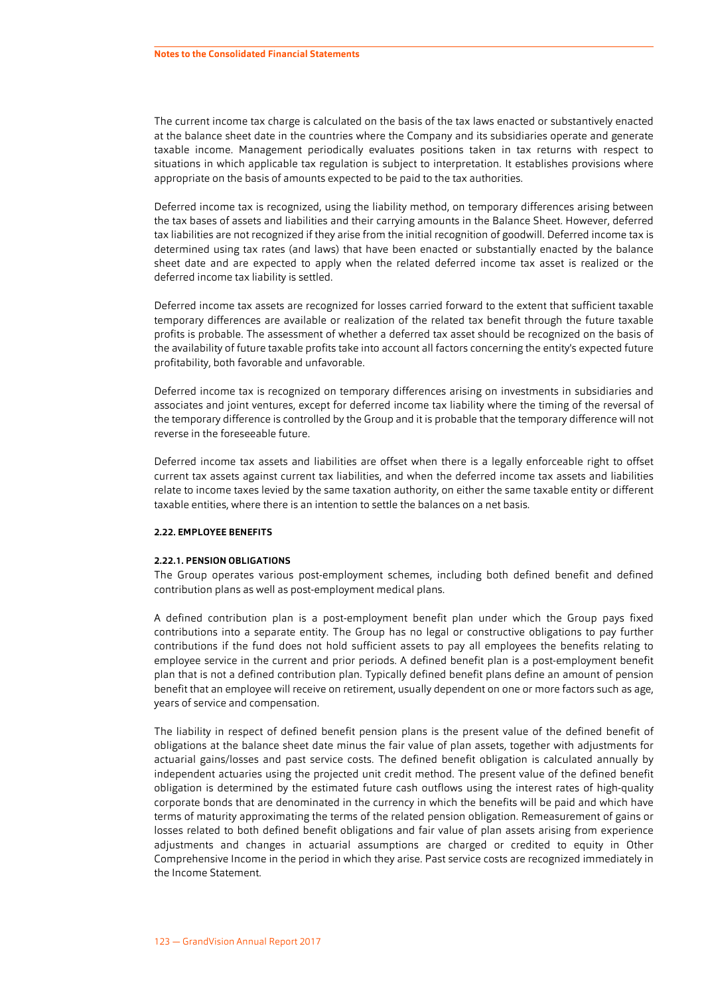The current income tax charge is calculated on the basis of the tax laws enacted or substantively enacted at the balance sheet date in the countries where the Company and its subsidiaries operate and generate taxable income. Management periodically evaluates positions taken in tax returns with respect to situations in which applicable tax regulation is subject to interpretation. It establishes provisions where appropriate on the basis of amounts expected to be paid to the tax authorities.

Deferred income tax is recognized, using the liability method, on temporary differences arising between the tax bases of assets and liabilities and their carrying amounts in the Balance Sheet. However, deferred tax liabilities are not recognized if they arise from the initial recognition of goodwill. Deferred income tax is determined using tax rates (and laws) that have been enacted or substantially enacted by the balance sheet date and are expected to apply when the related deferred income tax asset is realized or the deferred income tax liability is settled.

Deferred income tax assets are recognized for losses carried forward to the extent that sufficient taxable temporary differences are available or realization of the related tax benefit through the future taxable profits is probable. The assessment of whether a deferred tax asset should be recognized on the basis of the availability of future taxable profits take into account all factors concerning the entity's expected future profitability, both favorable and unfavorable.

Deferred income tax is recognized on temporary differences arising on investments in subsidiaries and associates and joint ventures, except for deferred income tax liability where the timing of the reversal of the temporary difference is controlled by the Group and it is probable that the temporary difference will not reverse in the foreseeable future.

Deferred income tax assets and liabilities are offset when there is a legally enforceable right to offset current tax assets against current tax liabilities, and when the deferred income tax assets and liabilities relate to income taxes levied by the same taxation authority, on either the same taxable entity or different taxable entities, where there is an intention to settle the balances on a net basis.

#### **2.22. EMPLOYEE BENEFITS**

#### **2.22.1. PENSION OBLIGATIONS**

The Group operates various post-employment schemes, including both defined benefit and defined contribution plans as well as post-employment medical plans.

A defined contribution plan is a post-employment benefit plan under which the Group pays fixed contributions into a separate entity. The Group has no legal or constructive obligations to pay further contributions if the fund does not hold sufficient assets to pay all employees the benefits relating to employee service in the current and prior periods. A defined benefit plan is a post-employment benefit plan that is not a defined contribution plan. Typically defined benefit plans define an amount of pension benefit that an employee will receive on retirement, usually dependent on one or more factors such as age, years of service and compensation.

The liability in respect of defined benefit pension plans is the present value of the defined benefit of obligations at the balance sheet date minus the fair value of plan assets, together with adjustments for actuarial gains/losses and past service costs. The defined benefit obligation is calculated annually by independent actuaries using the projected unit credit method. The present value of the defined benefit obligation is determined by the estimated future cash outflows using the interest rates of high-quality corporate bonds that are denominated in the currency in which the benefits will be paid and which have terms of maturity approximating the terms of the related pension obligation. Remeasurement of gains or losses related to both defined benefit obligations and fair value of plan assets arising from experience adjustments and changes in actuarial assumptions are charged or credited to equity in Other Comprehensive Income in the period in which they arise. Past service costs are recognized immediately in the Income Statement.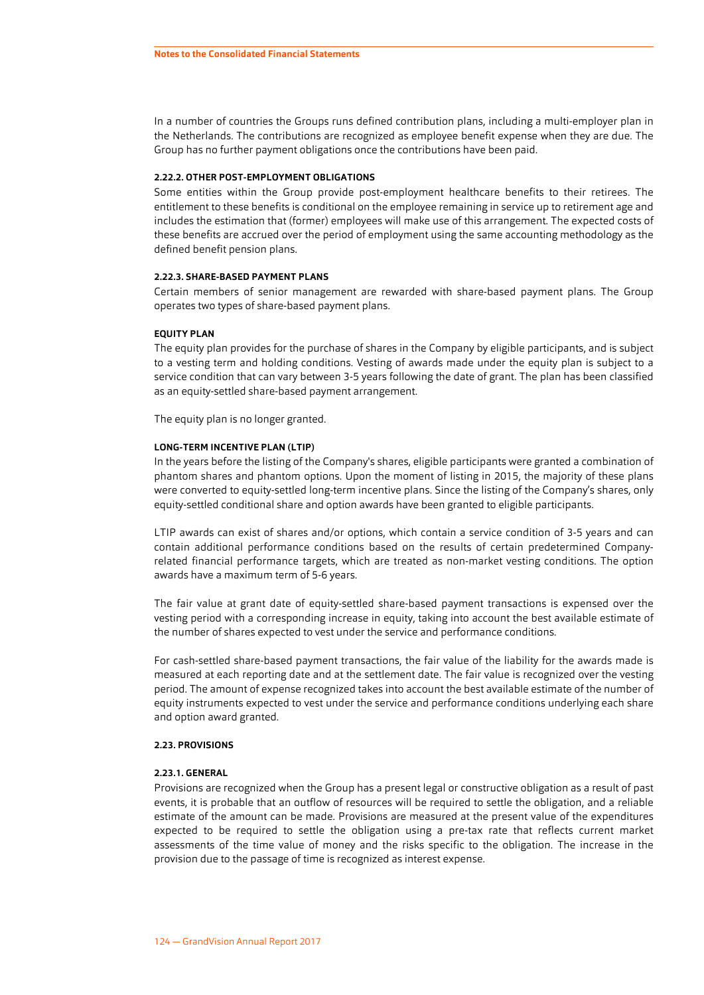In a number of countries the Groups runs defined contribution plans, including a multi-employer plan in the Netherlands. The contributions are recognized as employee benefit expense when they are due. The Group has no further payment obligations once the contributions have been paid.

#### **2.22.2. OTHER POST-EMPLOYMENT OBLIGATIONS**

Some entities within the Group provide post-employment healthcare benefits to their retirees. The entitlement to these benefits is conditional on the employee remaining in service up to retirement age and includes the estimation that (former) employees will make use of this arrangement. The expected costs of these benefits are accrued over the period of employment using the same accounting methodology as the defined benefit pension plans.

#### **2.22.3. SHARE-BASED PAYMENT PLANS**

Certain members of senior management are rewarded with share-based payment plans. The Group operates two types of share-based payment plans.

#### **EQUITY PLAN**

The equity plan provides for the purchase of shares in the Company by eligible participants, and is subject to a vesting term and holding conditions. Vesting of awards made under the equity plan is subject to a service condition that can vary between 3-5 years following the date of grant. The plan has been classified as an equity-settled share-based payment arrangement.

The equity plan is no longer granted.

#### **LONG-TERM INCENTIVE PLAN (LTIP)**

In the years before the listing of the Company's shares, eligible participants were granted a combination of phantom shares and phantom options. Upon the moment of listing in 2015, the majority of these plans were converted to equity-settled long-term incentive plans. Since the listing of the Company's shares, only equity-settled conditional share and option awards have been granted to eligible participants.

LTIP awards can exist of shares and/or options, which contain a service condition of 3-5 years and can contain additional performance conditions based on the results of certain predetermined Companyrelated financial performance targets, which are treated as non-market vesting conditions. The option awards have a maximum term of 5-6 years.

The fair value at grant date of equity-settled share-based payment transactions is expensed over the vesting period with a corresponding increase in equity, taking into account the best available estimate of the number of shares expected to vest under the service and performance conditions.

For cash-settled share-based payment transactions, the fair value of the liability for the awards made is measured at each reporting date and at the settlement date. The fair value is recognized over the vesting period. The amount of expense recognized takes into account the best available estimate of the number of equity instruments expected to vest under the service and performance conditions underlying each share and option award granted.

#### **2.23. PROVISIONS**

#### **2.23.1. GENERAL**

Provisions are recognized when the Group has a present legal or constructive obligation as a result of past events, it is probable that an outflow of resources will be required to settle the obligation, and a reliable estimate of the amount can be made. Provisions are measured at the present value of the expenditures expected to be required to settle the obligation using a pre-tax rate that reflects current market assessments of the time value of money and the risks specific to the obligation. The increase in the provision due to the passage of time is recognized as interest expense.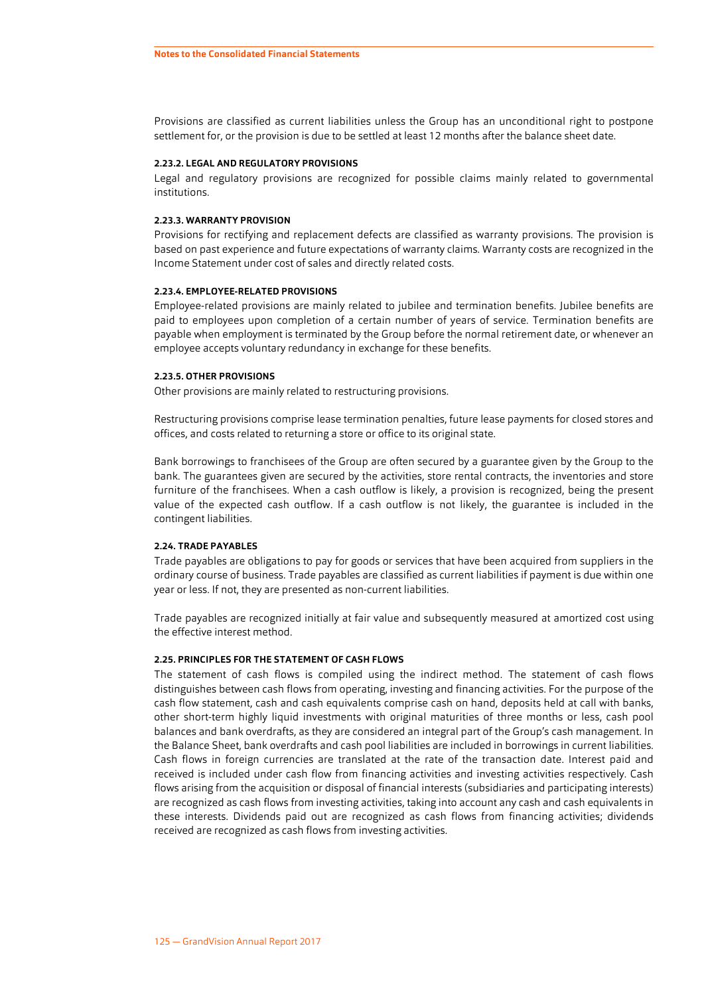<span id="page-21-0"></span>Provisions are classified as current liabilities unless the Group has an unconditional right to postpone settlement for, or the provision is due to be settled at least 12 months after the balance sheet date.

#### **2.23.2. LEGAL AND REGULATORY PROVISIONS**

Legal and regulatory provisions are recognized for possible claims mainly related to governmental institutions.

#### **2.23.3. WARRANTY PROVISION**

Provisions for rectifying and replacement defects are classified as warranty provisions. The provision is based on past experience and future expectations of warranty claims. Warranty costs are recognized in the Income Statement under cost of sales and directly related costs.

#### **2.23.4. EMPLOYEE-RELATED PROVISIONS**

Employee-related provisions are mainly related to jubilee and termination benefits. Jubilee benefits are paid to employees upon completion of a certain number of years of service. Termination benefits are payable when employment is terminated by the Group before the normal retirement date, or whenever an employee accepts voluntary redundancy in exchange for these benefits.

#### **2.23.5. OTHER PROVISIONS**

Other provisions are mainly related to restructuring provisions.

Restructuring provisions comprise lease termination penalties, future lease payments for closed stores and offices, and costs related to returning a store or office to its original state.

Bank borrowings to franchisees of the Group are often secured by a guarantee given by the Group to the bank. The guarantees given are secured by the activities, store rental contracts, the inventories and store furniture of the franchisees. When a cash outflow is likely, a provision is recognized, being the present value of the expected cash outflow. If a cash outflow is not likely, the guarantee is included in the contingent liabilities.

#### **2.24. TRADE PAYABLES**

Trade payables are obligations to pay for goods or services that have been acquired from suppliers in the ordinary course of business. Trade payables are classified as current liabilities if payment is due within one year or less. If not, they are presented as non-current liabilities.

Trade payables are recognized initially at fair value and subsequently measured at amortized cost using the effective interest method.

#### **2.25. PRINCIPLES FOR THE STATEMENT OF CASH FLOWS**

The statement of cash flows is compiled using the indirect method. The statement of cash flows distinguishes between cash flows from operating, investing and financing activities. For the purpose of the cash flow statement, cash and cash equivalents comprise cash on hand, deposits held at call with banks, other short-term highly liquid investments with original maturities of three months or less, cash pool balances and bank overdrafts, as they are considered an integral part of the Group's cash management. In the Balance Sheet, bank overdrafts and cash pool liabilities are included in borrowings in current liabilities. Cash flows in foreign currencies are translated at the rate of the transaction date. Interest paid and received is included under cash flow from financing activities and investing activities respectively. Cash flows arising from the acquisition or disposal of financial interests (subsidiaries and participating interests) are recognized as cash flows from investing activities, taking into account any cash and cash equivalents in these interests. Dividends paid out are recognized as cash flows from financing activities; dividends received are recognized as cash flows from investing activities.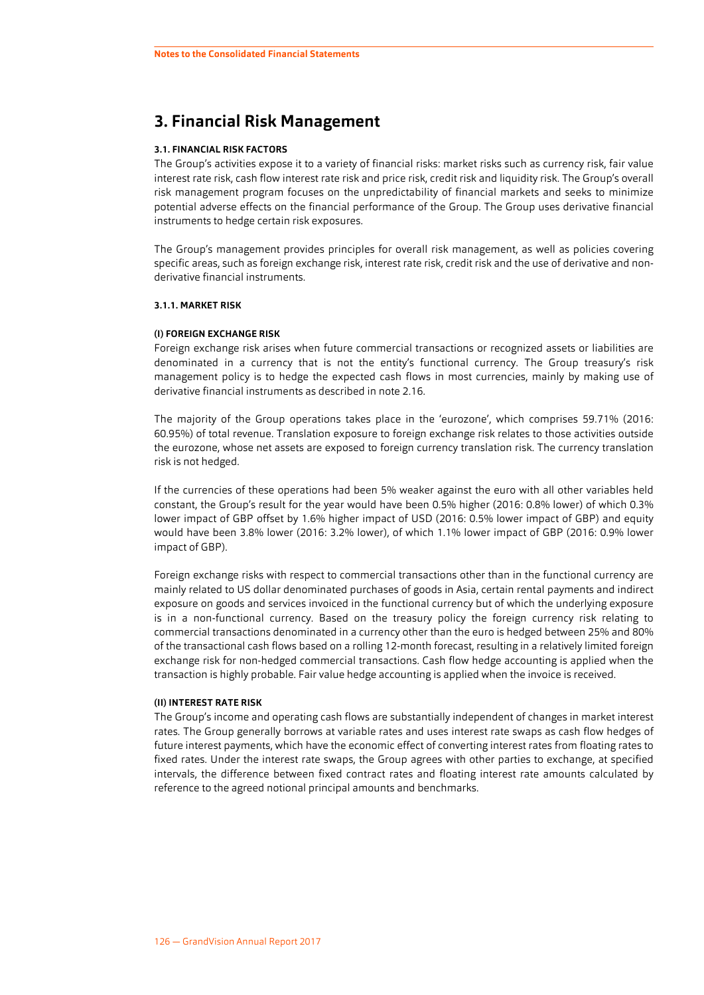# <span id="page-22-0"></span>**3. Financial Risk Management**

#### **3.1. FINANCIAL RISK FACTORS**

The Group's activities expose it to a variety of financial risks: market risks such as currency risk, fair value interest rate risk, cash flow interest rate risk and price risk, credit risk and liquidity risk. The Group's overall risk management program focuses on the unpredictability of financial markets and seeks to minimize potential adverse effects on the financial performance of the Group. The Group uses derivative financial instruments to hedge certain risk exposures.

The Group's management provides principles for overall risk management, as well as policies covering specific areas, such as foreign exchange risk, interest rate risk, credit risk and the use of derivative and nonderivative financial instruments.

#### **3.1.1. MARKET RISK**

#### **(I) FOREIGN EXCHANGE RISK**

Foreign exchange risk arises when future commercial transactions or recognized assets or liabilities are denominated in a currency that is not the entity's functional currency. The Group treasury's risk management policy is to hedge the expected cash flows in most currencies, mainly by making use of derivative financial instruments as described in note [2.16.](#page-15-0)

The majority of the Group operations takes place in the 'eurozone', which comprises 59.71% (2016: 60.95%) of total revenue. Translation exposure to foreign exchange risk relates to those activities outside the eurozone, whose net assets are exposed to foreign currency translation risk. The currency translation risk is not hedged.

If the currencies of these operations had been 5% weaker against the euro with all other variables held constant, the Group's result for the year would have been 0.5% higher (2016: 0.8% lower) of which 0.3% lower impact of GBP offset by 1.6% higher impact of USD (2016: 0.5% lower impact of GBP) and equity would have been 3.8% lower (2016: 3.2% lower), of which 1.1% lower impact of GBP (2016: 0.9% lower impact of GBP).

Foreign exchange risks with respect to commercial transactions other than in the functional currency are mainly related to US dollar denominated purchases of goods in Asia, certain rental payments and indirect exposure on goods and services invoiced in the functional currency but of which the underlying exposure is in a non-functional currency. Based on the treasury policy the foreign currency risk relating to commercial transactions denominated in a currency other than the euro is hedged between 25% and 80% of the transactional cash flows based on a rolling 12-month forecast, resulting in a relatively limited foreign exchange risk for non-hedged commercial transactions. Cash flow hedge accounting is applied when the transaction is highly probable. Fair value hedge accounting is applied when the invoice is received.

#### **(II) INTEREST RATE RISK**

The Group's income and operating cash flows are substantially independent of changes in market interest rates. The Group generally borrows at variable rates and uses interest rate swaps as cash flow hedges of future interest payments, which have the economic effect of converting interest rates from floating rates to fixed rates. Under the interest rate swaps, the Group agrees with other parties to exchange, at specified intervals, the difference between fixed contract rates and floating interest rate amounts calculated by reference to the agreed notional principal amounts and benchmarks.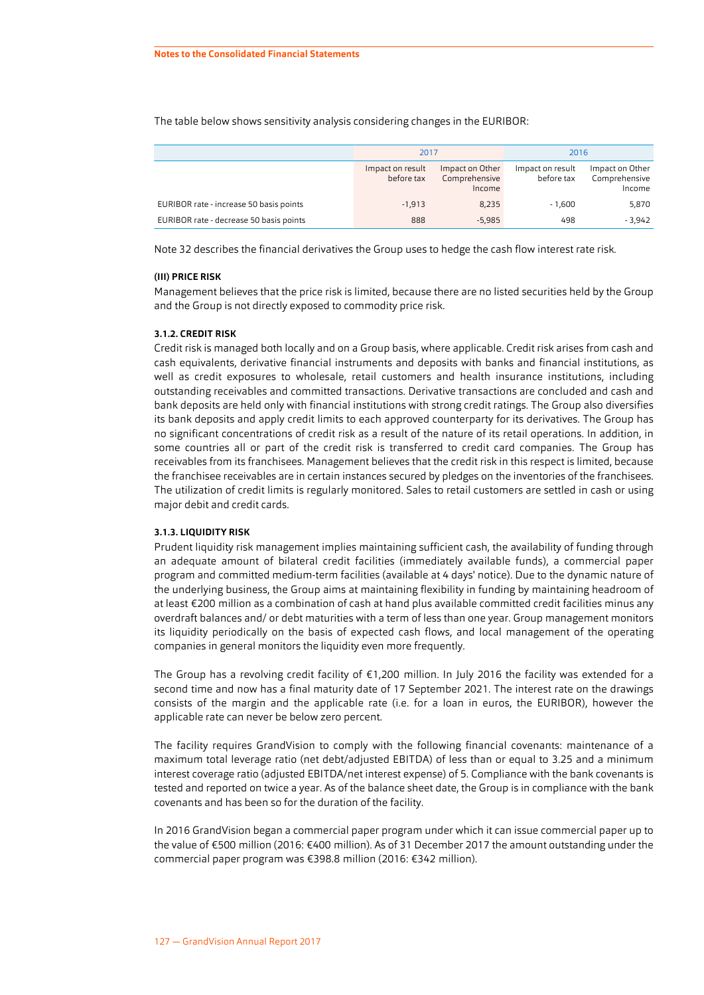The table below shows sensitivity analysis considering changes in the EURIBOR:

|                                         | 2017                           |                                            | 2016                           |                                            |  |
|-----------------------------------------|--------------------------------|--------------------------------------------|--------------------------------|--------------------------------------------|--|
|                                         | Impact on result<br>before tax | Impact on Other<br>Comprehensive<br>Income | Impact on result<br>before tax | Impact on Other<br>Comprehensive<br>Income |  |
| EURIBOR rate - increase 50 basis points | $-1.913$                       | 8.235                                      | $-1.600$                       | 5,870                                      |  |
| EURIBOR rate - decrease 50 basis points | 888                            | $-5.985$                                   | 498                            | $-3.942$                                   |  |

Note [32](#page-60-0) describes the financial derivatives the Group uses to hedge the cash flow interest rate risk.

#### **(III) PRICE RISK**

Management believes that the price risk is limited, because there are no listed securities held by the Group and the Group is not directly exposed to commodity price risk.

#### **3.1.2. CREDIT RISK**

Credit risk is managed both locally and on a Group basis, where applicable. Credit risk arises from cash and cash equivalents, derivative financial instruments and deposits with banks and financial institutions, as well as credit exposures to wholesale, retail customers and health insurance institutions, including outstanding receivables and committed transactions. Derivative transactions are concluded and cash and bank deposits are held only with financial institutions with strong credit ratings. The Group also diversifies its bank deposits and apply credit limits to each approved counterparty for its derivatives. The Group has no significant concentrations of credit risk as a result of the nature of its retail operations. In addition, in some countries all or part of the credit risk is transferred to credit card companies. The Group has receivables from its franchisees. Management believes that the credit risk in this respect is limited, because the franchisee receivables are in certain instances secured by pledges on the inventories of the franchisees. The utilization of credit limits is regularly monitored. Sales to retail customers are settled in cash or using major debit and credit cards.

#### **3.1.3. LIQUIDITY RISK**

Prudent liquidity risk management implies maintaining sufficient cash, the availability of funding through an adequate amount of bilateral credit facilities (immediately available funds), a commercial paper program and committed medium-term facilities (available at 4 days' notice). Due to the dynamic nature of the underlying business, the Group aims at maintaining flexibility in funding by maintaining headroom of at least €200 million as a combination of cash at hand plus available committed credit facilities minus any overdraft balances and/ or debt maturities with a term of less than one year. Group management monitors its liquidity periodically on the basis of expected cash flows, and local management of the operating companies in general monitors the liquidity even more frequently.

The Group has a revolving credit facility of €1,200 million. In July 2016 the facility was extended for a second time and now has a final maturity date of 17 September 2021. The interest rate on the drawings consists of the margin and the applicable rate (i.e. for a loan in euros, the EURIBOR), however the applicable rate can never be below zero percent.

The facility requires GrandVision to comply with the following financial covenants: maintenance of a maximum total leverage ratio (net debt/adjusted EBITDA) of less than or equal to 3.25 and a minimum interest coverage ratio (adjusted EBITDA/net interest expense) of 5. Compliance with the bank covenants is tested and reported on twice a year. As of the balance sheet date, the Group is in compliance with the bank covenants and has been so for the duration of the facility.

In 2016 GrandVision began a commercial paper program under which it can issue commercial paper up to the value of €500 million (2016: €400 million). As of 31 December 2017 the amount outstanding under the commercial paper program was €398.8 million (2016: €342 million).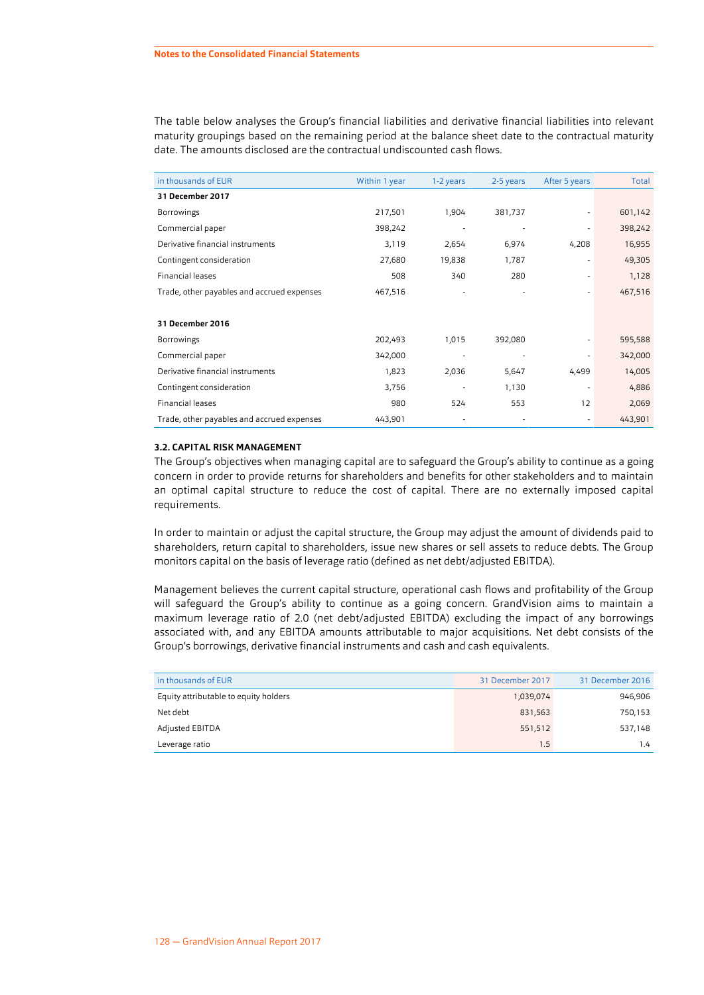The table below analyses the Group's financial liabilities and derivative financial liabilities into relevant maturity groupings based on the remaining period at the balance sheet date to the contractual maturity date. The amounts disclosed are the contractual undiscounted cash flows.

| in thousands of EUR                        | Within 1 year | 1-2 years | 2-5 years | After 5 years | Total   |
|--------------------------------------------|---------------|-----------|-----------|---------------|---------|
| 31 December 2017                           |               |           |           |               |         |
| <b>Borrowings</b>                          | 217,501       | 1,904     | 381,737   |               | 601,142 |
| Commercial paper                           | 398,242       |           |           |               | 398,242 |
| Derivative financial instruments           | 3,119         | 2,654     | 6,974     | 4,208         | 16,955  |
| Contingent consideration                   | 27,680        | 19,838    | 1,787     |               | 49,305  |
| Financial leases                           | 508           | 340       | 280       |               | 1,128   |
| Trade, other payables and accrued expenses | 467,516       |           |           |               | 467,516 |
|                                            |               |           |           |               |         |
| 31 December 2016                           |               |           |           |               |         |
| <b>Borrowings</b>                          | 202,493       | 1,015     | 392,080   |               | 595,588 |
| Commercial paper                           | 342,000       |           |           |               | 342,000 |
| Derivative financial instruments           | 1,823         | 2,036     | 5,647     | 4,499         | 14,005  |
| Contingent consideration                   | 3,756         |           | 1,130     |               | 4,886   |
| Financial leases                           | 980           | 524       | 553       | 12            | 2,069   |
| Trade, other payables and accrued expenses | 443,901       |           |           |               | 443,901 |

#### **3.2. CAPITAL RISK MANAGEMENT**

The Group's objectives when managing capital are to safeguard the Group's ability to continue as a going concern in order to provide returns for shareholders and benefits for other stakeholders and to maintain an optimal capital structure to reduce the cost of capital. There are no externally imposed capital requirements.

In order to maintain or adjust the capital structure, the Group may adjust the amount of dividends paid to shareholders, return capital to shareholders, issue new shares or sell assets to reduce debts. The Group monitors capital on the basis of leverage ratio (defined as net debt/adjusted EBITDA).

Management believes the current capital structure, operational cash flows and profitability of the Group will safeguard the Group's ability to continue as a going concern. GrandVision aims to maintain a maximum leverage ratio of 2.0 (net debt/adjusted EBITDA) excluding the impact of any borrowings associated with, and any EBITDA amounts attributable to major acquisitions. Net debt consists of the Group's borrowings, derivative financial instruments and cash and cash equivalents.

| in thousands of EUR                   | 31 December 2017 | 31 December 2016 |
|---------------------------------------|------------------|------------------|
| Equity attributable to equity holders | 1,039,074        | 946,906          |
| Net debt                              | 831,563          | 750,153          |
| Adjusted EBITDA                       | 551,512          | 537,148          |
| Leverage ratio                        | 1.5              | 1.4              |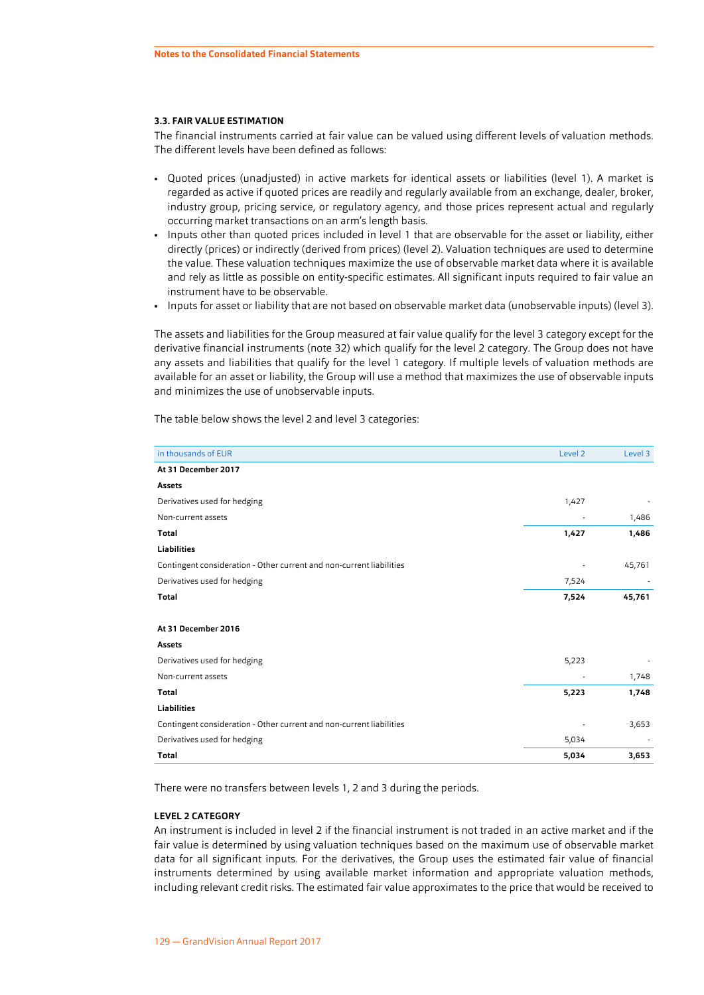#### <span id="page-25-0"></span>**3.3. FAIR VALUE ESTIMATION**

The financial instruments carried at fair value can be valued using different levels of valuation methods. The different levels have been defined as follows:

- Quoted prices (unadjusted) in active markets for identical assets or liabilities (level 1). A market is regarded as active if quoted prices are readily and regularly available from an exchange, dealer, broker, industry group, pricing service, or regulatory agency, and those prices represent actual and regularly occurring market transactions on an arm's length basis.
- Inputs other than quoted prices included in level 1 that are observable for the asset or liability, either directly (prices) or indirectly (derived from prices) (level 2). Valuation techniques are used to determine the value. These valuation techniques maximize the use of observable market data where it is available and rely as little as possible on entity-specific estimates. All significant inputs required to fair value an instrument have to be observable.
- Inputs for asset or liability that are not based on observable market data (unobservable inputs) (level 3).

The assets and liabilities for the Group measured at fair value qualify for the level 3 category except for the derivative financial instruments (note 32) which qualify for the level 2 category. The Group does not have any assets and liabilities that qualify for the level 1 category. If multiple levels of valuation methods are available for an asset or liability, the Group will use a method that maximizes the use of observable inputs and minimizes the use of unobservable inputs.

The table below shows the level 2 and level 3 categories:

| in thousands of EUR                                                  | Level <sub>2</sub> | Level 3 |
|----------------------------------------------------------------------|--------------------|---------|
| At 31 December 2017                                                  |                    |         |
| Assets                                                               |                    |         |
| Derivatives used for hedging                                         | 1,427              |         |
| Non-current assets                                                   |                    | 1,486   |
| <b>Total</b>                                                         | 1,427              | 1,486   |
| <b>Liabilities</b>                                                   |                    |         |
| Contingent consideration - Other current and non-current liabilities |                    | 45,761  |
| Derivatives used for hedging                                         | 7,524              |         |
| <b>Total</b>                                                         | 7,524              | 45,761  |
|                                                                      |                    |         |
| At 31 December 2016                                                  |                    |         |
| <b>Assets</b>                                                        |                    |         |
| Derivatives used for hedging                                         | 5,223              |         |
| Non-current assets                                                   |                    | 1,748   |
| <b>Total</b>                                                         | 5,223              | 1,748   |
| <b>Liabilities</b>                                                   |                    |         |
| Contingent consideration - Other current and non-current liabilities |                    | 3,653   |
| Derivatives used for hedging                                         | 5,034              |         |
| <b>Total</b>                                                         | 5,034              | 3,653   |

There were no transfers between levels 1, 2 and 3 during the periods.

#### **LEVEL 2 CATEGORY**

An instrument is included in level 2 if the financial instrument is not traded in an active market and if the fair value is determined by using valuation techniques based on the maximum use of observable market data for all significant inputs. For the derivatives, the Group uses the estimated fair value of financial instruments determined by using available market information and appropriate valuation methods, including relevant credit risks. The estimated fair value approximates to the price that would be received to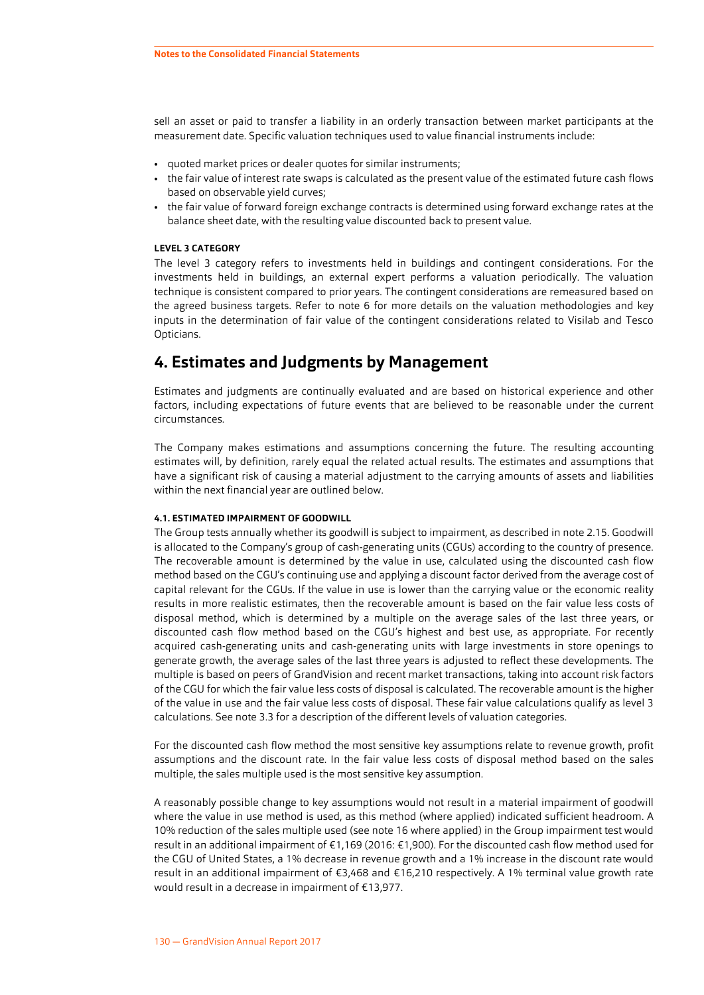<span id="page-26-0"></span>sell an asset or paid to transfer a liability in an orderly transaction between market participants at the measurement date. Specific valuation techniques used to value financial instruments include:

- quoted market prices or dealer quotes for similar instruments;
- the fair value of interest rate swaps is calculated as the present value of the estimated future cash flows based on observable yield curves;
- the fair value of forward foreign exchange contracts is determined using forward exchange rates at the balance sheet date, with the resulting value discounted back to present value.

#### **LEVEL 3 CATEGORY**

The level 3 category refers to investments held in buildings and contingent considerations. For the investments held in buildings, an external expert performs a valuation periodically. The valuation technique is consistent compared to prior years. The contingent considerations are remeasured based on the agreed business targets. Refer to note [6](#page-30-0) for more details on the valuation methodologies and key inputs in the determination of fair value of the contingent considerations related to Visilab and Tesco Opticians.

## **4. Estimates and Judgments by Management**

Estimates and judgments are continually evaluated and are based on historical experience and other factors, including expectations of future events that are believed to be reasonable under the current circumstances.

The Company makes estimations and assumptions concerning the future. The resulting accounting estimates will, by definition, rarely equal the related actual results. The estimates and assumptions that have a significant risk of causing a material adjustment to the carrying amounts of assets and liabilities within the next financial year are outlined below.

#### **4.1. ESTIMATED IMPAIRMENT OF GOODWILL**

The Group tests annually whether its goodwill is subject to impairment, as described in note [2.15.](#page-15-0) Goodwill is allocated to the Company's group of cash-generating units (CGUs) according to the country of presence. The recoverable amount is determined by the value in use, calculated using the discounted cash flow method based on the CGU's continuing use and applying a discount factor derived from the average cost of capital relevant for the CGUs. If the value in use is lower than the carrying value or the economic reality results in more realistic estimates, then the recoverable amount is based on the fair value less costs of disposal method, which is determined by a multiple on the average sales of the last three years, or discounted cash flow method based on the CGU's highest and best use, as appropriate. For recently acquired cash-generating units and cash-generating units with large investments in store openings to generate growth, the average sales of the last three years is adjusted to reflect these developments. The multiple is based on peers of GrandVision and recent market transactions, taking into account risk factors of the CGU for which the fair value less costs of disposal is calculated. The recoverable amount is the higher of the value in use and the fair value less costs of disposal. These fair value calculations qualify as level 3 calculations. See note [3.3](#page-25-0) for a description of the different levels of valuation categories.

For the discounted cash flow method the most sensitive key assumptions relate to revenue growth, profit assumptions and the discount rate. In the fair value less costs of disposal method based on the sales multiple, the sales multiple used is the most sensitive key assumption.

A reasonably possible change to key assumptions would not result in a material impairment of goodwill where the value in use method is used, as this method (where applied) indicated sufficient headroom. A 10% reduction of the sales multiple used (see note [16](#page-39-0) where applied) in the Group impairment test would result in an additional impairment of €1,169 (2016: €1,900). For the discounted cash flow method used for the CGU of United States, a 1% decrease in revenue growth and a 1% increase in the discount rate would result in an additional impairment of €3,468 and €16,210 respectively. A 1% terminal value growth rate would result in a decrease in impairment of €13,977.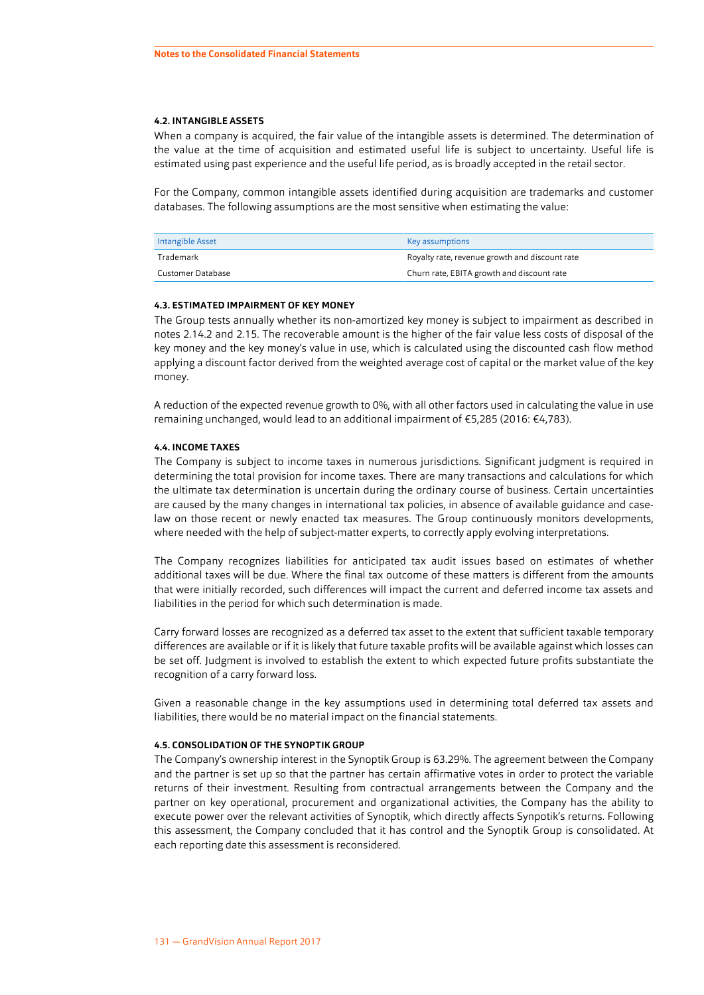#### **4.2. INTANGIBLE ASSETS**

When a company is acquired, the fair value of the intangible assets is determined. The determination of the value at the time of acquisition and estimated useful life is subject to uncertainty. Useful life is estimated using past experience and the useful life period, as is broadly accepted in the retail sector.

For the Company, common intangible assets identified during acquisition are trademarks and customer databases. The following assumptions are the most sensitive when estimating the value:

| Intangible Asset  | Key assumptions                                |
|-------------------|------------------------------------------------|
| Trademark         | Royalty rate, revenue growth and discount rate |
| Customer Database | Churn rate, EBITA growth and discount rate     |

#### **4.3. ESTIMATED IMPAIRMENT OF KEY MONEY**

The Group tests annually whether its non-amortized key money is subject to impairment as described in notes [2.14.2](#page-14-0) and [2.15](#page-15-0). The recoverable amount is the higher of the fair value less costs of disposal of the key money and the key money's value in use, which is calculated using the discounted cash flow method applying a discount factor derived from the weighted average cost of capital or the market value of the key money.

A reduction of the expected revenue growth to 0%, with all other factors used in calculating the value in use remaining unchanged, would lead to an additional impairment of €5,285 (2016: €4,783).

#### **4.4. INCOME TAXES**

The Company is subject to income taxes in numerous jurisdictions. Significant judgment is required in determining the total provision for income taxes. There are many transactions and calculations for which the ultimate tax determination is uncertain during the ordinary course of business. Certain uncertainties are caused by the many changes in international tax policies, in absence of available guidance and caselaw on those recent or newly enacted tax measures. The Group continuously monitors developments, where needed with the help of subject-matter experts, to correctly apply evolving interpretations.

The Company recognizes liabilities for anticipated tax audit issues based on estimates of whether additional taxes will be due. Where the final tax outcome of these matters is different from the amounts that were initially recorded, such differences will impact the current and deferred income tax assets and liabilities in the period for which such determination is made.

Carry forward losses are recognized as a deferred tax asset to the extent that sufficient taxable temporary differences are available or if it is likely that future taxable profits will be available against which losses can be set off. Judgment is involved to establish the extent to which expected future profits substantiate the recognition of a carry forward loss.

Given a reasonable change in the key assumptions used in determining total deferred tax assets and liabilities, there would be no material impact on the financial statements.

#### **4.5. CONSOLIDATION OF THE SYNOPTIK GROUP**

The Company's ownership interest in the Synoptik Group is 63.29%. The agreement between the Company and the partner is set up so that the partner has certain affirmative votes in order to protect the variable returns of their investment. Resulting from contractual arrangements between the Company and the partner on key operational, procurement and organizational activities, the Company has the ability to execute power over the relevant activities of Synoptik, which directly affects Synpotik's returns. Following this assessment, the Company concluded that it has control and the Synoptik Group is consolidated. At each reporting date this assessment is reconsidered.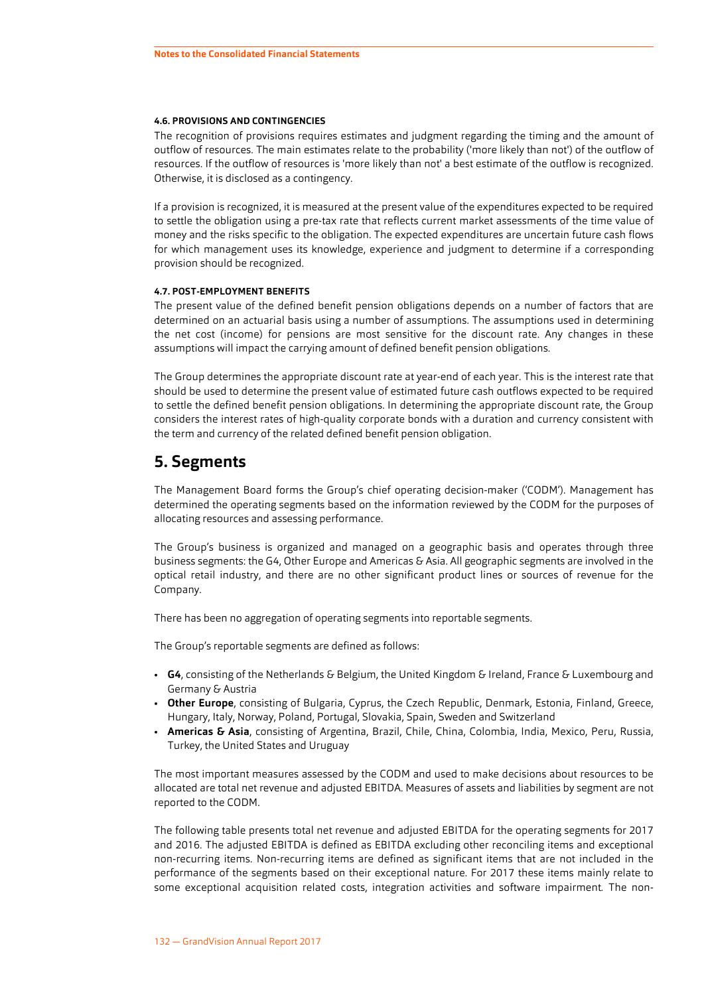#### <span id="page-28-0"></span>**4.6. PROVISIONS AND CONTINGENCIES**

The recognition of provisions requires estimates and judgment regarding the timing and the amount of outflow of resources. The main estimates relate to the probability ('more likely than not') of the outflow of resources. If the outflow of resources is 'more likely than not' a best estimate of the outflow is recognized. Otherwise, it is disclosed as a contingency.

If a provision is recognized, it is measured at the present value of the expenditures expected to be required to settle the obligation using a pre-tax rate that reflects current market assessments of the time value of money and the risks specific to the obligation. The expected expenditures are uncertain future cash flows for which management uses its knowledge, experience and judgment to determine if a corresponding provision should be recognized.

#### **4.7. POST-EMPLOYMENT BENEFITS**

The present value of the defined benefit pension obligations depends on a number of factors that are determined on an actuarial basis using a number of assumptions. The assumptions used in determining the net cost (income) for pensions are most sensitive for the discount rate. Any changes in these assumptions will impact the carrying amount of defined benefit pension obligations.

The Group determines the appropriate discount rate at year-end of each year. This is the interest rate that should be used to determine the present value of estimated future cash outflows expected to be required to settle the defined benefit pension obligations. In determining the appropriate discount rate, the Group considers the interest rates of high-quality corporate bonds with a duration and currency consistent with the term and currency of the related defined benefit pension obligation.

#### **5. Segments**

The Management Board forms the Group's chief operating decision-maker ('CODM'). Management has determined the operating segments based on the information reviewed by the CODM for the purposes of allocating resources and assessing performance.

The Group's business is organized and managed on a geographic basis and operates through three business segments: the G4, Other Europe and Americas & Asia. All geographic segments are involved in the optical retail industry, and there are no other significant product lines or sources of revenue for the Company.

There has been no aggregation of operating segments into reportable segments.

The Group's reportable segments are defined as follows:

- **G4**, consisting of the Netherlands & Belgium, the United Kingdom & Ireland, France & Luxembourg and Germany & Austria
- **Other Europe**, consisting of Bulgaria, Cyprus, the Czech Republic, Denmark, Estonia, Finland, Greece, Hungary, Italy, Norway, Poland, Portugal, Slovakia, Spain, Sweden and Switzerland
- **Americas & Asia**, consisting of Argentina, Brazil, Chile, China, Colombia, India, Mexico, Peru, Russia, Turkey, the United States and Uruguay

The most important measures assessed by the CODM and used to make decisions about resources to be allocated are total net revenue and adjusted EBITDA. Measures of assets and liabilities by segment are not reported to the CODM.

The following table presents total net revenue and adjusted EBITDA for the operating segments for 2017 and 2016. The adjusted EBITDA is defined as EBITDA excluding other reconciling items and exceptional non-recurring items. Non-recurring items are defined as significant items that are not included in the performance of the segments based on their exceptional nature. For 2017 these items mainly relate to some exceptional acquisition related costs, integration activities and software impairment*.* The non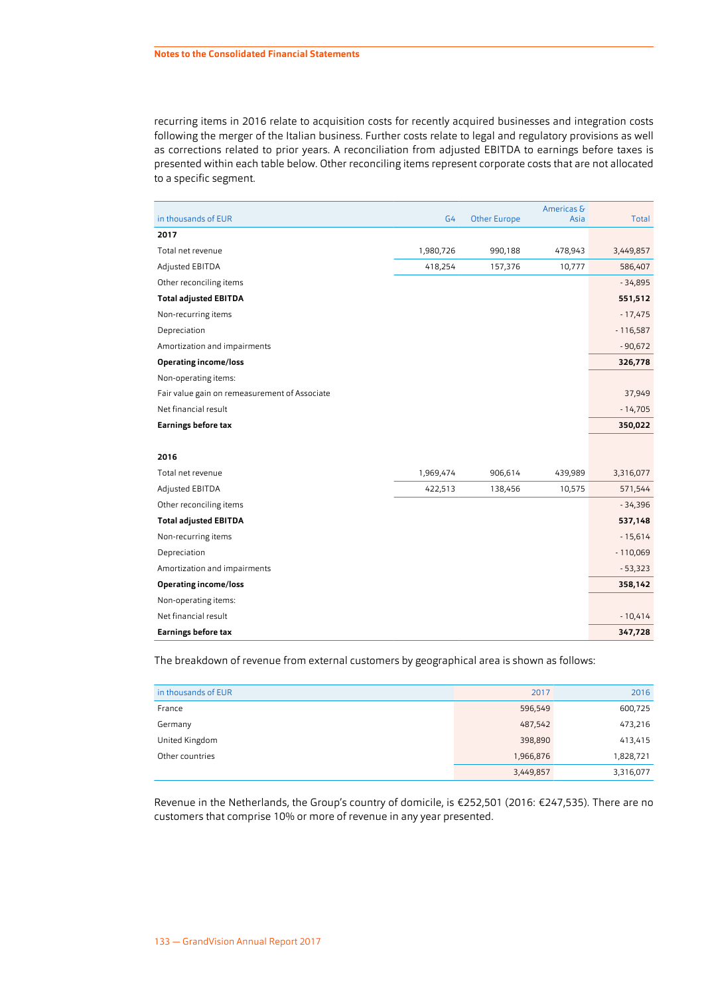recurring items in 2016 relate to acquisition costs for recently acquired businesses and integration costs following the merger of the Italian business. Further costs relate to legal and regulatory provisions as well as corrections related to prior years. A reconciliation from adjusted EBITDA to earnings before taxes is presented within each table below. Other reconciling items represent corporate costs that are not allocated to a specific segment.

| in thousands of EUR                           | G <sub>4</sub> | <b>Other Europe</b> | Americas &<br>Asia | Total      |
|-----------------------------------------------|----------------|---------------------|--------------------|------------|
| 2017                                          |                |                     |                    |            |
| Total net revenue                             | 1,980,726      | 990,188             | 478,943            | 3,449,857  |
| Adjusted EBITDA                               | 418,254        | 157,376             | 10,777             | 586,407    |
| Other reconciling items                       |                |                     |                    | $-34,895$  |
| <b>Total adjusted EBITDA</b>                  |                |                     |                    | 551,512    |
| Non-recurring items                           |                |                     |                    | $-17,475$  |
| Depreciation                                  |                |                     |                    | $-116,587$ |
| Amortization and impairments                  |                |                     |                    | $-90,672$  |
| <b>Operating income/loss</b>                  |                |                     |                    | 326,778    |
| Non-operating items:                          |                |                     |                    |            |
| Fair value gain on remeasurement of Associate |                |                     |                    | 37,949     |
| Net financial result                          |                |                     |                    | $-14,705$  |
| <b>Earnings before tax</b>                    |                |                     |                    | 350,022    |
|                                               |                |                     |                    |            |
| 2016                                          |                |                     |                    |            |
| Total net revenue                             | 1,969,474      | 906,614             | 439,989            | 3,316,077  |
| Adjusted EBITDA                               | 422,513        | 138,456             | 10,575             | 571,544    |
| Other reconciling items                       |                |                     |                    | $-34,396$  |
| <b>Total adjusted EBITDA</b>                  |                |                     |                    | 537,148    |
| Non-recurring items                           |                |                     |                    | $-15,614$  |
| Depreciation                                  |                |                     |                    | $-110,069$ |
| Amortization and impairments                  |                |                     |                    | $-53,323$  |
| <b>Operating income/loss</b>                  |                |                     |                    | 358,142    |
| Non-operating items:                          |                |                     |                    |            |
| Net financial result                          |                |                     |                    | $-10,414$  |
| <b>Earnings before tax</b>                    |                |                     |                    | 347,728    |

The breakdown of revenue from external customers by geographical area is shown as follows:

| in thousands of EUR | 2017      | 2016      |
|---------------------|-----------|-----------|
| France              | 596,549   | 600,725   |
| Germany             | 487,542   | 473,216   |
| United Kingdom      | 398,890   | 413,415   |
| Other countries     | 1,966,876 | 1,828,721 |
|                     | 3,449,857 | 3,316,077 |

Revenue in the Netherlands, the Group's country of domicile, is €252,501 (2016: €247,535). There are no customers that comprise 10% or more of revenue in any year presented.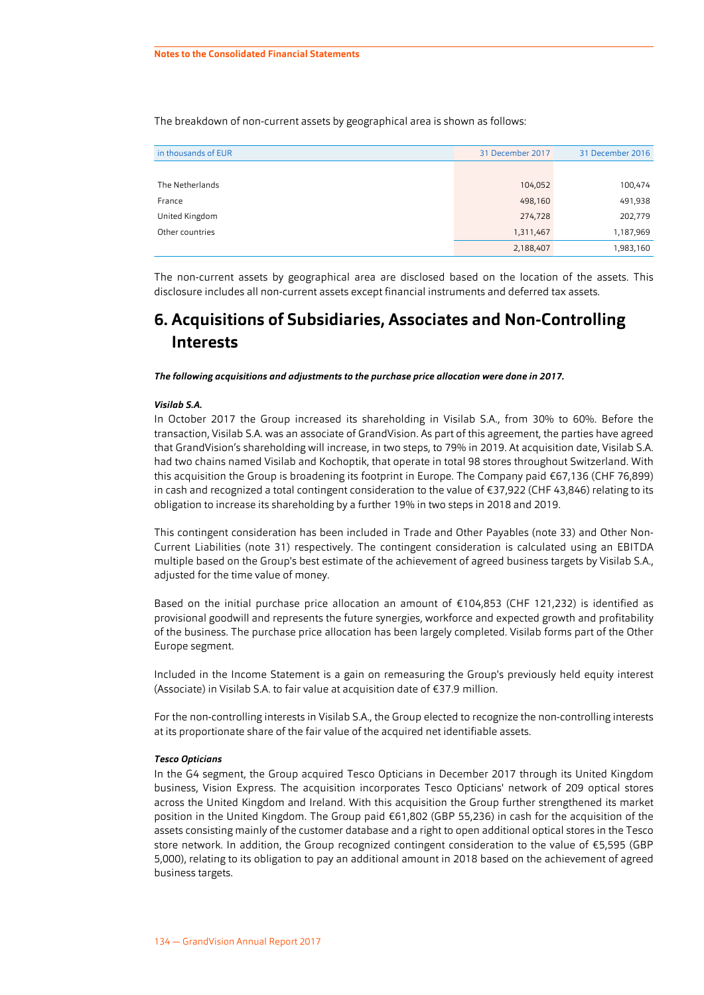<span id="page-30-0"></span>The breakdown of non-current assets by geographical area is shown as follows:

| in thousands of EUR | 31 December 2017 | 31 December 2016 |
|---------------------|------------------|------------------|
|                     |                  |                  |
| The Netherlands     | 104,052          | 100,474          |
| France              | 498,160          | 491,938          |
| United Kingdom      | 274,728          | 202,779          |
| Other countries     | 1,311,467        | 1,187,969        |
|                     | 2,188,407        | 1,983,160        |

The non-current assets by geographical area are disclosed based on the location of the assets. This disclosure includes all non-current assets except financial instruments and deferred tax assets.

# **6. Acquisitions of Subsidiaries, Associates and Non-Controlling Interests**

*The following acquisitions and adjustments to the purchase price allocation were done in 2017.*

#### *Visilab S.A.*

In October 2017 the Group increased its shareholding in Visilab S.A., from 30% to 60%. Before the transaction, Visilab S.A. was an associate of GrandVision. As part of this agreement, the parties have agreed that GrandVision's shareholding will increase, in two steps, to 79% in 2019. At acquisition date, Visilab S.A. had two chains named Visilab and Kochoptik, that operate in total 98 stores throughout Switzerland. With this acquisition the Group is broadening its footprint in Europe. The Company paid €67,136 (CHF 76,899) in cash and recognized a total contingent consideration to the value of €37,922 (CHF 43,846) relating to its obligation to increase its shareholding by a further 19% in two steps in 2018 and 2019.

This contingent consideration has been included in Trade and Other Payables (note [33](#page-61-0)) and Other Non-Current Liabilities (note [31](#page-60-0)) respectively. The contingent consideration is calculated using an EBITDA multiple based on the Group's best estimate of the achievement of agreed business targets by Visilab S.A., adjusted for the time value of money.

Based on the initial purchase price allocation an amount of €104,853 (CHF 121,232) is identified as provisional goodwill and represents the future synergies, workforce and expected growth and profitability of the business. The purchase price allocation has been largely completed. Visilab forms part of the Other Europe segment.

Included in the Income Statement is a gain on remeasuring the Group's previously held equity interest (Associate) in Visilab S.A. to fair value at acquisition date of €37.9 million.

For the non-controlling interests in Visilab S.A., the Group elected to recognize the non-controlling interests at its proportionate share of the fair value of the acquired net identifiable assets.

#### *Tesco Opticians*

In the G4 segment, the Group acquired Tesco Opticians in December 2017 through its United Kingdom business, Vision Express. The acquisition incorporates Tesco Opticians' network of 209 optical stores across the United Kingdom and Ireland. With this acquisition the Group further strengthened its market position in the United Kingdom. The Group paid €61,802 (GBP 55,236) in cash for the acquisition of the assets consisting mainly of the customer database and a right to open additional optical stores in the Tesco store network. In addition, the Group recognized contingent consideration to the value of €5,595 (GBP 5,000), relating to its obligation to pay an additional amount in 2018 based on the achievement of agreed business targets.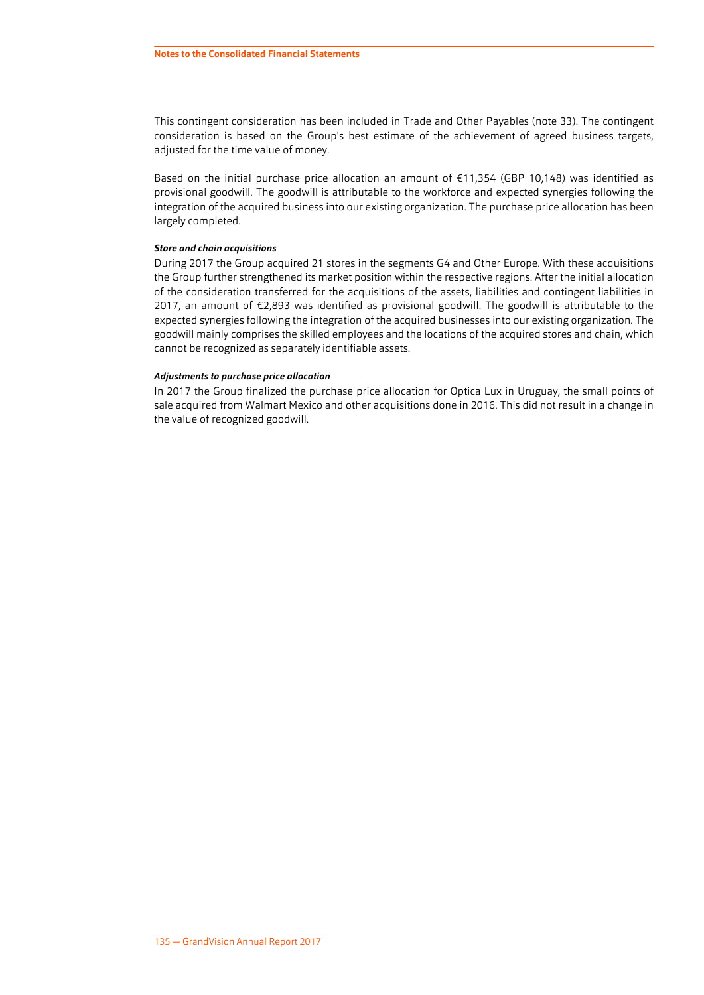This contingent consideration has been included in Trade and Other Payables (note [33](#page-61-0)). The contingent consideration is based on the Group's best estimate of the achievement of agreed business targets, adjusted for the time value of money.

Based on the initial purchase price allocation an amount of €11,354 (GBP 10,148) was identified as provisional goodwill. The goodwill is attributable to the workforce and expected synergies following the integration of the acquired business into our existing organization. The purchase price allocation has been largely completed.

#### *Store and chain acquisitions*

During 2017 the Group acquired 21 stores in the segments G4 and Other Europe. With these acquisitions the Group further strengthened its market position within the respective regions. After the initial allocation of the consideration transferred for the acquisitions of the assets, liabilities and contingent liabilities in 2017, an amount of €2,893 was identified as provisional goodwill. The goodwill is attributable to the expected synergies following the integration of the acquired businesses into our existing organization. The goodwill mainly comprises the skilled employees and the locations of the acquired stores and chain, which cannot be recognized as separately identifiable assets.

#### *Adjustments to purchase price allocation*

In 2017 the Group finalized the purchase price allocation for Optica Lux in Uruguay, the small points of sale acquired from Walmart Mexico and other acquisitions done in 2016. This did not result in a change in the value of recognized goodwill.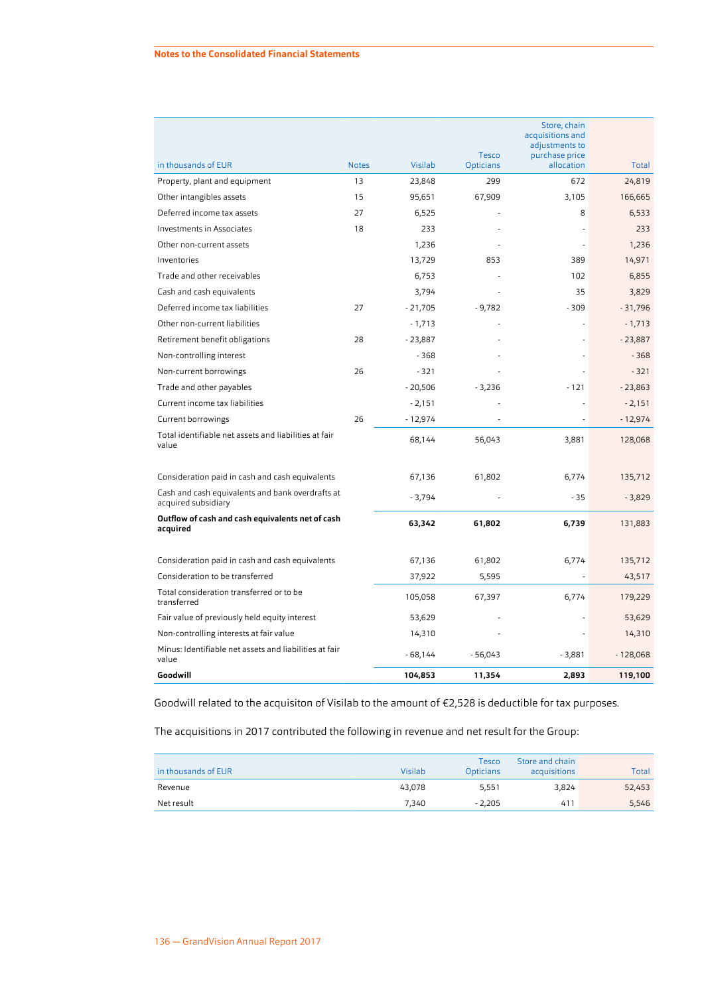|                                                                         |              |           | Tesco            | Store, chain<br>acquisitions and<br>adjustments to<br>purchase price |            |
|-------------------------------------------------------------------------|--------------|-----------|------------------|----------------------------------------------------------------------|------------|
| in thousands of EUR                                                     | <b>Notes</b> | Visilab   | <b>Opticians</b> | allocation                                                           | Total      |
| Property, plant and equipment                                           | 13           | 23,848    | 299              | 672                                                                  | 24,819     |
| Other intangibles assets                                                | 15           | 95,651    | 67,909           | 3,105                                                                | 166,665    |
| Deferred income tax assets                                              | 27           | 6,525     |                  | 8                                                                    | 6,533      |
| Investments in Associates                                               | 18           | 233       |                  |                                                                      | 233        |
| Other non-current assets                                                |              | 1,236     |                  |                                                                      | 1,236      |
| Inventories                                                             |              | 13,729    | 853              | 389                                                                  | 14,971     |
| Trade and other receivables                                             |              | 6,753     |                  | 102                                                                  | 6,855      |
| Cash and cash equivalents                                               |              | 3,794     |                  | 35                                                                   | 3,829      |
| Deferred income tax liabilities                                         | 27           | $-21,705$ | $-9,782$         | $-309$                                                               | $-31,796$  |
| Other non-current liabilities                                           |              | $-1,713$  |                  |                                                                      | $-1,713$   |
| Retirement benefit obligations                                          | 28           | $-23,887$ |                  |                                                                      | $-23,887$  |
| Non-controlling interest                                                |              | $-368$    |                  |                                                                      | $-368$     |
| Non-current borrowings                                                  | 26           | $-321$    |                  |                                                                      | $-321$     |
| Trade and other payables                                                |              | $-20,506$ | $-3,236$         | $-121$                                                               | $-23,863$  |
| Current income tax liabilities                                          |              | $-2,151$  |                  |                                                                      | $-2,151$   |
| Current borrowings                                                      | 26           | $-12,974$ |                  |                                                                      | $-12,974$  |
| Total identifiable net assets and liabilities at fair<br>value          |              | 68,144    | 56,043           | 3,881                                                                | 128,068    |
| Consideration paid in cash and cash equivalents                         |              | 67,136    | 61,802           | 6,774                                                                | 135,712    |
| Cash and cash equivalents and bank overdrafts at<br>acquired subsidiary |              | $-3,794$  |                  | $-35$                                                                | $-3,829$   |
| Outflow of cash and cash equivalents net of cash<br>acquired            |              | 63,342    | 61,802           | 6,739                                                                | 131,883    |
| Consideration paid in cash and cash equivalents                         |              | 67,136    | 61,802           | 6,774                                                                | 135,712    |
| Consideration to be transferred                                         |              | 37,922    | 5,595            |                                                                      | 43,517     |
| Total consideration transferred or to be<br>transferred                 |              | 105,058   | 67,397           | 6,774                                                                | 179,229    |
| Fair value of previously held equity interest                           |              | 53,629    |                  |                                                                      | 53,629     |
| Non-controlling interests at fair value                                 |              | 14,310    |                  |                                                                      | 14,310     |
| Minus: Identifiable net assets and liabilities at fair<br>value         |              | $-68,144$ | - 56,043         | $-3,881$                                                             | $-128,068$ |
| Goodwill                                                                |              | 104,853   | 11,354           | 2,893                                                                | 119,100    |

Goodwill related to the acquisiton of Visilab to the amount of €2,528 is deductible for tax purposes.

The acquisitions in 2017 contributed the following in revenue and net result for the Group:

| in thousands of EUR | Visilab | Tesco<br><b>Opticians</b> | Store and chain<br>acquisitions | Total  |
|---------------------|---------|---------------------------|---------------------------------|--------|
| Revenue             | 43.078  | 5.551                     | 3,824                           | 52,453 |
| Net result          | 7.340   | $-2.205$                  | 411                             | 5,546  |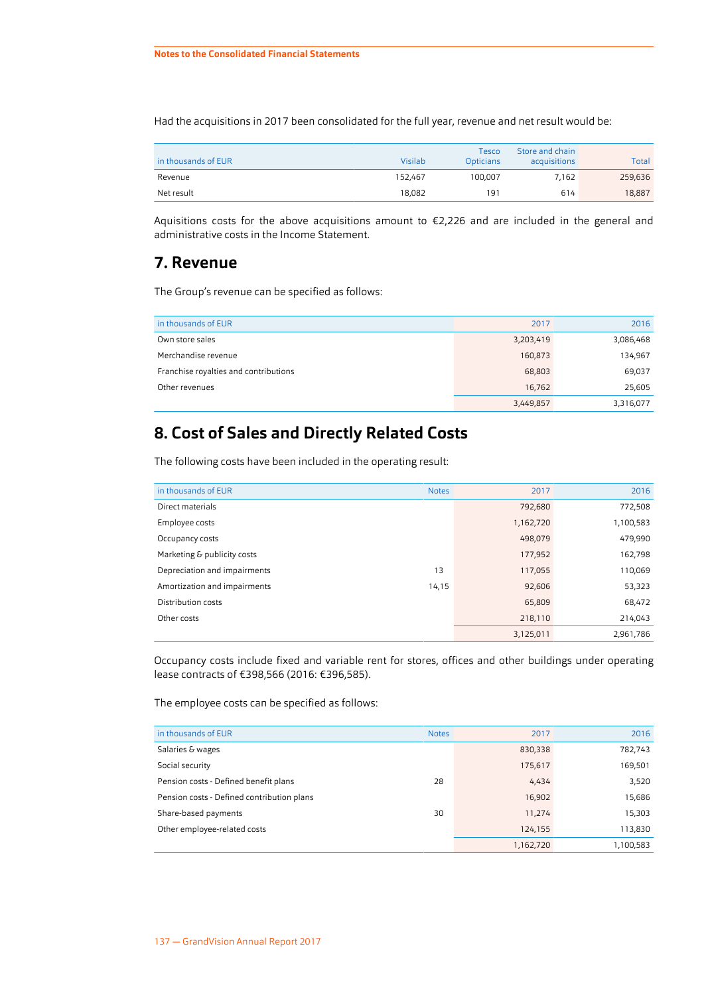<span id="page-33-0"></span>Had the acquisitions in 2017 been consolidated for the full year, revenue and net result would be:

| in thousands of EUR | Visilab | Tesco<br><b>Opticians</b> | Store and chain<br>acquisitions | Total   |
|---------------------|---------|---------------------------|---------------------------------|---------|
| Revenue             | 152.467 | 100.007                   | 7.162                           | 259,636 |
| Net result          | 18.082  | 191                       | 614                             | 18,887  |

Aquisitions costs for the above acquisitions amount to €2,226 and are included in the general and administrative costs in the Income Statement.

### **7. Revenue**

The Group's revenue can be specified as follows:

| in thousands of EUR                   | 2017      | 2016      |
|---------------------------------------|-----------|-----------|
| Own store sales                       | 3,203,419 | 3,086,468 |
| Merchandise revenue                   | 160,873   | 134,967   |
| Franchise royalties and contributions | 68,803    | 69,037    |
| Other revenues                        | 16,762    | 25,605    |
|                                       | 3,449,857 | 3,316,077 |

# **8. Cost of Sales and Directly Related Costs**

The following costs have been included in the operating result:

| in thousands of EUR          | <b>Notes</b> | 2017      | 2016      |
|------------------------------|--------------|-----------|-----------|
| Direct materials             |              | 792,680   | 772,508   |
| Employee costs               |              | 1,162,720 | 1,100,583 |
| Occupancy costs              |              | 498.079   | 479,990   |
| Marketing & publicity costs  |              | 177,952   | 162,798   |
| Depreciation and impairments | 13           | 117,055   | 110,069   |
| Amortization and impairments | 14,15        | 92,606    | 53,323    |
| Distribution costs           |              | 65,809    | 68,472    |
| Other costs                  |              | 218,110   | 214,043   |
|                              |              | 3,125,011 | 2,961,786 |

Occupancy costs include fixed and variable rent for stores, offices and other buildings under operating lease contracts of €398,566 (2016: €396,585).

The employee costs can be specified as follows:

| in thousands of EUR                        | <b>Notes</b> | 2017      | 2016      |
|--------------------------------------------|--------------|-----------|-----------|
| Salaries & wages                           |              | 830,338   | 782,743   |
| Social security                            |              | 175,617   | 169,501   |
| Pension costs - Defined benefit plans      | 28           | 4,434     | 3,520     |
| Pension costs - Defined contribution plans |              | 16,902    | 15,686    |
| Share-based payments                       | 30           | 11,274    | 15,303    |
| Other employee-related costs               |              | 124,155   | 113,830   |
|                                            |              | 1,162,720 | 1,100,583 |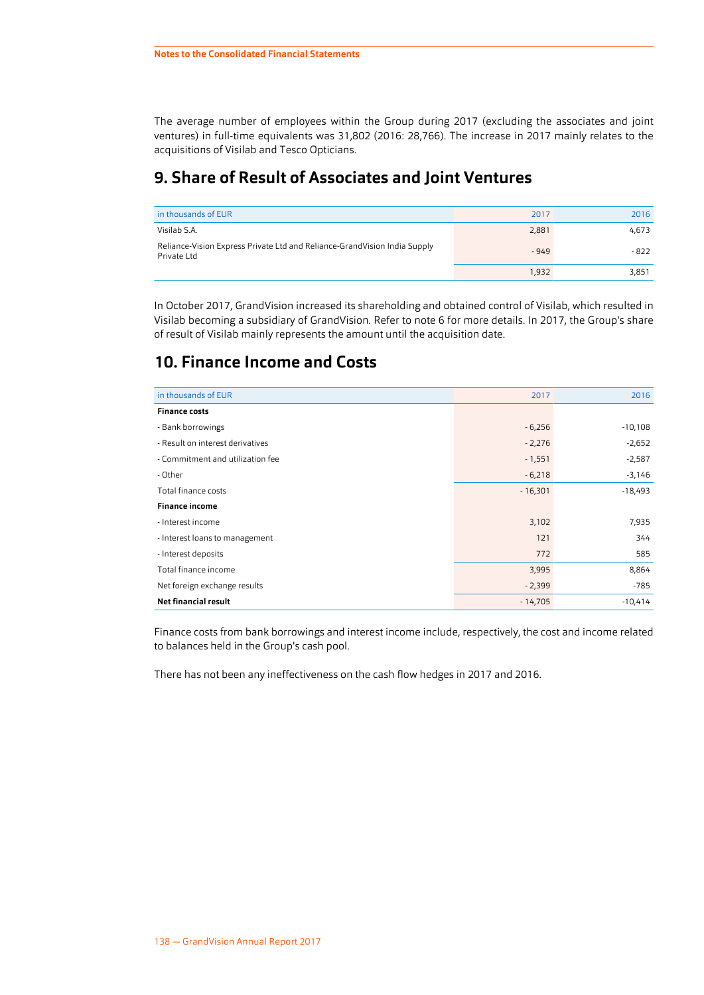<span id="page-34-0"></span>The average number of employees within the Group during 2017 (excluding the associates and joint ventures) in full-time equivalents was 31,802 (2016: 28,766). The increase in 2017 mainly relates to the acquisitions of Visilab and Tesco Opticians.

# **9. Share of Result of Associates and Joint Ventures**

| in thousands of EUR                                                                      | 2017   | 2016  |
|------------------------------------------------------------------------------------------|--------|-------|
| Visilab S.A.                                                                             | 2,881  | 4.673 |
| Reliance-Vision Express Private Ltd and Reliance-GrandVision India Supply<br>Private Ltd | $-949$ | - 822 |
|                                                                                          | 1,932  | 3,851 |

In October 2017, GrandVision increased its shareholding and obtained control of Visilab, which resulted in Visilab becoming a subsidiary of GrandVision. Refer to note [6](#page-30-0) for more details. In 2017, the Group's share of result of Visilab mainly represents the amount until the acquisition date.

# **10. Finance Income and Costs**

| in thousands of EUR              | 2017      | 2016      |
|----------------------------------|-----------|-----------|
| <b>Finance costs</b>             |           |           |
| - Bank borrowings                | $-6,256$  | $-10,108$ |
| - Result on interest derivatives | $-2,276$  | $-2,652$  |
| - Commitment and utilization fee | $-1,551$  | $-2,587$  |
| - Other                          | $-6,218$  | $-3,146$  |
| Total finance costs              | $-16,301$ | $-18,493$ |
| <b>Finance income</b>            |           |           |
| - Interest income                | 3,102     | 7,935     |
| - Interest loans to management   | 121       | 344       |
| - Interest deposits              | 772       | 585       |
| Total finance income             | 3,995     | 8,864     |
| Net foreign exchange results     | $-2,399$  | $-785$    |
| <b>Net financial result</b>      | $-14,705$ | $-10,414$ |

Finance costs from bank borrowings and interest income include, respectively, the cost and income related to balances held in the Group's cash pool.

There has not been any ineffectiveness on the cash flow hedges in 2017 and 2016.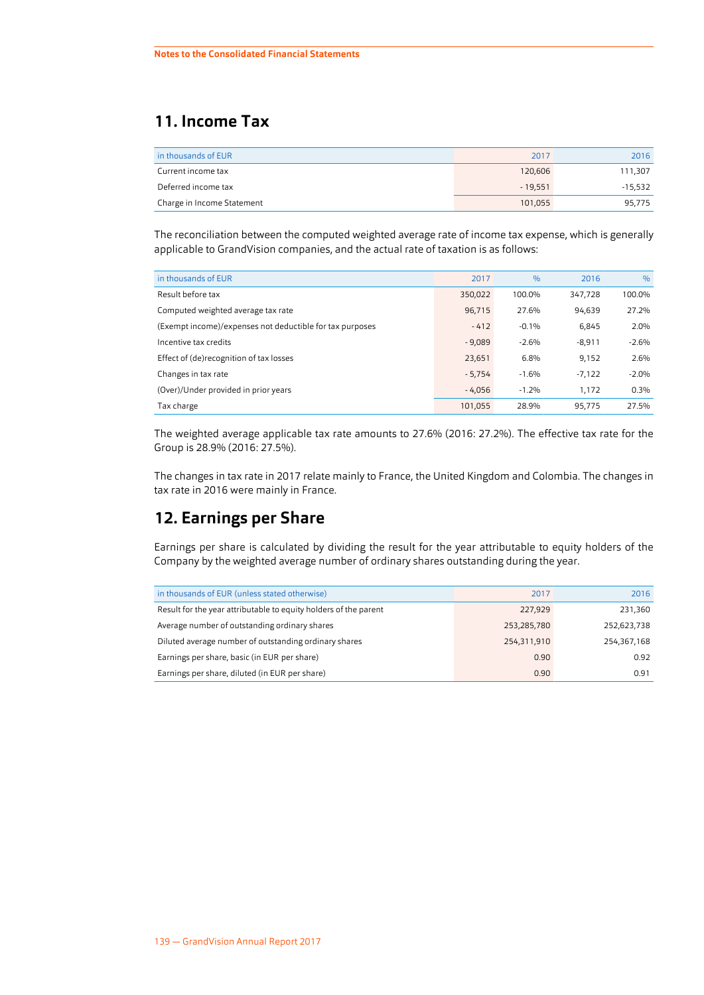# <span id="page-35-0"></span>**11. Income Tax**

| in thousands of EUR        | 2017      | 2016      |
|----------------------------|-----------|-----------|
| Current income tax         | 120,606   | 111,307   |
| Deferred income tax        | $-19.551$ | $-15,532$ |
| Charge in Income Statement | 101.055   | 95,775    |

The reconciliation between the computed weighted average rate of income tax expense, which is generally applicable to GrandVision companies, and the actual rate of taxation is as follows:

| in thousands of EUR                                      | 2017     | $\frac{0}{0}$ | 2016     | $\frac{9}{6}$ |
|----------------------------------------------------------|----------|---------------|----------|---------------|
| Result before tax                                        | 350,022  | 100.0%        | 347,728  | 100.0%        |
| Computed weighted average tax rate                       | 96,715   | 27.6%         | 94,639   | 27.2%         |
| (Exempt income)/expenses not deductible for tax purposes | $-412$   | $-0.1%$       | 6,845    | 2.0%          |
| Incentive tax credits                                    | $-9,089$ | $-2.6%$       | $-8,911$ | $-2.6%$       |
| Effect of (de)recognition of tax losses                  | 23,651   | 6.8%          | 9,152    | 2.6%          |
| Changes in tax rate                                      | $-5,754$ | $-1.6%$       | $-7,122$ | $-2.0%$       |
| (Over)/Under provided in prior years                     | $-4,056$ | $-1.2%$       | 1.172    | 0.3%          |
| Tax charge                                               | 101.055  | 28.9%         | 95.775   | 27.5%         |

The weighted average applicable tax rate amounts to 27.6% (2016: 27.2%). The effective tax rate for the Group is 28.9% (2016: 27.5%).

The changes in tax rate in 2017 relate mainly to France, the United Kingdom and Colombia. The changes in tax rate in 2016 were mainly in France.

# **12. Earnings per Share**

Earnings per share is calculated by dividing the result for the year attributable to equity holders of the Company by the weighted average number of ordinary shares outstanding during the year.

| in thousands of EUR (unless stated otherwise)                    | 2017        | 2016        |
|------------------------------------------------------------------|-------------|-------------|
| Result for the year attributable to equity holders of the parent | 227,929     | 231,360     |
| Average number of outstanding ordinary shares                    | 253,285,780 | 252,623,738 |
| Diluted average number of outstanding ordinary shares            | 254,311,910 | 254,367,168 |
| Earnings per share, basic (in EUR per share)                     | 0.90        | 0.92        |
| Earnings per share, diluted (in EUR per share)                   | 0.90        | 0.91        |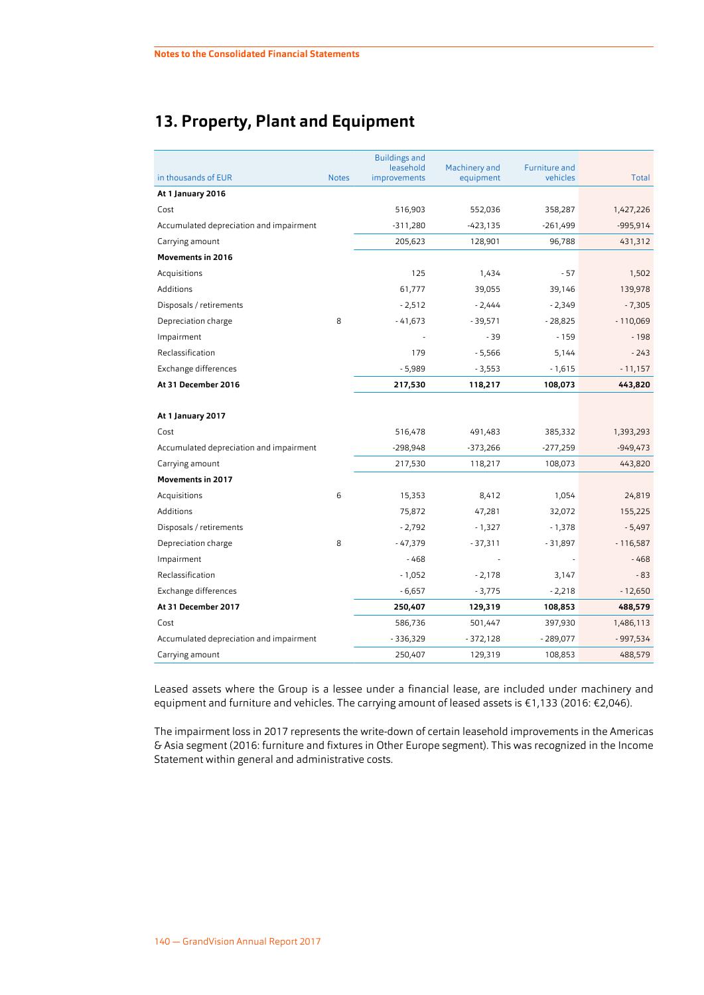## <span id="page-36-0"></span>**13. Property, Plant and Equipment**

|                                         |              | <b>Buildings and</b><br>leasehold | Machinery and | <b>Furniture and</b> |              |
|-----------------------------------------|--------------|-----------------------------------|---------------|----------------------|--------------|
| in thousands of EUR                     | <b>Notes</b> | improvements                      | equipment     | vehicles             | <b>Total</b> |
| At 1 January 2016                       |              |                                   |               |                      |              |
| Cost                                    |              | 516,903                           | 552,036       | 358,287              | 1,427,226    |
| Accumulated depreciation and impairment |              | $-311,280$                        | $-423,135$    | $-261,499$           | $-995,914$   |
| Carrying amount                         |              | 205,623                           | 128,901       | 96,788               | 431,312      |
| <b>Movements in 2016</b>                |              |                                   |               |                      |              |
| Acquisitions                            |              | 125                               | 1,434         | $-57$                | 1,502        |
| Additions                               |              | 61,777                            | 39,055        | 39,146               | 139,978      |
| Disposals / retirements                 |              | $-2,512$                          | $-2,444$      | $-2,349$             | $-7,305$     |
| Depreciation charge                     | 8            | $-41,673$                         | $-39,571$     | $-28,825$            | $-110,069$   |
| Impairment                              |              |                                   | $-39$         | $-159$               | $-198$       |
| Reclassification                        |              | 179                               | $-5,566$      | 5,144                | $-243$       |
| Exchange differences                    |              | $-5,989$                          | $-3,553$      | $-1,615$             | $-11,157$    |
| At 31 December 2016                     |              | 217,530                           | 118,217       | 108,073              | 443,820      |
|                                         |              |                                   |               |                      |              |
| At 1 January 2017                       |              |                                   |               |                      |              |
| Cost                                    |              | 516,478                           | 491,483       | 385,332              | 1,393,293    |
| Accumulated depreciation and impairment |              | $-298,948$                        | -373,266      | $-277,259$           | $-949,473$   |
| Carrying amount                         |              | 217,530                           | 118,217       | 108,073              | 443,820      |
| <b>Movements in 2017</b>                |              |                                   |               |                      |              |
| Acquisitions                            | 6            | 15,353                            | 8,412         | 1,054                | 24,819       |
| Additions                               |              | 75,872                            | 47,281        | 32,072               | 155,225      |
| Disposals / retirements                 |              | $-2,792$                          | $-1,327$      | $-1,378$             | $-5,497$     |
| Depreciation charge                     | 8            | $-47,379$                         | $-37,311$     | $-31,897$            | $-116,587$   |
| Impairment                              |              | $-468$                            |               |                      | $-468$       |
| Reclassification                        |              | $-1,052$                          | $-2,178$      | 3,147                | $-83$        |
| Exchange differences                    |              | $-6,657$                          | $-3,775$      | $-2,218$             | $-12,650$    |
| At 31 December 2017                     |              | 250,407                           | 129,319       | 108,853              | 488,579      |
| Cost                                    |              | 586,736                           | 501,447       | 397,930              | 1,486,113    |
| Accumulated depreciation and impairment |              | $-336,329$                        | $-372,128$    | $-289,077$           | $-997,534$   |
| Carrying amount                         |              | 250,407                           | 129,319       | 108,853              | 488,579      |

Leased assets where the Group is a lessee under a financial lease, are included under machinery and equipment and furniture and vehicles. The carrying amount of leased assets is €1,133 (2016: €2,046).

The impairment loss in 2017 represents the write-down of certain leasehold improvements in the Americas & Asia segment (2016: furniture and fixtures in Other Europe segment). This was recognized in the Income Statement within general and administrative costs.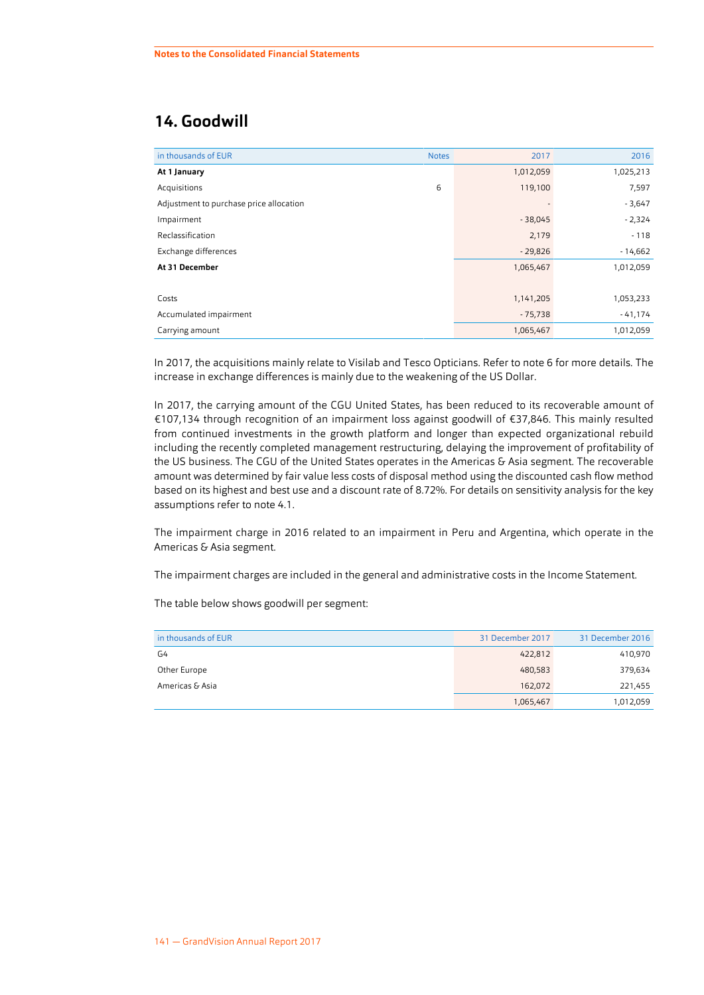## <span id="page-37-0"></span>**14. Goodwill**

| in thousands of EUR                     | <b>Notes</b> | 2017                     | 2016      |
|-----------------------------------------|--------------|--------------------------|-----------|
| At 1 January                            |              | 1,012,059                | 1,025,213 |
| Acquisitions                            | 6            | 119,100                  | 7,597     |
| Adjustment to purchase price allocation |              | $\overline{\phantom{a}}$ | $-3,647$  |
| Impairment                              |              | $-38,045$                | $-2,324$  |
| Reclassification                        |              | 2,179                    | $-118$    |
| Exchange differences                    |              | $-29,826$                | $-14,662$ |
| At 31 December                          |              | 1,065,467                | 1,012,059 |
|                                         |              |                          |           |
| Costs                                   |              | 1,141,205                | 1,053,233 |
| Accumulated impairment                  |              | $-75,738$                | $-41,174$ |
| Carrying amount                         |              | 1,065,467                | 1,012,059 |

In 2017, the acquisitions mainly relate to Visilab and Tesco Opticians. Refer to note [6](#page-30-0) for more details. The increase in exchange differences is mainly due to the weakening of the US Dollar.

In 2017, the carrying amount of the CGU United States, has been reduced to its recoverable amount of €107,134 through recognition of an impairment loss against goodwill of €37,846. This mainly resulted from continued investments in the growth platform and longer than expected organizational rebuild including the recently completed management restructuring, delaying the improvement of profitability of the US business. The CGU of the United States operates in the Americas & Asia segment. The recoverable amount was determined by fair value less costs of disposal method using the discounted cash flow method based on its highest and best use and a discount rate of 8.72%. For details on sensitivity analysis for the key assumptions refer to note [4.1](#page-26-0).

The impairment charge in 2016 related to an impairment in Peru and Argentina, which operate in the Americas & Asia segment.

The impairment charges are included in the general and administrative costs in the Income Statement.

The table below shows goodwill per segment:

| in thousands of EUR | 31 December 2017 | 31 December 2016 |
|---------------------|------------------|------------------|
| G4                  | 422,812          | 410,970          |
| Other Europe        | 480,583          | 379,634          |
| Americas & Asia     | 162,072          | 221,455          |
|                     | 1,065,467        | 1,012,059        |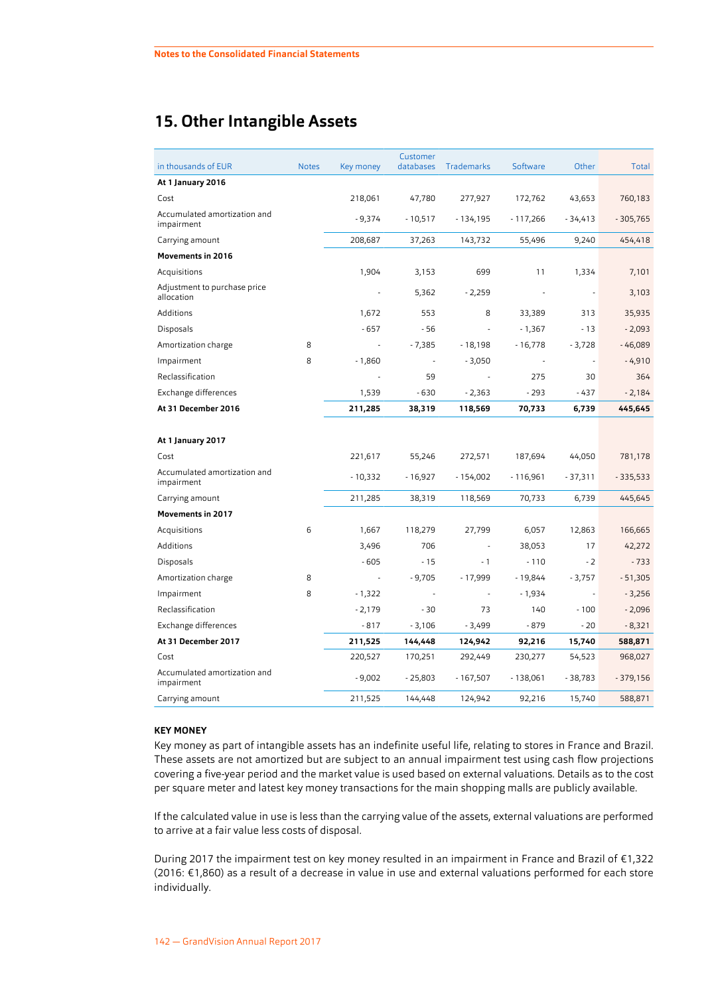## <span id="page-38-0"></span>**15. Other Intangible Assets**

| in thousands of EUR                        | <b>Notes</b> | Key money                | Customer<br>databases | <b>Trademarks</b> | Software   | Other     | Total      |
|--------------------------------------------|--------------|--------------------------|-----------------------|-------------------|------------|-----------|------------|
| At 1 January 2016                          |              |                          |                       |                   |            |           |            |
| Cost                                       |              | 218,061                  | 47,780                | 277,927           | 172,762    | 43,653    | 760,183    |
| Accumulated amortization and<br>impairment |              | $-9,374$                 | $-10,517$             | $-134,195$        | $-117,266$ | $-34,413$ | $-305,765$ |
| Carrying amount                            |              | 208,687                  | 37,263                | 143,732           | 55,496     | 9,240     | 454,418    |
| <b>Movements in 2016</b>                   |              |                          |                       |                   |            |           |            |
| Acquisitions                               |              | 1,904                    | 3,153                 | 699               | 11         | 1,334     | 7,101      |
| Adjustment to purchase price<br>allocation |              |                          | 5,362                 | $-2,259$          |            |           | 3,103      |
| Additions                                  |              | 1,672                    | 553                   | 8                 | 33,389     | 313       | 35,935     |
| Disposals                                  |              | $-657$                   | $-56$                 |                   | $-1,367$   | $-13$     | $-2,093$   |
| Amortization charge                        | 8            | $\overline{\phantom{a}}$ | $-7,385$              | $-18,198$         | $-16,778$  | $-3,728$  | $-46,089$  |
| Impairment                                 | 8            | $-1,860$                 | ÷                     | $-3,050$          |            |           | $-4,910$   |
| Reclassification                           |              | ÷,                       | 59                    |                   | 275        | 30        | 364        |
| Exchange differences                       |              | 1,539                    | $-630$                | $-2,363$          | $-293$     | - 437     | $-2,184$   |
| At 31 December 2016                        |              | 211,285                  | 38,319                | 118,569           | 70,733     | 6,739     | 445,645    |
| At 1 January 2017                          |              |                          |                       |                   |            |           |            |
| Cost                                       |              | 221,617                  | 55,246                | 272,571           | 187,694    | 44,050    | 781,178    |
| Accumulated amortization and<br>impairment |              | $-10,332$                | $-16,927$             | $-154,002$        | $-116,961$ | - 37,311  | $-335,533$ |
| Carrying amount                            |              | 211,285                  | 38,319                | 118,569           | 70,733     | 6,739     | 445,645    |
| <b>Movements in 2017</b>                   |              |                          |                       |                   |            |           |            |
| Acquisitions                               | 6            | 1,667                    | 118,279               | 27,799            | 6,057      | 12,863    | 166,665    |
| Additions                                  |              | 3,496                    | 706                   |                   | 38,053     | 17        | 42,272     |
| Disposals                                  |              | $-605$                   | $-15$                 | $-1$              | $-110$     | $-2$      | $-733$     |
| Amortization charge                        | 8            | $\overline{\phantom{a}}$ | $-9,705$              | $-17,999$         | - 19,844   | $-3,757$  | $-51,305$  |
| Impairment                                 | 8            | $-1,322$                 | ÷,                    |                   | $-1,934$   |           | $-3,256$   |
| Reclassification                           |              | $-2,179$                 | $-30$                 | 73                | 140        | $-100$    | $-2,096$   |
| Exchange differences                       |              | $-817$                   | $-3,106$              | $-3,499$          | - 879      | - 20      | $-8,321$   |
| At 31 December 2017                        |              | 211,525                  | 144,448               | 124,942           | 92,216     | 15,740    | 588,871    |
| Cost                                       |              | 220,527                  | 170,251               | 292,449           | 230,277    | 54,523    | 968,027    |
| Accumulated amortization and<br>impairment |              | $-9,002$                 | $-25,803$             | $-167,507$        | $-138,061$ | $-38,783$ | $-379,156$ |
| Carrying amount                            |              | 211,525                  | 144,448               | 124,942           | 92,216     | 15,740    | 588,871    |

#### **KEY MONEY**

Key money as part of intangible assets has an indefinite useful life, relating to stores in France and Brazil. These assets are not amortized but are subject to an annual impairment test using cash flow projections covering a five-year period and the market value is used based on external valuations. Details as to the cost per square meter and latest key money transactions for the main shopping malls are publicly available.

If the calculated value in use is less than the carrying value of the assets, external valuations are performed to arrive at a fair value less costs of disposal.

During 2017 the impairment test on key money resulted in an impairment in France and Brazil of €1,322 (2016: €1,860) as a result of a decrease in value in use and external valuations performed for each store individually.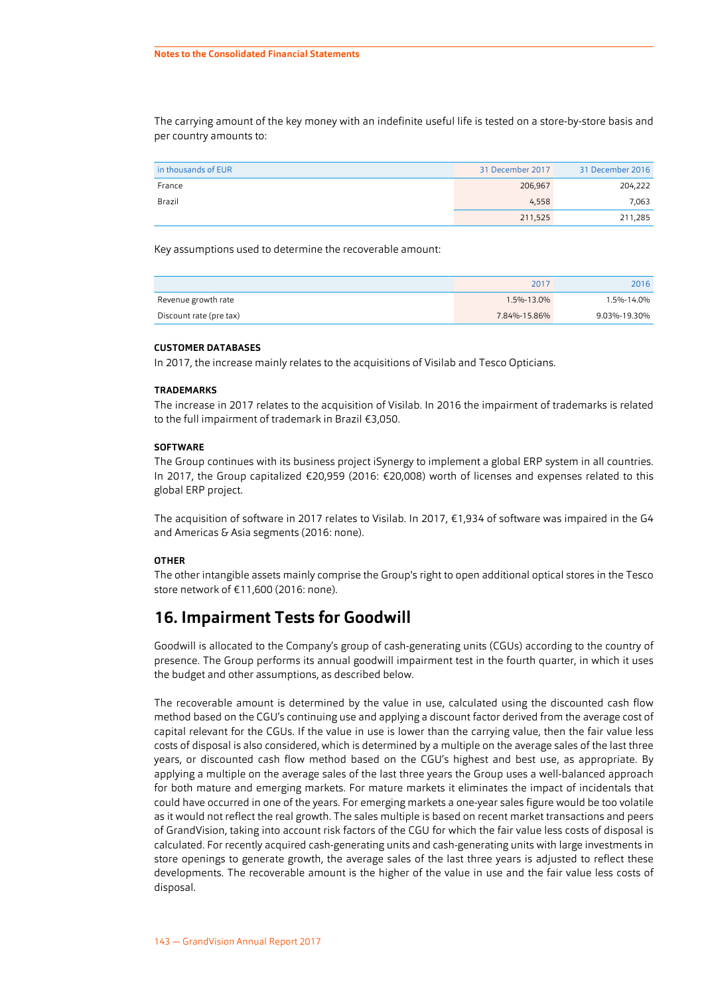The carrying amount of the key money with an indefinite useful life is tested on a store-by-store basis and per country amounts to:

| in thousands of EUR | 31 December 2017 | 31 December 2016 |
|---------------------|------------------|------------------|
| France              | 206,967          | 204,222          |
| Brazil              | 4,558            | 7,063            |
|                     | 211,525          | 211,285          |

Key assumptions used to determine the recoverable amount:

|                         | 2017         | 2016         |
|-------------------------|--------------|--------------|
| Revenue growth rate     | 1.5%-13.0%   | 1.5%-14.0%   |
| Discount rate (pre tax) | 7.84%-15.86% | 9.03%-19.30% |

#### **CUSTOMER DATABASES**

In 2017, the increase mainly relates to the acquisitions of Visilab and Tesco Opticians.

#### **TRADEMARKS**

The increase in 2017 relates to the acquisition of Visilab. In 2016 the impairment of trademarks is related to the full impairment of trademark in Brazil €3,050.

#### **SOFTWARE**

The Group continues with its business project iSynergy to implement a global ERP system in all countries. In 2017, the Group capitalized €20,959 (2016: €20,008) worth of licenses and expenses related to this global ERP project.

The acquisition of software in 2017 relates to Visilab. In 2017, €1,934 of software was impaired in the G4 and Americas & Asia segments (2016: none).

#### **OTHER**

The other intangible assets mainly comprise the Group's right to open additional optical stores in the Tesco store network of €11,600 (2016: none).

### **16. Impairment Tests for Goodwill**

Goodwill is allocated to the Company's group of cash-generating units (CGUs) according to the country of presence. The Group performs its annual goodwill impairment test in the fourth quarter, in which it uses the budget and other assumptions, as described below.

The recoverable amount is determined by the value in use, calculated using the discounted cash flow method based on the CGU's continuing use and applying a discount factor derived from the average cost of capital relevant for the CGUs. If the value in use is lower than the carrying value, then the fair value less costs of disposal is also considered, which is determined by a multiple on the average sales of the last three years, or discounted cash flow method based on the CGU's highest and best use, as appropriate. By applying a multiple on the average sales of the last three years the Group uses a well-balanced approach for both mature and emerging markets. For mature markets it eliminates the impact of incidentals that could have occurred in one of the years. For emerging markets a one-year sales figure would be too volatile as it would not reflect the real growth. The sales multiple is based on recent market transactions and peers of GrandVision, taking into account risk factors of the CGU for which the fair value less costs of disposal is calculated. For recently acquired cash-generating units and cash-generating units with large investments in store openings to generate growth, the average sales of the last three years is adjusted to reflect these developments. The recoverable amount is the higher of the value in use and the fair value less costs of disposal.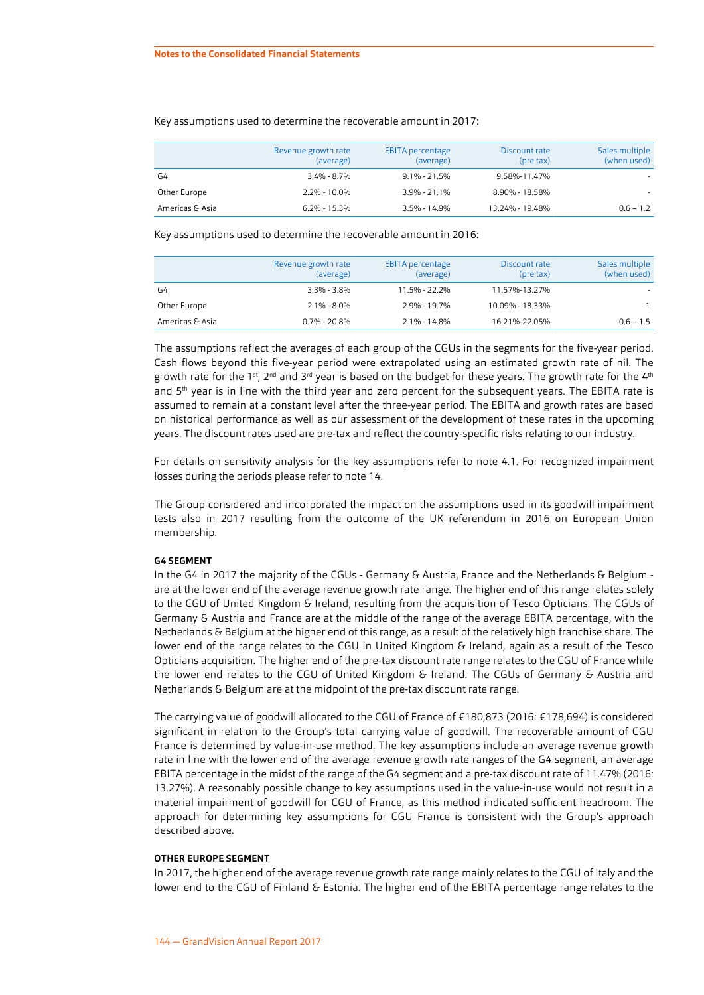|                 | Revenue growth rate<br>(average) | <b>EBITA</b> percentage<br>(average) | Discount rate<br>$(\text{pre tax})$ | Sales multiple<br>(when used) |
|-----------------|----------------------------------|--------------------------------------|-------------------------------------|-------------------------------|
| G4              | 3.4% - 8.7%                      | $9.1\% - 21.5\%$                     | 9.58%-11.47%                        |                               |
| Other Europe    | 2.2% - 10.0%                     | $3.9\% - 21.1\%$                     | 8.90% - 18.58%                      | $\sim$                        |
| Americas & Asia | $6.2\% - 15.3\%$                 | $3.5\% - 14.9\%$                     | 13.24% - 19.48%                     | $0.6 - 1.2$                   |

#### Key assumptions used to determine the recoverable amount in 2017:

Key assumptions used to determine the recoverable amount in 2016:

|                 | Revenue growth rate<br>(average) | <b>EBITA</b> percentage<br>(average) | Discount rate<br>(pre tax) | Sales multiple<br>(when used) |
|-----------------|----------------------------------|--------------------------------------|----------------------------|-------------------------------|
| G4              | $3.3\% - 3.8\%$                  | 11.5% - 22.2%                        | 11.57%-13.27%              | $\overline{\phantom{a}}$      |
| Other Europe    | $2.1\% - 8.0\%$                  | 2.9% - 19.7%                         | 10.09% - 18.33%            |                               |
| Americas & Asia | $0.7\%$ - 20.8%                  | $2.1\% - 14.8\%$                     | 16.21%-22.05%              | $0.6 - 1.5$                   |

The assumptions reflect the averages of each group of the CGUs in the segments for the five-year period. Cash flows beyond this five-year period were extrapolated using an estimated growth rate of nil. The growth rate for the 1st, 2<sup>nd</sup> and 3<sup>rd</sup> year is based on the budget for these years. The growth rate for the 4<sup>tt</sup> and 5<sup>th</sup> year is in line with the third year and zero percent for the subsequent years. The EBITA rate is assumed to remain at a constant level after the three-year period. The EBITA and growth rates are based on historical performance as well as our assessment of the development of these rates in the upcoming years. The discount rates used are pre-tax and reflect the country-specific risks relating to our industry.

For details on sensitivity analysis for the key assumptions refer to note [4.1](#page-26-0). For recognized impairment losses during the periods please refer to note [14](#page-37-0).

The Group considered and incorporated the impact on the assumptions used in its goodwill impairment tests also in 2017 resulting from the outcome of the UK referendum in 2016 on European Union membership.

#### **G4 SEGMENT**

In the G4 in 2017 the majority of the CGUs - Germany & Austria, France and the Netherlands & Belgium are at the lower end of the average revenue growth rate range. The higher end of this range relates solely to the CGU of United Kingdom & Ireland, resulting from the acquisition of Tesco Opticians. The CGUs of Germany & Austria and France are at the middle of the range of the average EBITA percentage, with the Netherlands & Belgium at the higher end of this range, as a result of the relatively high franchise share. The lower end of the range relates to the CGU in United Kingdom & Ireland, again as a result of the Tesco Opticians acquisition. The higher end of the pre-tax discount rate range relates to the CGU of France while the lower end relates to the CGU of United Kingdom & Ireland. The CGUs of Germany & Austria and Netherlands & Belgium are at the midpoint of the pre-tax discount rate range.

The carrying value of goodwill allocated to the CGU of France of €180,873 (2016: €178,694) is considered significant in relation to the Group's total carrying value of goodwill. The recoverable amount of CGU France is determined by value-in-use method. The key assumptions include an average revenue growth rate in line with the lower end of the average revenue growth rate ranges of the G4 segment, an average EBITA percentage in the midst of the range of the G4 segment and a pre-tax discount rate of 11.47% (2016: 13.27%). A reasonably possible change to key assumptions used in the value-in-use would not result in a material impairment of goodwill for CGU of France, as this method indicated sufficient headroom. The approach for determining key assumptions for CGU France is consistent with the Group's approach described above.

#### **OTHER EUROPE SEGMENT**

In 2017, the higher end of the average revenue growth rate range mainly relates to the CGU of Italy and the lower end to the CGU of Finland & Estonia. The higher end of the EBITA percentage range relates to the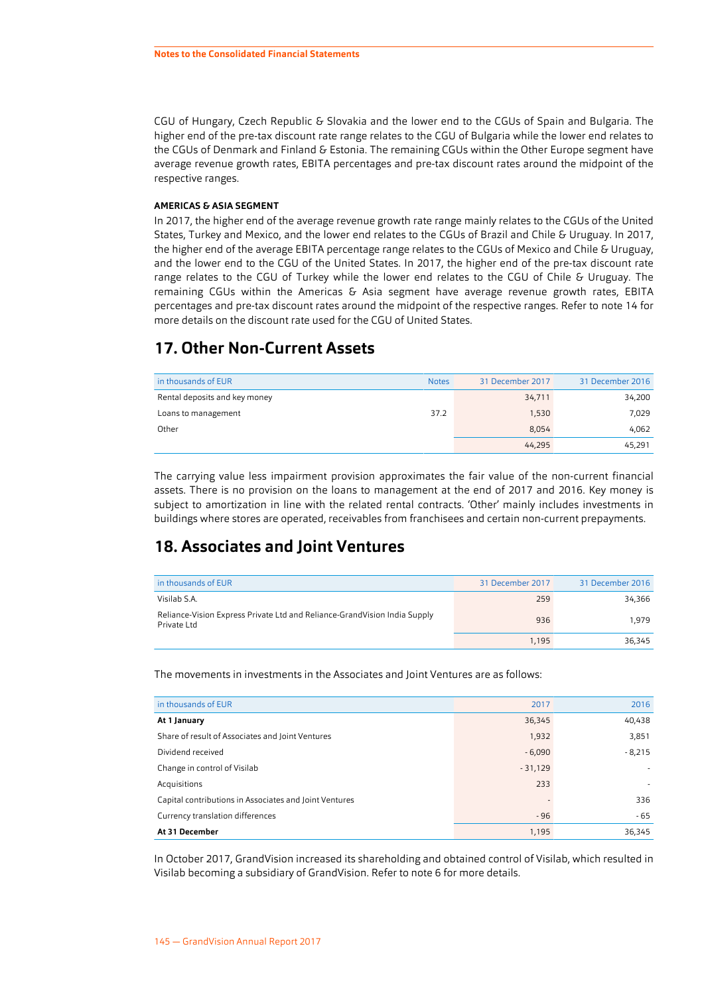<span id="page-41-0"></span>CGU of Hungary, Czech Republic & Slovakia and the lower end to the CGUs of Spain and Bulgaria. The higher end of the pre-tax discount rate range relates to the CGU of Bulgaria while the lower end relates to the CGUs of Denmark and Finland & Estonia. The remaining CGUs within the Other Europe segment have average revenue growth rates, EBITA percentages and pre-tax discount rates around the midpoint of the respective ranges.

#### **AMERICAS & ASIA SEGMENT**

In 2017, the higher end of the average revenue growth rate range mainly relates to the CGUs of the United States, Turkey and Mexico, and the lower end relates to the CGUs of Brazil and Chile & Uruguay. In 2017, the higher end of the average EBITA percentage range relates to the CGUs of Mexico and Chile & Uruguay, and the lower end to the CGU of the United States. In 2017, the higher end of the pre-tax discount rate range relates to the CGU of Turkey while the lower end relates to the CGU of Chile & Uruguay. The remaining CGUs within the Americas & Asia segment have average revenue growth rates, EBITA percentages and pre-tax discount rates around the midpoint of the respective ranges. Refer to note [14](#page-37-0) for more details on the discount rate used for the CGU of United States.

## **17. Other Non-Current Assets**

| in thousands of EUR           | <b>Notes</b> | 31 December 2017 | 31 December 2016 |
|-------------------------------|--------------|------------------|------------------|
| Rental deposits and key money |              | 34,711           | 34,200           |
| Loans to management           | 37.2         | 1,530            | 7,029            |
| Other                         |              | 8,054            | 4,062            |
|                               |              | 44,295           | 45,291           |

The carrying value less impairment provision approximates the fair value of the non-current financial assets. There is no provision on the loans to management at the end of 2017 and 2016. Key money is subject to amortization in line with the related rental contracts. 'Other' mainly includes investments in buildings where stores are operated, receivables from franchisees and certain non-current prepayments.

### **18. Associates and Joint Ventures**

| in thousands of EUR                                                                      | 31 December 2017 | 31 December 2016 |
|------------------------------------------------------------------------------------------|------------------|------------------|
| Visilab S.A.                                                                             | 259              | 34.366           |
| Reliance-Vision Express Private Ltd and Reliance-GrandVision India Supply<br>Private Ltd | 936              | 1.979            |
|                                                                                          | 1.195            | 36.345           |

The movements in investments in the Associates and Joint Ventures are as follows:

| in thousands of EUR                                    | 2017      | 2016     |
|--------------------------------------------------------|-----------|----------|
| At 1 January                                           | 36,345    | 40,438   |
| Share of result of Associates and Joint Ventures       | 1,932     | 3,851    |
| Dividend received                                      | $-6,090$  | $-8,215$ |
| Change in control of Visilab                           | $-31,129$ | ٠        |
| Acquisitions                                           | 233       |          |
| Capital contributions in Associates and Joint Ventures |           | 336      |
| Currency translation differences                       | $-96$     | $-65$    |
| At 31 December                                         | 1,195     | 36,345   |

In October 2017, GrandVision increased its shareholding and obtained control of Visilab, which resulted in Visilab becoming a subsidiary of GrandVision. Refer to note [6](#page-30-0) for more details.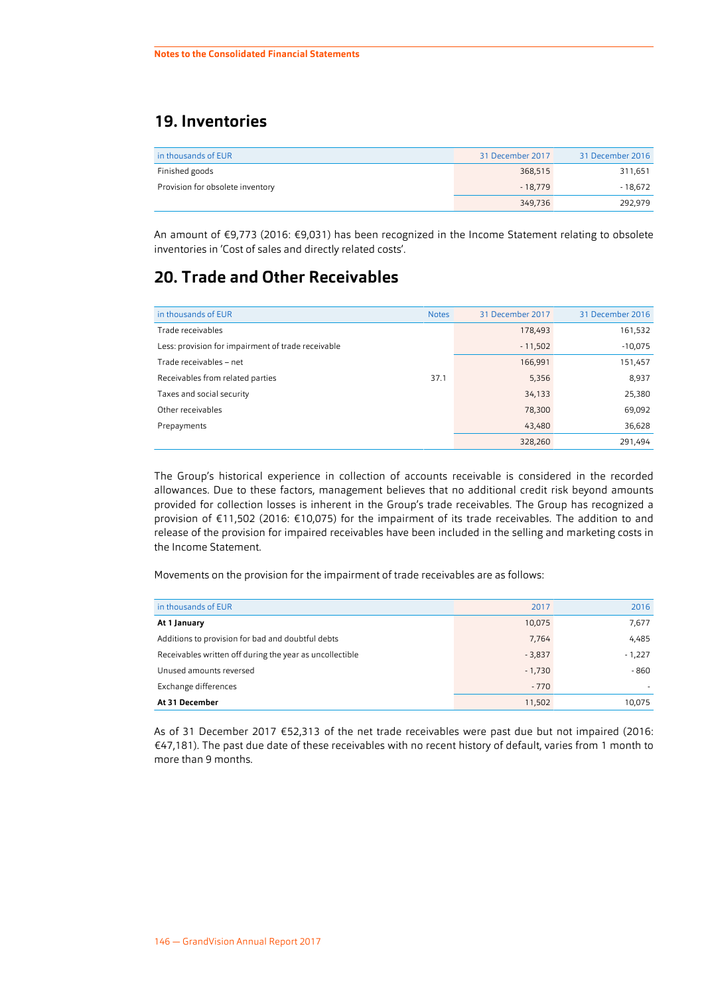## <span id="page-42-0"></span>**19. Inventories**

| in thousands of EUR              | 31 December 2017 | 31 December 2016 |
|----------------------------------|------------------|------------------|
| Finished goods                   | 368,515          | 311,651          |
| Provision for obsolete inventory | $-18.779$        | - 18.672         |
|                                  | 349,736          | 292.979          |

An amount of €9,773 (2016: €9,031) has been recognized in the Income Statement relating to obsolete inventories in 'Cost of sales and directly related costs'.

## **20. Trade and Other Receivables**

| in thousands of EUR                                | <b>Notes</b> | 31 December 2017 | 31 December 2016 |
|----------------------------------------------------|--------------|------------------|------------------|
| Trade receivables                                  |              | 178,493          | 161,532          |
| Less: provision for impairment of trade receivable |              | $-11,502$        | $-10,075$        |
| Trade receivables - net                            |              | 166,991          | 151,457          |
| Receivables from related parties                   | 37.1         | 5,356            | 8,937            |
| Taxes and social security                          |              | 34,133           | 25,380           |
| Other receivables                                  |              | 78,300           | 69,092           |
| Prepayments                                        |              | 43,480           | 36,628           |
|                                                    |              | 328,260          | 291.494          |

The Group's historical experience in collection of accounts receivable is considered in the recorded allowances. Due to these factors, management believes that no additional credit risk beyond amounts provided for collection losses is inherent in the Group's trade receivables. The Group has recognized a provision of €11,502 (2016: €10,075) for the impairment of its trade receivables. The addition to and release of the provision for impaired receivables have been included in the selling and marketing costs in the Income Statement.

Movements on the provision for the impairment of trade receivables are as follows:

| in thousands of EUR                                      | 2017     | 2016     |
|----------------------------------------------------------|----------|----------|
| At 1 January                                             | 10,075   | 7,677    |
| Additions to provision for bad and doubtful debts        | 7,764    | 4,485    |
| Receivables written off during the year as uncollectible | $-3,837$ | $-1,227$ |
| Unused amounts reversed                                  | $-1,730$ | - 860    |
| Exchange differences                                     | $-770$   |          |
| At 31 December                                           | 11,502   | 10,075   |

As of 31 December 2017 €52,313 of the net trade receivables were past due but not impaired (2016: €47,181). The past due date of these receivables with no recent history of default, varies from 1 month to more than 9 months.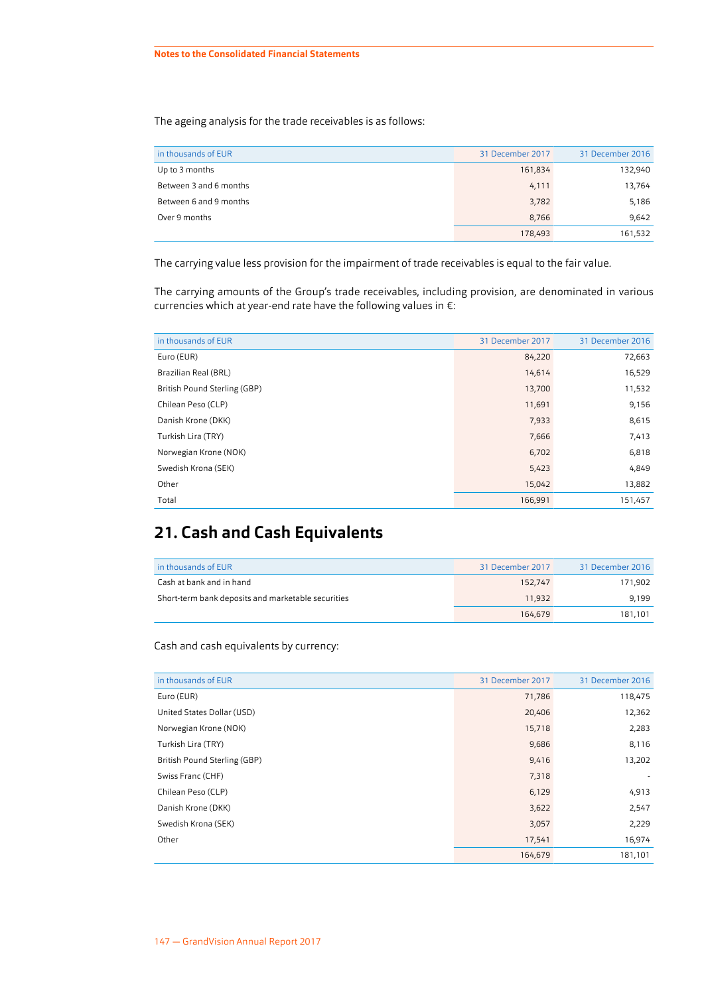The ageing analysis for the trade receivables is as follows:

| in thousands of EUR    | 31 December 2017 | 31 December 2016 |
|------------------------|------------------|------------------|
| Up to 3 months         | 161,834          | 132,940          |
| Between 3 and 6 months | 4,111            | 13,764           |
| Between 6 and 9 months | 3,782            | 5,186            |
| Over 9 months          | 8.766            | 9,642            |
|                        | 178,493          | 161,532          |

The carrying value less provision for the impairment of trade receivables is equal to the fair value.

The carrying amounts of the Group's trade receivables, including provision, are denominated in various currencies which at year-end rate have the following values in €:

| in thousands of EUR          | 31 December 2017 | 31 December 2016 |
|------------------------------|------------------|------------------|
| Euro (EUR)                   | 84,220           | 72,663           |
| Brazilian Real (BRL)         | 14,614           | 16,529           |
| British Pound Sterling (GBP) | 13,700           | 11,532           |
| Chilean Peso (CLP)           | 11,691           | 9,156            |
| Danish Krone (DKK)           | 7,933            | 8,615            |
| Turkish Lira (TRY)           | 7,666            | 7,413            |
| Norwegian Krone (NOK)        | 6,702            | 6,818            |
| Swedish Krona (SEK)          | 5,423            | 4,849            |
| Other                        | 15,042           | 13,882           |
| Total                        | 166,991          | 151,457          |

## **21. Cash and Cash Equivalents**

| in thousands of EUR                                | 31 December 2017 | 31 December 2016 |
|----------------------------------------------------|------------------|------------------|
| Cash at bank and in hand                           | 152.747          | 171.902          |
| Short-term bank deposits and marketable securities | 11.932           | 9.199            |
|                                                    | 164.679          | 181.101          |

#### Cash and cash equivalents by currency:

| in thousands of EUR          | 31 December 2017 | 31 December 2016 |
|------------------------------|------------------|------------------|
| Euro (EUR)                   | 71,786           | 118,475          |
| United States Dollar (USD)   | 20,406           | 12,362           |
| Norwegian Krone (NOK)        | 15,718           | 2,283            |
| Turkish Lira (TRY)           | 9,686            | 8,116            |
| British Pound Sterling (GBP) | 9,416            | 13,202           |
| Swiss Franc (CHF)            | 7,318            | ٠                |
| Chilean Peso (CLP)           | 6,129            | 4,913            |
| Danish Krone (DKK)           | 3,622            | 2,547            |
| Swedish Krona (SEK)          | 3,057            | 2,229            |
| Other                        | 17,541           | 16,974           |
|                              | 164,679          | 181,101          |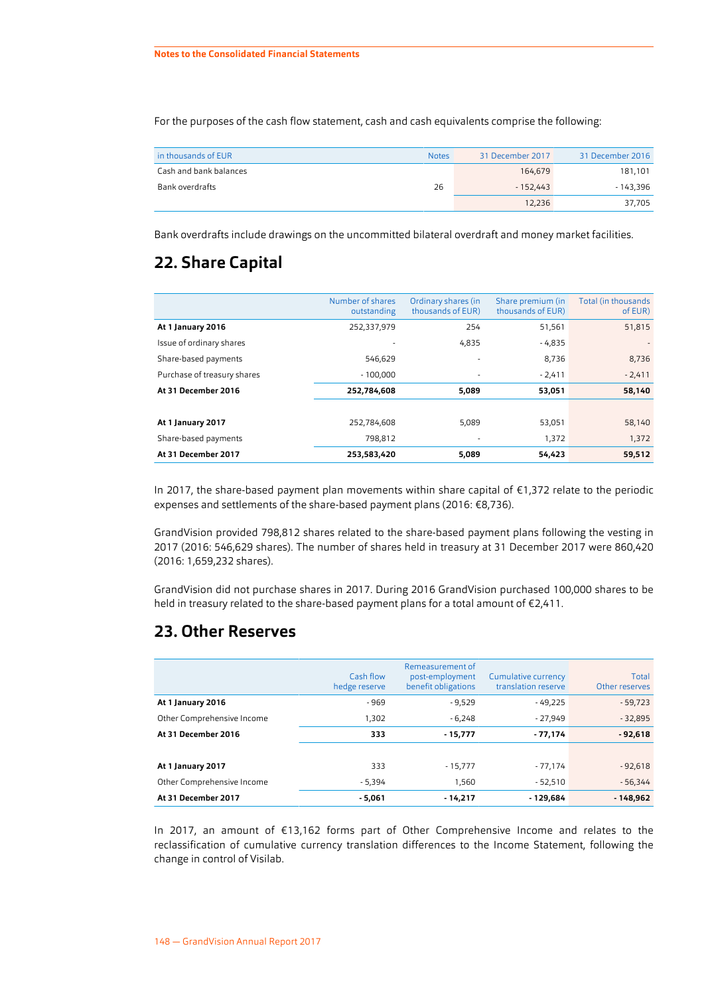<span id="page-44-0"></span>For the purposes of the cash flow statement, cash and cash equivalents comprise the following:

| in thousands of EUR    | <b>Notes</b> | 31 December 2017 | 31 December 2016 |
|------------------------|--------------|------------------|------------------|
| Cash and bank balances |              | 164.679          | 181,101          |
| Bank overdrafts        | 26           | $-152.443$       | - 143.396        |
|                        |              | 12.236           | 37,705           |

Bank overdrafts include drawings on the uncommitted bilateral overdraft and money market facilities.

## **22. Share Capital**

|                             | Number of shares<br>outstanding | Ordinary shares (in<br>thousands of EUR) | Share premium (in<br>thousands of EUR) | Total (in thousands<br>of EUR) |
|-----------------------------|---------------------------------|------------------------------------------|----------------------------------------|--------------------------------|
| At 1 January 2016           | 252,337,979                     | 254                                      | 51,561                                 | 51,815                         |
| Issue of ordinary shares    |                                 | 4,835                                    | - 4,835                                | $\overline{\phantom{a}}$       |
| Share-based payments        | 546,629                         | ٠                                        | 8,736                                  | 8,736                          |
| Purchase of treasury shares | $-100.000$                      | ٠                                        | $-2,411$                               | $-2,411$                       |
| At 31 December 2016         | 252,784,608                     | 5,089                                    | 53,051                                 | 58,140                         |
|                             |                                 |                                          |                                        |                                |
| At 1 January 2017           | 252,784,608                     | 5,089                                    | 53,051                                 | 58,140                         |
| Share-based payments        | 798,812                         |                                          | 1,372                                  | 1,372                          |
| At 31 December 2017         | 253,583,420                     | 5,089                                    | 54,423                                 | 59,512                         |

In 2017, the share-based payment plan movements within share capital of €1,372 relate to the periodic expenses and settlements of the share-based payment plans (2016: €8,736).

GrandVision provided 798,812 shares related to the share-based payment plans following the vesting in 2017 (2016: 546,629 shares). The number of shares held in treasury at 31 December 2017 were 860,420 (2016: 1,659,232 shares).

GrandVision did not purchase shares in 2017. During 2016 GrandVision purchased 100,000 shares to be held in treasury related to the share-based payment plans for a total amount of €2,411.

## **23. Other Reserves**

|                            | Cash flow<br>hedge reserve | Remeasurement of<br>post-employment<br>benefit obligations | Cumulative currency<br>translation reserve | Total<br>Other reserves |
|----------------------------|----------------------------|------------------------------------------------------------|--------------------------------------------|-------------------------|
| At 1 January 2016          | $-969$                     | $-9,529$                                                   | - 49,225                                   | $-59,723$               |
| Other Comprehensive Income | 1,302                      | $-6,248$                                                   | $-27,949$                                  | $-32,895$               |
| At 31 December 2016        | 333                        | $-15,777$                                                  | $-77,174$                                  | $-92,618$               |
|                            |                            |                                                            |                                            |                         |
| At 1 January 2017          | 333                        | $-15,777$                                                  | - 77,174                                   | $-92,618$               |
| Other Comprehensive Income | $-5,394$                   | 1,560                                                      | $-52,510$                                  | $-56,344$               |
| At 31 December 2017        | $-5,061$                   | $-14,217$                                                  | - 129,684                                  | $-148,962$              |

In 2017, an amount of €13,162 forms part of Other Comprehensive Income and relates to the reclassification of cumulative currency translation differences to the Income Statement, following the change in control of Visilab.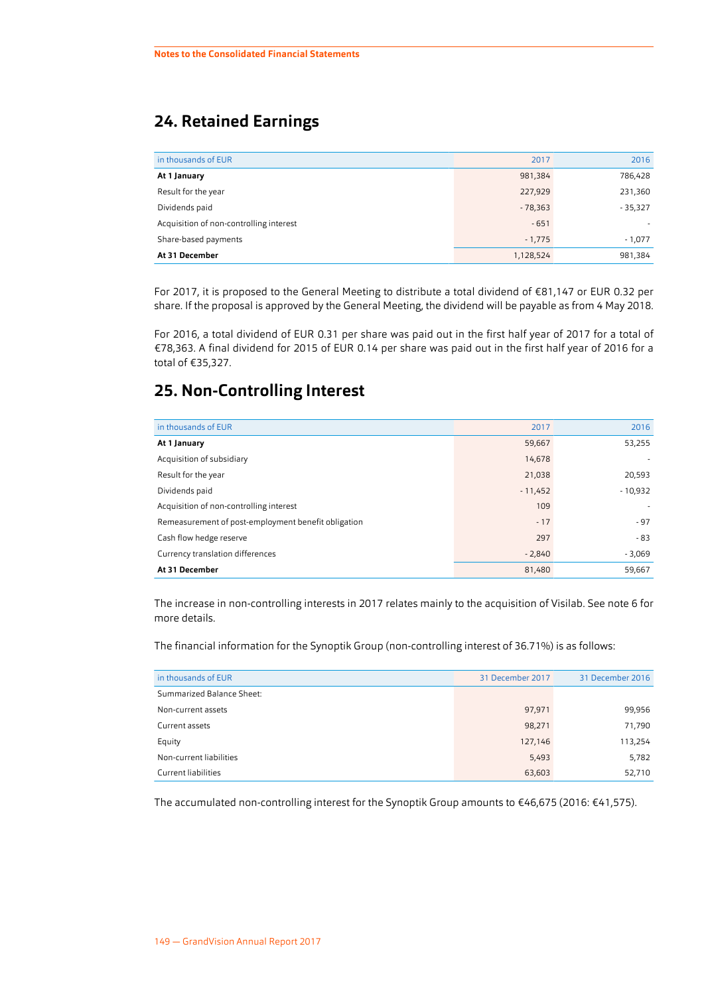## **24. Retained Earnings**

| in thousands of EUR                     | 2017      | 2016                     |
|-----------------------------------------|-----------|--------------------------|
| At 1 January                            | 981,384   | 786,428                  |
| Result for the year                     | 227,929   | 231,360                  |
| Dividends paid                          | $-78,363$ | $-35,327$                |
| Acquisition of non-controlling interest | $-651$    | $\overline{\phantom{a}}$ |
| Share-based payments                    | $-1,775$  | $-1,077$                 |
| At 31 December                          | 1,128,524 | 981,384                  |

For 2017, it is proposed to the General Meeting to distribute a total dividend of €81,147 or EUR 0.32 per share. If the proposal is approved by the General Meeting, the dividend will be payable as from 4 May 2018.

For 2016, a total dividend of EUR 0.31 per share was paid out in the first half year of 2017 for a total of €78,363. A final dividend for 2015 of EUR 0.14 per share was paid out in the first half year of 2016 for a total of €35,327.

## **25. Non-Controlling Interest**

| in thousands of EUR                                 | 2017      | 2016      |
|-----------------------------------------------------|-----------|-----------|
| At 1 January                                        | 59,667    | 53,255    |
| Acquisition of subsidiary                           | 14,678    | ٠         |
| Result for the year                                 | 21,038    | 20,593    |
| Dividends paid                                      | $-11,452$ | $-10,932$ |
| Acquisition of non-controlling interest             | 109       | ٠         |
| Remeasurement of post-employment benefit obligation | $-17$     | $-97$     |
| Cash flow hedge reserve                             | 297       | $-83$     |
| Currency translation differences                    | $-2,840$  | $-3,069$  |
| At 31 December                                      | 81,480    | 59,667    |
|                                                     |           |           |

The increase in non-controlling interests in 2017 relates mainly to the acquisition of Visilab. See note [6](#page-30-0) for more details.

The financial information for the Synoptik Group (non-controlling interest of 36.71%) is as follows:

| in thousands of EUR       | 31 December 2017 | 31 December 2016 |
|---------------------------|------------------|------------------|
| Summarized Balance Sheet: |                  |                  |
| Non-current assets        | 97,971           | 99,956           |
| Current assets            | 98,271           | 71,790           |
| Equity                    | 127,146          | 113,254          |
| Non-current liabilities   | 5,493            | 5,782            |
| Current liabilities       | 63,603           | 52,710           |

The accumulated non-controlling interest for the Synoptik Group amounts to €46,675 (2016: €41,575).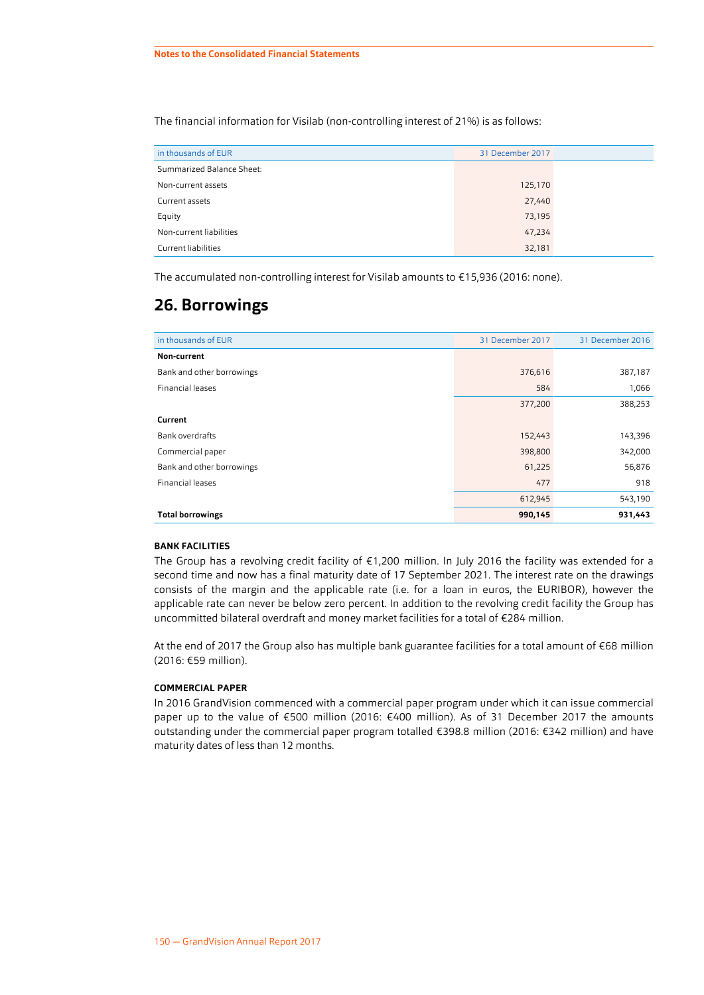<span id="page-46-0"></span>The financial information for Visilab (non-controlling interest of 21%) is as follows:

| in thousands of EUR       | 31 December 2017 |  |
|---------------------------|------------------|--|
| Summarized Balance Sheet: |                  |  |
| Non-current assets        | 125,170          |  |
| Current assets            | 27,440           |  |
| Equity                    | 73,195           |  |
| Non-current liabilities   | 47,234           |  |
| Current liabilities       | 32,181           |  |

The accumulated non-controlling interest for Visilab amounts to €15,936 (2016: none).

## **26. Borrowings**

| in thousands of EUR       | 31 December 2017 | 31 December 2016 |
|---------------------------|------------------|------------------|
| Non-current               |                  |                  |
| Bank and other borrowings | 376,616          | 387,187          |
| <b>Financial leases</b>   | 584              | 1,066            |
|                           | 377,200          | 388,253          |
| Current                   |                  |                  |
| <b>Bank overdrafts</b>    | 152,443          | 143,396          |
| Commercial paper          | 398,800          | 342,000          |
| Bank and other borrowings | 61,225           | 56,876           |
| Financial leases          | 477              | 918              |
|                           | 612,945          | 543,190          |
| <b>Total borrowings</b>   | 990,145          | 931,443          |

#### **BANK FACILITIES**

The Group has a revolving credit facility of €1,200 million. In July 2016 the facility was extended for a second time and now has a final maturity date of 17 September 2021. The interest rate on the drawings consists of the margin and the applicable rate (i.e. for a loan in euros, the EURIBOR), however the applicable rate can never be below zero percent. In addition to the revolving credit facility the Group has uncommitted bilateral overdraft and money market facilities for a total of €284 million.

At the end of 2017 the Group also has multiple bank guarantee facilities for a total amount of €68 million (2016: €59 million).

#### **COMMERCIAL PAPER**

In 2016 GrandVision commenced with a commercial paper program under which it can issue commercial paper up to the value of €500 million (2016: €400 million). As of 31 December 2017 the amounts outstanding under the commercial paper program totalled €398.8 million (2016: €342 million) and have maturity dates of less than 12 months.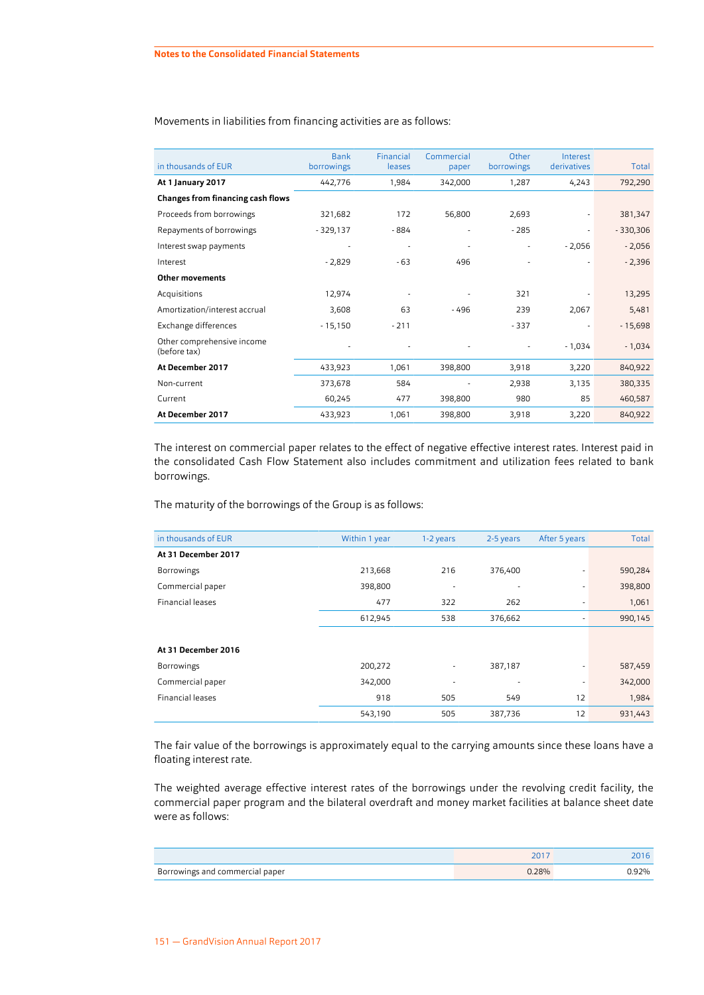| in thousands of EUR                        | <b>Bank</b><br>borrowings | Financial<br>leases | Commercial<br>paper | Other<br>borrowings | Interest<br>derivatives | Total      |
|--------------------------------------------|---------------------------|---------------------|---------------------|---------------------|-------------------------|------------|
| At 1 January 2017                          | 442,776                   | 1,984               | 342,000             | 1,287               | 4,243                   | 792,290    |
| <b>Changes from financing cash flows</b>   |                           |                     |                     |                     |                         |            |
| Proceeds from borrowings                   | 321,682                   | 172                 | 56,800              | 2,693               |                         | 381,347    |
| Repayments of borrowings                   | $-329,137$                | - 884               | ۰                   | $-285$              |                         | $-330,306$ |
| Interest swap payments                     |                           |                     | ۰                   |                     | $-2,056$                | $-2,056$   |
| Interest                                   | $-2,829$                  | - 63                | 496                 |                     |                         | $-2,396$   |
| <b>Other movements</b>                     |                           |                     |                     |                     |                         |            |
| Acquisitions                               | 12,974                    |                     |                     | 321                 |                         | 13,295     |
| Amortization/interest accrual              | 3,608                     | 63                  | $-496$              | 239                 | 2,067                   | 5,481      |
| Exchange differences                       | $-15,150$                 | $-211$              |                     | $-337$              |                         | $-15,698$  |
| Other comprehensive income<br>(before tax) |                           |                     |                     |                     | $-1,034$                | $-1,034$   |
| At December 2017                           | 433,923                   | 1,061               | 398,800             | 3,918               | 3,220                   | 840,922    |
| Non-current                                | 373,678                   | 584                 |                     | 2,938               | 3,135                   | 380,335    |
| Current                                    | 60,245                    | 477                 | 398,800             | 980                 | 85                      | 460,587    |
| At December 2017                           | 433,923                   | 1,061               | 398,800             | 3,918               | 3,220                   | 840,922    |

Movements in liabilities from financing activities are as follows:

The interest on commercial paper relates to the effect of negative effective interest rates. Interest paid in the consolidated Cash Flow Statement also includes commitment and utilization fees related to bank borrowings.

The maturity of the borrowings of the Group is as follows:

| in thousands of EUR     | Within 1 year | 1-2 years | 2-5 years | After 5 years | Total   |
|-------------------------|---------------|-----------|-----------|---------------|---------|
| At 31 December 2017     |               |           |           |               |         |
| <b>Borrowings</b>       | 213,668       | 216       | 376,400   |               | 590,284 |
| Commercial paper        | 398,800       | ٠         | ٠         | ۰             | 398,800 |
| <b>Financial leases</b> | 477           | 322       | 262       | ٠             | 1,061   |
|                         | 612,945       | 538       | 376,662   | ٠             | 990,145 |
|                         |               |           |           |               |         |
| At 31 December 2016     |               |           |           |               |         |
| <b>Borrowings</b>       | 200,272       | ٠         | 387,187   |               | 587,459 |
| Commercial paper        | 342,000       |           | ٠         | ٠             | 342,000 |
| Financial leases        | 918           | 505       | 549       | 12            | 1,984   |
|                         | 543,190       | 505       | 387,736   | 12            | 931,443 |

The fair value of the borrowings is approximately equal to the carrying amounts since these loans have a floating interest rate.

The weighted average effective interest rates of the borrowings under the revolving credit facility, the commercial paper program and the bilateral overdraft and money market facilities at balance sheet date were as follows:

| Borrowings and commercial paper | 7.28% | ` 92% |
|---------------------------------|-------|-------|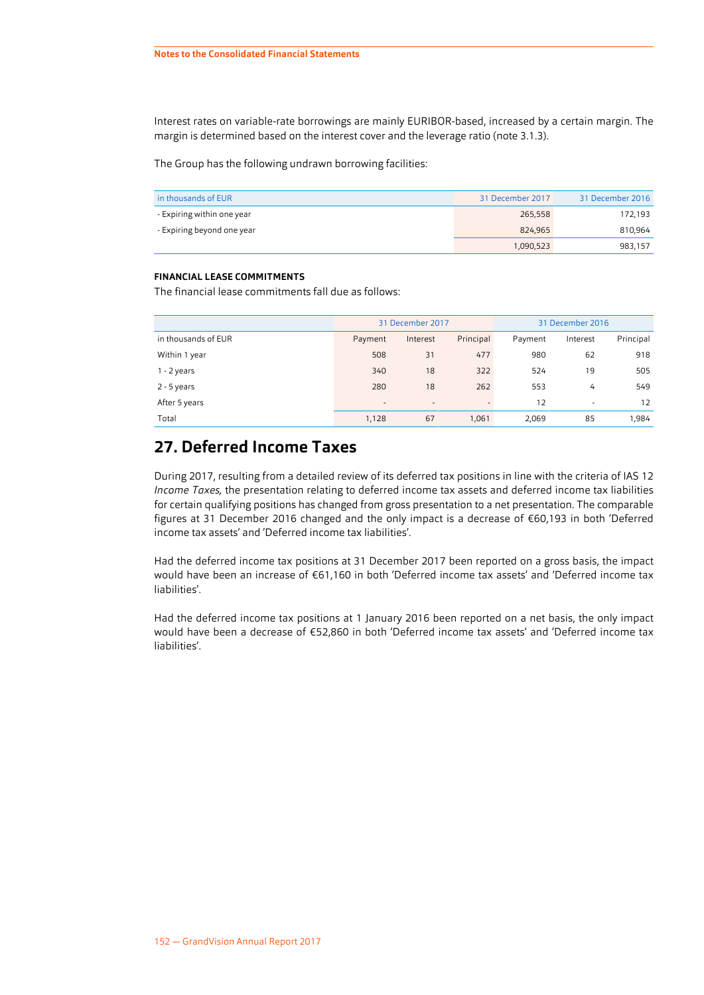Interest rates on variable-rate borrowings are mainly EURIBOR-based, increased by a certain margin. The margin is determined based on the interest cover and the leverage ratio (note 3.1.3).

The Group has the following undrawn borrowing facilities:

| in thousands of EUR        | 31 December 2017 | 31 December 2016 |
|----------------------------|------------------|------------------|
| - Expiring within one year | 265,558          | 172,193          |
| - Expiring beyond one year | 824.965          | 810,964          |
|                            | 1,090,523        | 983,157          |

#### **FINANCIAL LEASE COMMITMENTS**

The financial lease commitments fall due as follows:

|                     | 31 December 2017 |          | 31 December 2016 |         |          |           |
|---------------------|------------------|----------|------------------|---------|----------|-----------|
| in thousands of EUR | Payment          | Interest | Principal        | Payment | Interest | Principal |
| Within 1 year       | 508              | 31       | 477              | 980     | 62       | 918       |
| $1 - 2$ years       | 340              | 18       | 322              | 524     | 19       | 505       |
| 2 - 5 years         | 280              | 18       | 262              | 553     | 4        | 549       |
| After 5 years       | $\blacksquare$   | ۰.       | $\sim$           | 12      | ۰        | 12        |
| Total               | 1,128            | 67       | 1,061            | 2,069   | 85       | 1,984     |

## **27. Deferred Income Taxes**

During 2017, resulting from a detailed review of its deferred tax positions in line with the criteria of IAS 12 *Income Taxes,* the presentation relating to deferred income tax assets and deferred income tax liabilities for certain qualifying positions has changed from gross presentation to a net presentation. The comparable figures at 31 December 2016 changed and the only impact is a decrease of €60,193 in both 'Deferred income tax assets' and 'Deferred income tax liabilities'.

Had the deferred income tax positions at 31 December 2017 been reported on a gross basis, the impact would have been an increase of €61,160 in both 'Deferred income tax assets' and 'Deferred income tax liabilities'.

Had the deferred income tax positions at 1 January 2016 been reported on a net basis, the only impact would have been a decrease of €52,860 in both 'Deferred income tax assets' and 'Deferred income tax liabilities'.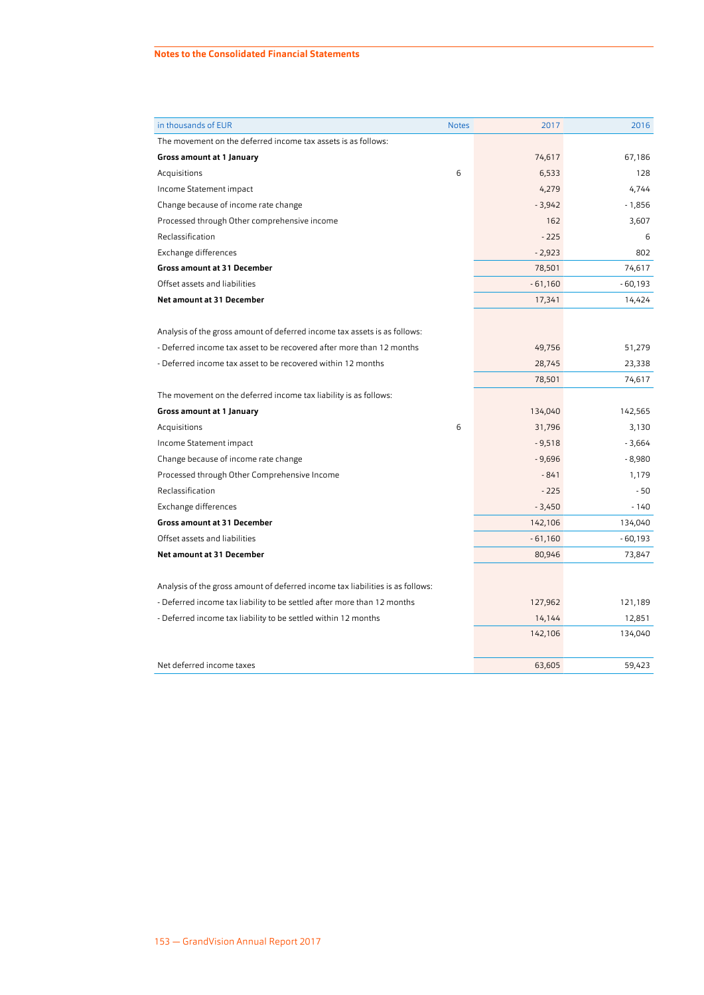| in thousands of EUR                                                            | <b>Notes</b> | 2017      | 2016      |
|--------------------------------------------------------------------------------|--------------|-----------|-----------|
| The movement on the deferred income tax assets is as follows:                  |              |           |           |
| Gross amount at 1 January                                                      |              | 74,617    | 67,186    |
| Acquisitions                                                                   | 6            | 6,533     | 128       |
| Income Statement impact                                                        |              | 4,279     | 4,744     |
| Change because of income rate change                                           |              | $-3,942$  | $-1,856$  |
| Processed through Other comprehensive income                                   |              | 162       | 3,607     |
| Reclassification                                                               |              | $-225$    | 6         |
| Exchange differences                                                           |              | $-2,923$  | 802       |
| <b>Gross amount at 31 December</b>                                             |              | 78,501    | 74,617    |
| Offset assets and liabilities                                                  |              | $-61,160$ | $-60,193$ |
| Net amount at 31 December                                                      |              | 17,341    | 14,424    |
|                                                                                |              |           |           |
| Analysis of the gross amount of deferred income tax assets is as follows:      |              |           |           |
| - Deferred income tax asset to be recovered after more than 12 months          |              | 49,756    | 51,279    |
| - Deferred income tax asset to be recovered within 12 months                   |              | 28,745    | 23,338    |
|                                                                                |              | 78,501    | 74,617    |
| The movement on the deferred income tax liability is as follows:               |              |           |           |
| Gross amount at 1 January                                                      |              | 134,040   | 142,565   |
| Acquisitions                                                                   | 6            | 31,796    | 3,130     |
| Income Statement impact                                                        |              | $-9,518$  | $-3,664$  |
| Change because of income rate change                                           |              | $-9,696$  | $-8,980$  |
| Processed through Other Comprehensive Income                                   |              | $-841$    | 1,179     |
| Reclassification                                                               |              | $-225$    | - 50      |
| Exchange differences                                                           |              | $-3,450$  | $-140$    |
| <b>Gross amount at 31 December</b>                                             |              | 142,106   | 134,040   |
| Offset assets and liabilities                                                  |              | $-61,160$ | $-60,193$ |
| Net amount at 31 December                                                      |              | 80,946    | 73,847    |
|                                                                                |              |           |           |
| Analysis of the gross amount of deferred income tax liabilities is as follows: |              |           |           |
| - Deferred income tax liability to be settled after more than 12 months        |              | 127,962   | 121,189   |
| - Deferred income tax liability to be settled within 12 months                 |              | 14,144    | 12,851    |
|                                                                                |              | 142,106   | 134,040   |
|                                                                                |              |           |           |
| Net deferred income taxes                                                      |              | 63,605    | 59,423    |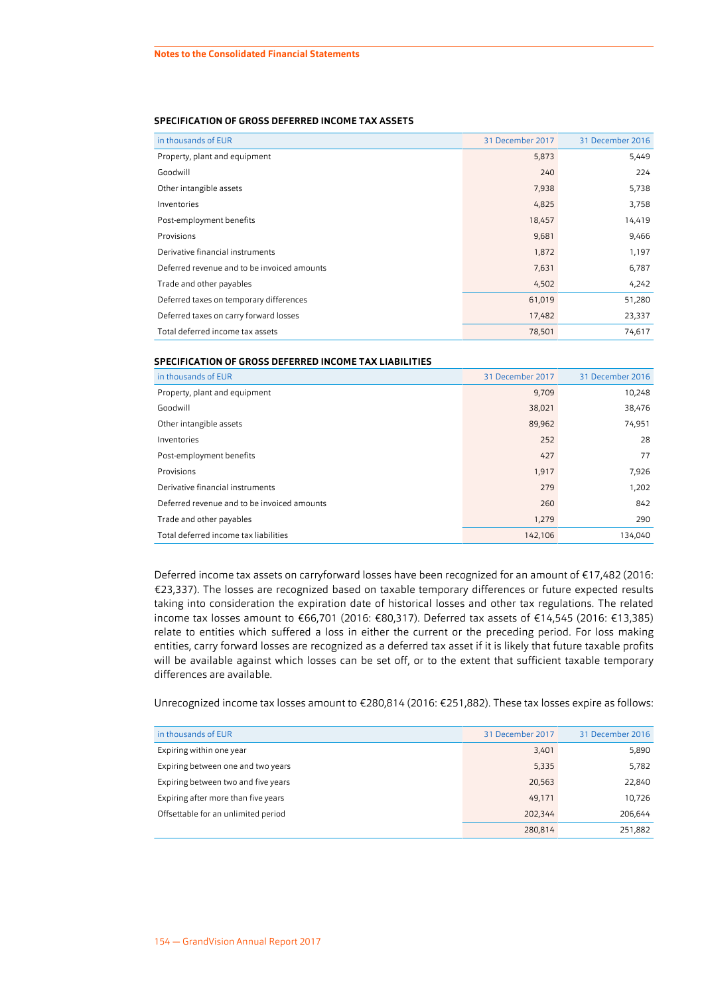#### **SPECIFICATION OF GROSS DEFERRED INCOME TAX ASSETS**

| in thousands of EUR                         | 31 December 2017 | 31 December 2016 |
|---------------------------------------------|------------------|------------------|
| Property, plant and equipment               | 5,873            | 5,449            |
| Goodwill                                    | 240              | 224              |
| Other intangible assets                     | 7,938            | 5,738            |
| Inventories                                 | 4,825            | 3,758            |
| Post-employment benefits                    | 18,457           | 14,419           |
| Provisions                                  | 9,681            | 9,466            |
| Derivative financial instruments            | 1,872            | 1,197            |
| Deferred revenue and to be invoiced amounts | 7,631            | 6,787            |
| Trade and other payables                    | 4,502            | 4,242            |
| Deferred taxes on temporary differences     | 61,019           | 51,280           |
| Deferred taxes on carry forward losses      | 17,482           | 23,337           |
| Total deferred income tax assets            | 78,501           | 74,617           |

#### **SPECIFICATION OF GROSS DEFERRED INCOME TAX LIABILITIES**

| in thousands of EUR                         | 31 December 2017 | 31 December 2016 |
|---------------------------------------------|------------------|------------------|
| Property, plant and equipment               | 9,709            | 10,248           |
| Goodwill                                    | 38,021           | 38,476           |
| Other intangible assets                     | 89,962           | 74,951           |
| Inventories                                 | 252              | 28               |
| Post-employment benefits                    | 427              | 77               |
| Provisions                                  | 1,917            | 7,926            |
| Derivative financial instruments            | 279              | 1,202            |
| Deferred revenue and to be invoiced amounts | 260              | 842              |
| Trade and other payables                    | 1,279            | 290              |
| Total deferred income tax liabilities       | 142,106          | 134,040          |

Deferred income tax assets on carryforward losses have been recognized for an amount of €17,482 (2016: €23,337). The losses are recognized based on taxable temporary differences or future expected results taking into consideration the expiration date of historical losses and other tax regulations. The related income tax losses amount to €66,701 (2016: €80,317). Deferred tax assets of €14,545 (2016: €13,385) relate to entities which suffered a loss in either the current or the preceding period. For loss making entities, carry forward losses are recognized as a deferred tax asset if it is likely that future taxable profits will be available against which losses can be set off, or to the extent that sufficient taxable temporary differences are available.

Unrecognized income tax losses amount to €280,814 (2016: €251,882). These tax losses expire as follows:

| in thousands of EUR                 | 31 December 2017 | 31 December 2016 |
|-------------------------------------|------------------|------------------|
| Expiring within one year            | 3,401            | 5,890            |
| Expiring between one and two years  | 5,335            | 5,782            |
| Expiring between two and five years | 20,563           | 22,840           |
| Expiring after more than five years | 49,171           | 10,726           |
| Offsettable for an unlimited period | 202.344          | 206,644          |
|                                     | 280,814          | 251,882          |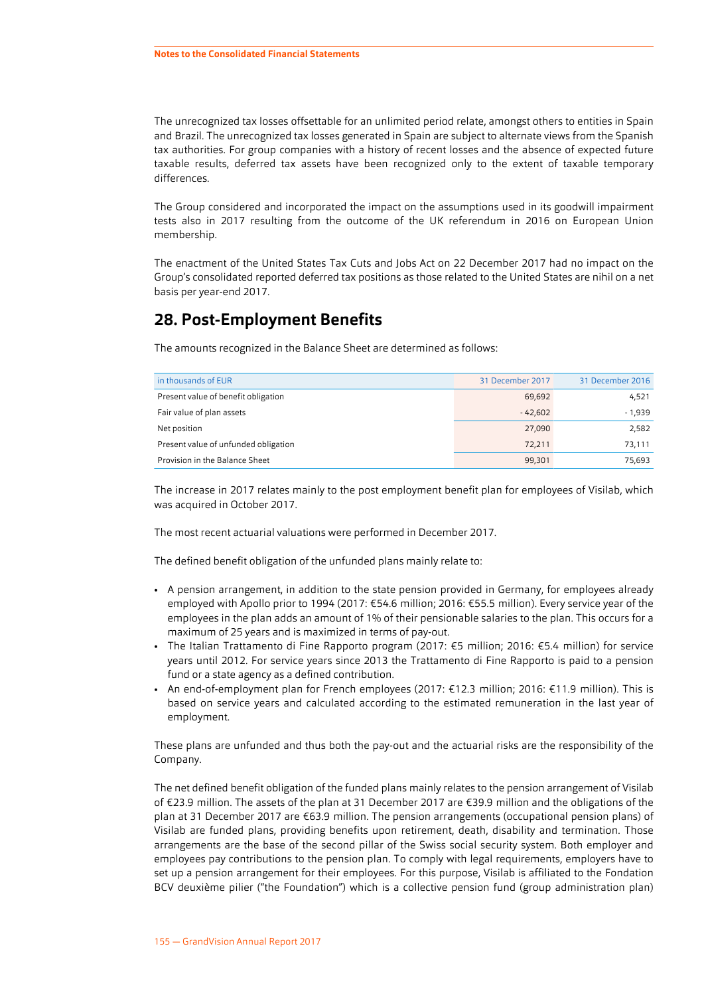The unrecognized tax losses offsettable for an unlimited period relate, amongst others to entities in Spain and Brazil. The unrecognized tax losses generated in Spain are subject to alternate views from the Spanish tax authorities. For group companies with a history of recent losses and the absence of expected future taxable results, deferred tax assets have been recognized only to the extent of taxable temporary differences.

The Group considered and incorporated the impact on the assumptions used in its goodwill impairment tests also in 2017 resulting from the outcome of the UK referendum in 2016 on European Union membership.

The enactment of the United States Tax Cuts and Jobs Act on 22 December 2017 had no impact on the Group's consolidated reported deferred tax positions as those related to the United States are nihil on a net basis per year-end 2017.

## **28. Post-Employment Benefits**

The amounts recognized in the Balance Sheet are determined as follows:

| in thousands of EUR                  | 31 December 2017 | 31 December 2016 |
|--------------------------------------|------------------|------------------|
| Present value of benefit obligation  | 69,692           | 4,521            |
| Fair value of plan assets            | $-42.602$        | $-1,939$         |
| Net position                         | 27,090           | 2,582            |
| Present value of unfunded obligation | 72.211           | 73,111           |
| Provision in the Balance Sheet       | 99,301           | 75.693           |

The increase in 2017 relates mainly to the post employment benefit plan for employees of Visilab, which was acquired in October 2017.

The most recent actuarial valuations were performed in December 2017.

The defined benefit obligation of the unfunded plans mainly relate to:

- A pension arrangement, in addition to the state pension provided in Germany, for employees already employed with Apollo prior to 1994 (2017: €54.6 million; 2016: €55.5 million). Every service year of the employees in the plan adds an amount of 1% of their pensionable salaries to the plan. This occurs for a maximum of 25 years and is maximized in terms of pay-out.
- The Italian Trattamento di Fine Rapporto program (2017: €5 million; 2016: €5.4 million) for service years until 2012. For service years since 2013 the Trattamento di Fine Rapporto is paid to a pension fund or a state agency as a defined contribution.
- An end-of-employment plan for French employees (2017: €12.3 million; 2016: €11.9 million). This is based on service years and calculated according to the estimated remuneration in the last year of employment.

These plans are unfunded and thus both the pay-out and the actuarial risks are the responsibility of the Company.

The net defined benefit obligation of the funded plans mainly relates to the pension arrangement of Visilab of €23.9 million. The assets of the plan at 31 December 2017 are €39.9 million and the obligations of the plan at 31 December 2017 are €63.9 million. The pension arrangements (occupational pension plans) of Visilab are funded plans, providing benefits upon retirement, death, disability and termination. Those arrangements are the base of the second pillar of the Swiss social security system. Both employer and employees pay contributions to the pension plan. To comply with legal requirements, employers have to set up a pension arrangement for their employees. For this purpose, Visilab is affiliated to the Fondation BCV deuxième pilier ("the Foundation") which is a collective pension fund (group administration plan)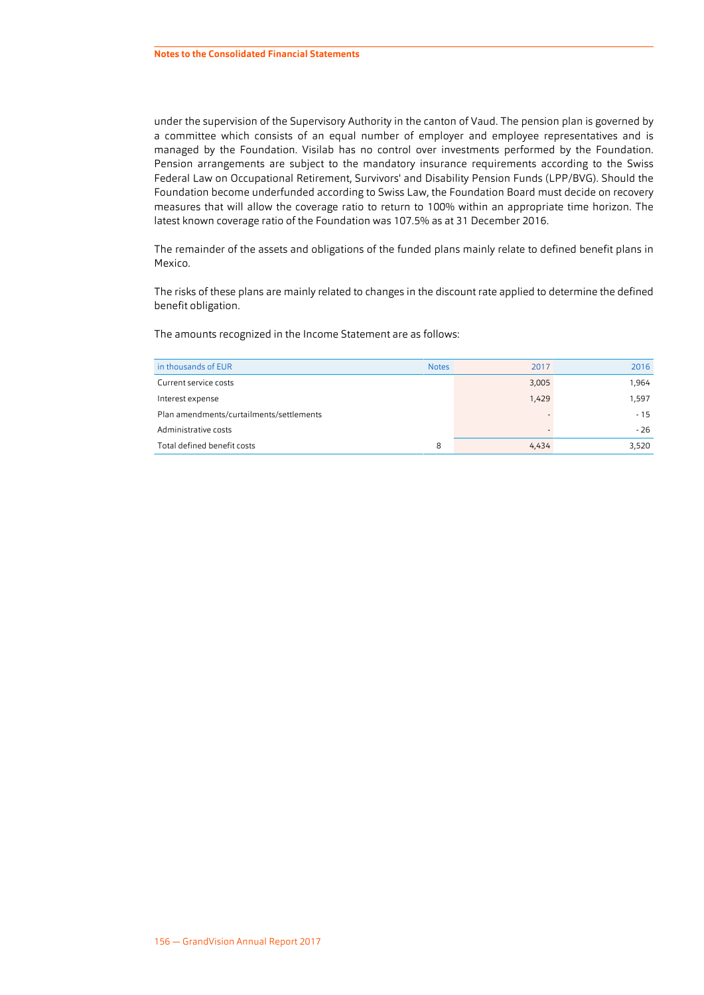under the supervision of the Supervisory Authority in the canton of Vaud. The pension plan is governed by a committee which consists of an equal number of employer and employee representatives and is managed by the Foundation. Visilab has no control over investments performed by the Foundation. Pension arrangements are subject to the mandatory insurance requirements according to the Swiss Federal Law on Occupational Retirement, Survivors' and Disability Pension Funds (LPP/BVG). Should the Foundation become underfunded according to Swiss Law, the Foundation Board must decide on recovery measures that will allow the coverage ratio to return to 100% within an appropriate time horizon. The latest known coverage ratio of the Foundation was 107.5% as at 31 December 2016.

The remainder of the assets and obligations of the funded plans mainly relate to defined benefit plans in Mexico.

The risks of these plans are mainly related to changes in the discount rate applied to determine the defined benefit obligation.

The amounts recognized in the Income Statement are as follows:

| in thousands of EUR                      | <b>Notes</b> | 2017  | 2016  |
|------------------------------------------|--------------|-------|-------|
| Current service costs                    |              | 3,005 | 1.964 |
| Interest expense                         |              | 1,429 | 1,597 |
| Plan amendments/curtailments/settlements |              |       | $-15$ |
| Administrative costs                     |              |       | $-26$ |
| Total defined benefit costs              | 8            | 4,434 | 3,520 |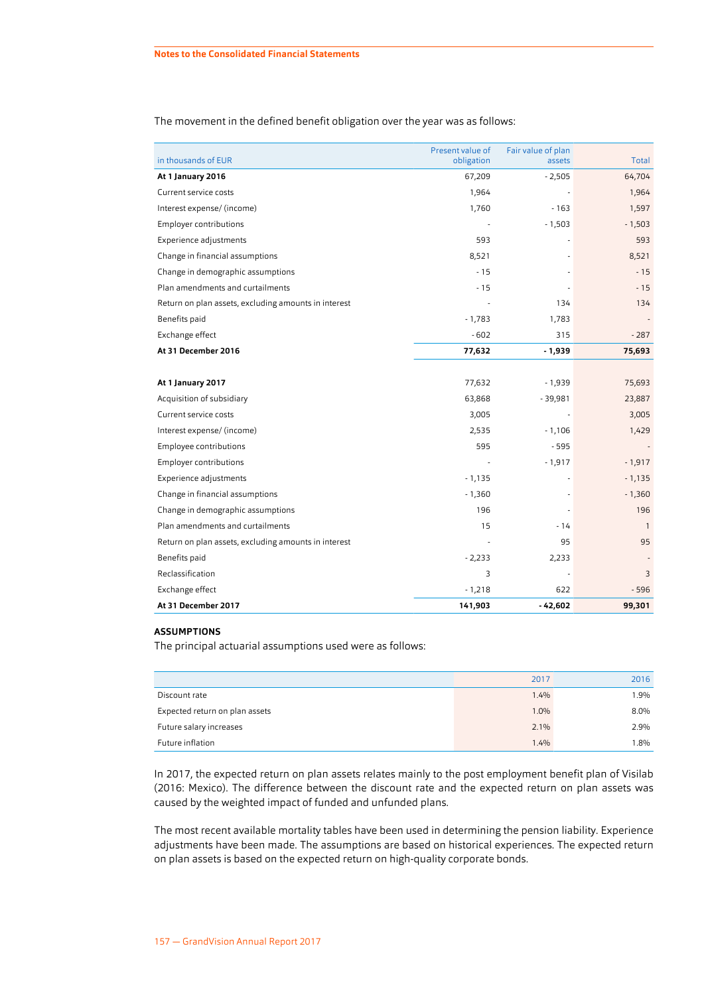| in thousands of EUR                                  | Present value of<br>obligation | Fair value of plan<br>assets | Total          |
|------------------------------------------------------|--------------------------------|------------------------------|----------------|
| At 1 January 2016                                    | 67,209                         | $-2,505$                     | 64,704         |
| Current service costs                                | 1,964                          |                              | 1,964          |
| Interest expense/ (income)                           | 1,760                          | $-163$                       | 1,597          |
| Employer contributions                               |                                | $-1,503$                     | $-1,503$       |
| <b>Experience adjustments</b>                        | 593                            |                              | 593            |
| Change in financial assumptions                      | 8,521                          |                              | 8,521          |
| Change in demographic assumptions                    | $-15$                          |                              | $-15$          |
| Plan amendments and curtailments                     | $-15$                          |                              | $-15$          |
| Return on plan assets, excluding amounts in interest |                                | 134                          | 134            |
| Benefits paid                                        | $-1,783$                       | 1,783                        |                |
| Exchange effect                                      | $-602$                         | 315                          | $-287$         |
| At 31 December 2016                                  | 77,632                         | $-1,939$                     | 75,693         |
|                                                      |                                |                              |                |
| At 1 January 2017                                    | 77,632                         | $-1,939$                     | 75,693         |
| Acquisition of subsidiary                            | 63,868                         | $-39,981$                    | 23,887         |
| Current service costs                                | 3,005                          |                              | 3,005          |
| Interest expense/ (income)                           | 2,535                          | $-1,106$                     | 1,429          |
| Employee contributions                               | 595                            | $-595$                       | $\overline{a}$ |
| Employer contributions                               |                                | $-1,917$                     | $-1,917$       |
| Experience adjustments                               | $-1,135$                       |                              | $-1,135$       |
| Change in financial assumptions                      | $-1,360$                       |                              | $-1,360$       |
| Change in demographic assumptions                    | 196                            |                              | 196            |
| Plan amendments and curtailments                     | 15                             | - 14                         | $\overline{1}$ |
| Return on plan assets, excluding amounts in interest |                                | 95                           | 95             |
| Benefits paid                                        | $-2,233$                       | 2,233                        |                |
| Reclassification                                     | 3                              |                              | 3              |
| Exchange effect                                      | $-1,218$                       | 622                          | $-596$         |
| At 31 December 2017                                  | 141,903                        | $-42,602$                    | 99,301         |

The movement in the defined benefit obligation over the year was as follows:

#### **ASSUMPTIONS**

The principal actuarial assumptions used were as follows:

|                                | 2017 | 2016 |
|--------------------------------|------|------|
| Discount rate                  | 1.4% | 1.9% |
| Expected return on plan assets | 1.0% | 8.0% |
| Future salary increases        | 2.1% | 2.9% |
| Future inflation               | 1.4% | 1.8% |

In 2017, the expected return on plan assets relates mainly to the post employment benefit plan of Visilab (2016: Mexico). The difference between the discount rate and the expected return on plan assets was caused by the weighted impact of funded and unfunded plans.

The most recent available mortality tables have been used in determining the pension liability. Experience adjustments have been made. The assumptions are based on historical experiences. The expected return on plan assets is based on the expected return on high-quality corporate bonds.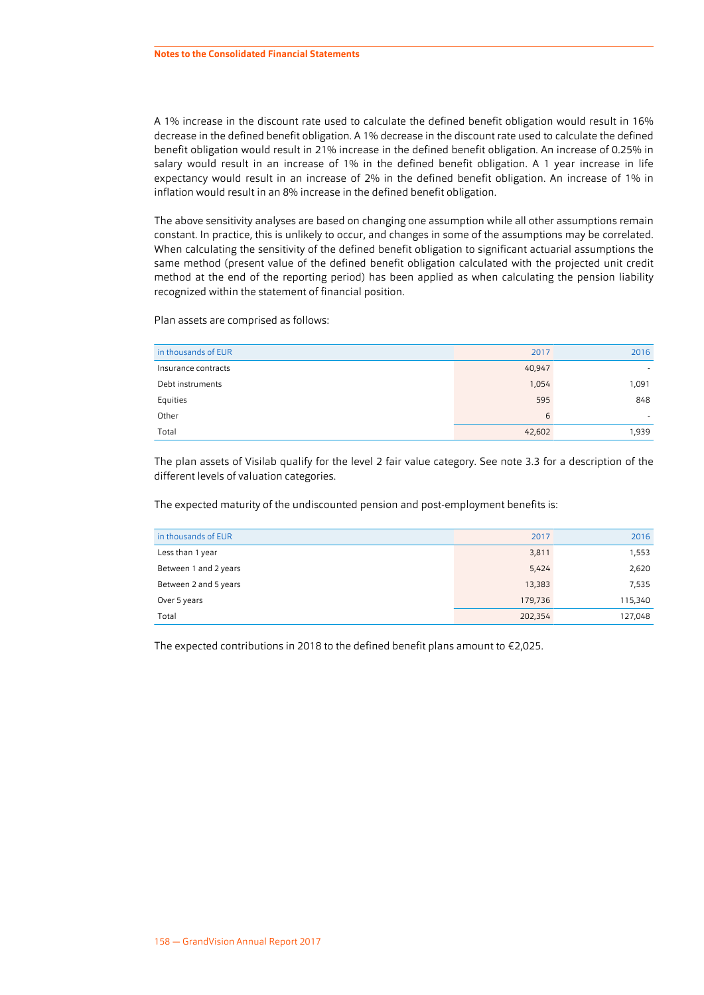A 1% increase in the discount rate used to calculate the defined benefit obligation would result in 16% decrease in the defined benefit obligation. A 1% decrease in the discount rate used to calculate the defined benefit obligation would result in 21% increase in the defined benefit obligation. An increase of 0.25% in salary would result in an increase of 1% in the defined benefit obligation. A 1 year increase in life expectancy would result in an increase of 2% in the defined benefit obligation. An increase of 1% in inflation would result in an 8% increase in the defined benefit obligation.

The above sensitivity analyses are based on changing one assumption while all other assumptions remain constant. In practice, this is unlikely to occur, and changes in some of the assumptions may be correlated. When calculating the sensitivity of the defined benefit obligation to significant actuarial assumptions the same method (present value of the defined benefit obligation calculated with the projected unit credit method at the end of the reporting period) has been applied as when calculating the pension liability recognized within the statement of financial position.

Plan assets are comprised as follows:

| in thousands of EUR | 2017   | 2016  |
|---------------------|--------|-------|
| Insurance contracts | 40,947 | ۰     |
| Debt instruments    | 1,054  | 1,091 |
| Equities            | 595    | 848   |
| Other               | 6      | ۰     |
| Total               | 42,602 | 1,939 |

The plan assets of Visilab qualify for the level 2 fair value category. See note [3.3](#page-25-0) for a description of the different levels of valuation categories.

The expected maturity of the undiscounted pension and post-employment benefits is:

| in thousands of EUR   | 2017    | 2016    |
|-----------------------|---------|---------|
| Less than 1 year      | 3,811   | 1,553   |
| Between 1 and 2 years | 5,424   | 2,620   |
| Between 2 and 5 years | 13,383  | 7,535   |
| Over 5 years          | 179,736 | 115,340 |
| Total                 | 202,354 | 127,048 |

The expected contributions in 2018 to the defined benefit plans amount to €2,025.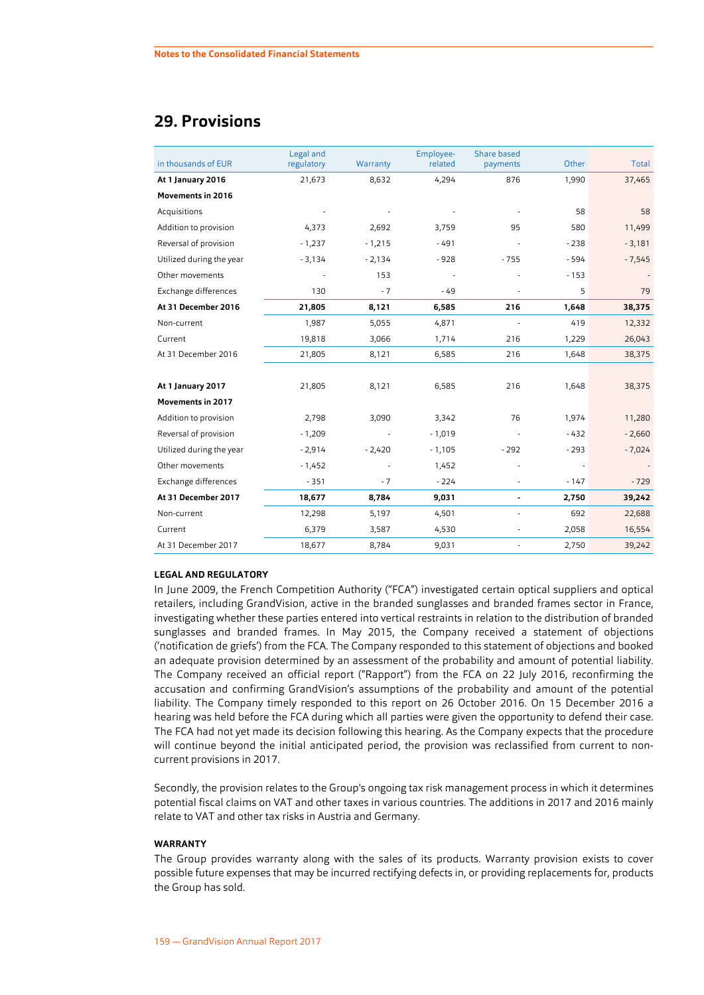## **29. Provisions**

| in thousands of EUR      | Legal and<br>regulatory | Warranty | Employee-<br>related | Share based<br>payments | Other  | Total    |
|--------------------------|-------------------------|----------|----------------------|-------------------------|--------|----------|
| At 1 January 2016        | 21,673                  | 8,632    | 4,294                | 876                     | 1,990  | 37,465   |
| <b>Movements in 2016</b> |                         |          |                      |                         |        |          |
| Acquisitions             |                         |          |                      |                         | 58     | 58       |
| Addition to provision    | 4,373                   | 2,692    | 3,759                | 95                      | 580    | 11,499   |
| Reversal of provision    | $-1,237$                | $-1,215$ | $-491$               |                         | $-238$ | $-3,181$ |
| Utilized during the year | $-3,134$                | $-2,134$ | $-928$               | $-755$                  | $-594$ | $-7,545$ |
| Other movements          |                         | 153      |                      |                         | $-153$ |          |
| Exchange differences     | 130                     | $-7$     | $-49$                |                         | 5      | 79       |
| At 31 December 2016      | 21,805                  | 8,121    | 6,585                | 216                     | 1,648  | 38,375   |
| Non-current              | 1,987                   | 5,055    | 4,871                | ÷,                      | 419    | 12,332   |
| Current                  | 19,818                  | 3,066    | 1,714                | 216                     | 1,229  | 26,043   |
| At 31 December 2016      | 21,805                  | 8,121    | 6,585                | 216                     | 1,648  | 38,375   |
|                          |                         |          |                      |                         |        |          |
| At 1 January 2017        | 21,805                  | 8,121    | 6,585                | 216                     | 1,648  | 38,375   |
| <b>Movements in 2017</b> |                         |          |                      |                         |        |          |
| Addition to provision    | 2,798                   | 3,090    | 3,342                | 76                      | 1,974  | 11,280   |
| Reversal of provision    | $-1,209$                |          | $-1,019$             |                         | $-432$ | $-2,660$ |
| Utilized during the year | $-2,914$                | $-2,420$ | $-1,105$             | $-292$                  | $-293$ | $-7,024$ |
| Other movements          | $-1,452$                |          | 1,452                |                         |        |          |
| Exchange differences     | $-351$                  | $-7$     | $-224$               |                         | $-147$ | $-729$   |
| At 31 December 2017      | 18,677                  | 8,784    | 9,031                |                         | 2,750  | 39,242   |
| Non-current              | 12,298                  | 5,197    | 4,501                |                         | 692    | 22,688   |
| Current                  | 6,379                   | 3,587    | 4,530                | ÷,                      | 2,058  | 16,554   |
| At 31 December 2017      | 18,677                  | 8,784    | 9,031                |                         | 2,750  | 39,242   |

#### **LEGAL AND REGULATORY**

In June 2009, the French Competition Authority ("FCA") investigated certain optical suppliers and optical retailers, including GrandVision, active in the branded sunglasses and branded frames sector in France, investigating whether these parties entered into vertical restraints in relation to the distribution of branded sunglasses and branded frames. In May 2015, the Company received a statement of objections ('notification de griefs') from the FCA. The Company responded to this statement of objections and booked an adequate provision determined by an assessment of the probability and amount of potential liability. The Company received an official report ("Rapport") from the FCA on 22 July 2016, reconfirming the accusation and confirming GrandVision's assumptions of the probability and amount of the potential liability. The Company timely responded to this report on 26 October 2016. On 15 December 2016 a hearing was held before the FCA during which all parties were given the opportunity to defend their case. The FCA had not yet made its decision following this hearing. As the Company expects that the procedure will continue beyond the initial anticipated period, the provision was reclassified from current to noncurrent provisions in 2017.

Secondly, the provision relates to the Group's ongoing tax risk management process in which it determines potential fiscal claims on VAT and other taxes in various countries. The additions in 2017 and 2016 mainly relate to VAT and other tax risks in Austria and Germany.

#### **WARRANTY**

The Group provides warranty along with the sales of its products. Warranty provision exists to cover possible future expenses that may be incurred rectifying defects in, or providing replacements for, products the Group has sold.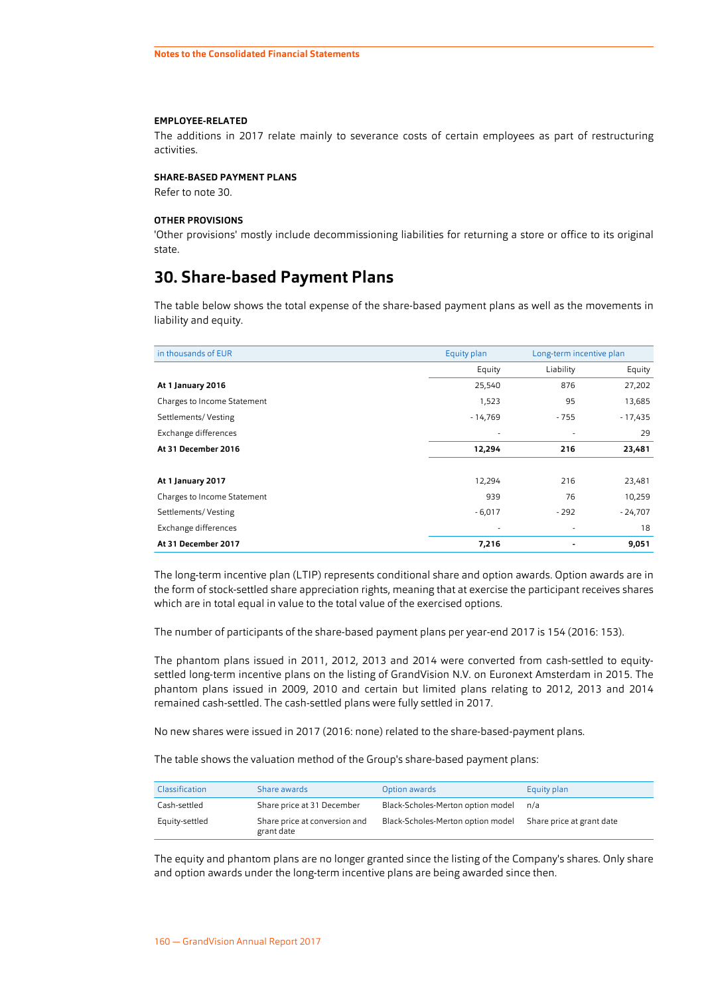#### <span id="page-56-0"></span>**EMPLOYEE-RELATED**

The additions in 2017 relate mainly to severance costs of certain employees as part of restructuring activities.

#### **SHARE-BASED PAYMENT PLANS**

Refer to note 30.

#### **OTHER PROVISIONS**

'Other provisions' mostly include decommissioning liabilities for returning a store or office to its original state.

## **30. Share-based Payment Plans**

The table below shows the total expense of the share-based payment plans as well as the movements in liability and equity.

| in thousands of EUR         | Equity plan | Long-term incentive plan |           |
|-----------------------------|-------------|--------------------------|-----------|
|                             | Equity      | Liability                | Equity    |
| At 1 January 2016           | 25,540      | 876                      | 27,202    |
| Charges to Income Statement | 1,523       | 95                       | 13,685    |
| Settlements/Vesting         | $-14,769$   | - 755                    | $-17,435$ |
| Exchange differences        |             | ٠                        | 29        |
| At 31 December 2016         | 12,294      | 216                      | 23,481    |
|                             |             |                          |           |
| At 1 January 2017           | 12,294      | 216                      | 23,481    |
| Charges to Income Statement | 939         | 76                       | 10,259    |
| Settlements/Vesting         | $-6,017$    | - 292                    | $-24,707$ |
| Exchange differences        |             | ٠                        | 18        |
| At 31 December 2017         | 7,216       |                          | 9,051     |

The long-term incentive plan (LTIP) represents conditional share and option awards. Option awards are in the form of stock-settled share appreciation rights, meaning that at exercise the participant receives shares which are in total equal in value to the total value of the exercised options.

The number of participants of the share-based payment plans per year-end 2017 is 154 (2016: 153).

The phantom plans issued in 2011, 2012, 2013 and 2014 were converted from cash-settled to equitysettled long-term incentive plans on the listing of GrandVision N.V. on Euronext Amsterdam in 2015. The phantom plans issued in 2009, 2010 and certain but limited plans relating to 2012, 2013 and 2014 remained cash-settled. The cash-settled plans were fully settled in 2017.

No new shares were issued in 2017 (2016: none) related to the share-based-payment plans.

The table shows the valuation method of the Group's share-based payment plans:

| Classification | Share awards                                | Option awards                     | Equity plan               |
|----------------|---------------------------------------------|-----------------------------------|---------------------------|
| Cash-settled   | Share price at 31 December                  | Black-Scholes-Merton option model | n/a                       |
| Equity-settled | Share price at conversion and<br>grant date | Black-Scholes-Merton option model | Share price at grant date |

The equity and phantom plans are no longer granted since the listing of the Company's shares. Only share and option awards under the long-term incentive plans are being awarded since then.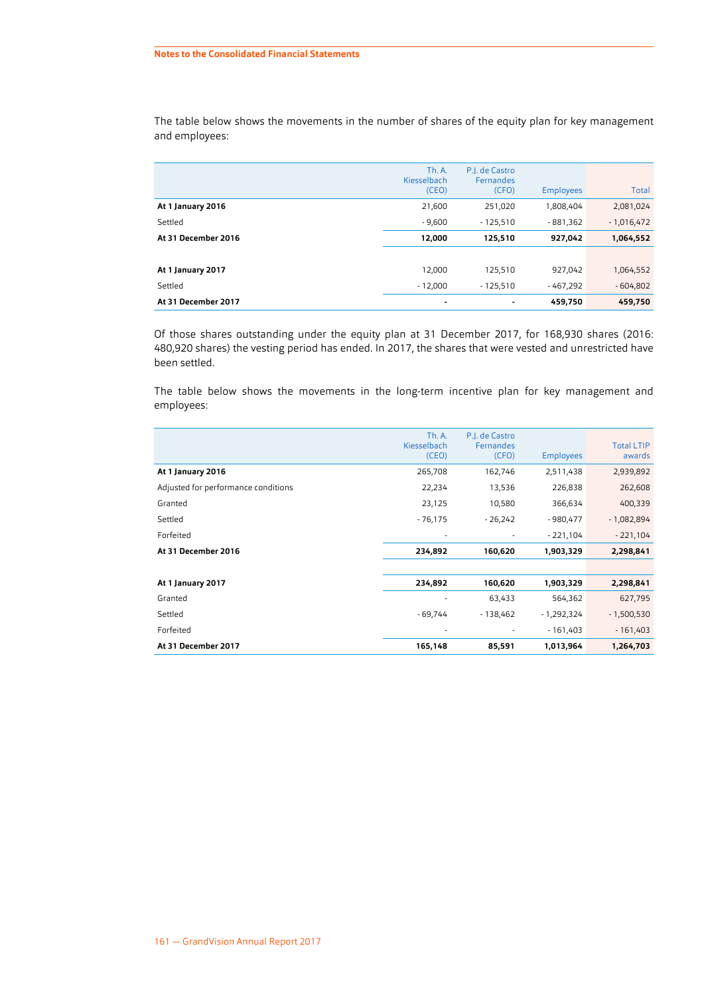|                     | Th. A.<br>Kiesselbach<br>(CEO) | P.I. de Castro<br>Fernandes<br>(CFO) | <b>Employees</b> | Total        |
|---------------------|--------------------------------|--------------------------------------|------------------|--------------|
| At 1 January 2016   | 21,600                         | 251,020                              | 1,808,404        | 2,081,024    |
| Settled             | $-9.600$                       | $-125.510$                           | $-881.362$       | $-1,016,472$ |
| At 31 December 2016 | 12,000                         | 125,510                              | 927,042          | 1,064,552    |
|                     |                                |                                      |                  |              |
| At 1 January 2017   | 12.000                         | 125,510                              | 927,042          | 1,064,552    |
| Settled             | $-12,000$                      | $-125.510$                           | $-467.292$       | $-604,802$   |
| At 31 December 2017 | $\blacksquare$                 |                                      | 459,750          | 459,750      |

The table below shows the movements in the number of shares of the equity plan for key management and employees:

Of those shares outstanding under the equity plan at 31 December 2017, for 168,930 shares (2016: 480,920 shares) the vesting period has ended. In 2017, the shares that were vested and unrestricted have been settled.

The table below shows the movements in the long-term incentive plan for key management and employees:

|                                     | <b>Th. A.</b><br>Kiesselbach<br>(CEO) | P.I. de Castro<br>Fernandes<br>(CFO) | <b>Employees</b> | <b>Total LTIP</b><br>awards |
|-------------------------------------|---------------------------------------|--------------------------------------|------------------|-----------------------------|
| At 1 January 2016                   | 265,708                               | 162,746                              | 2,511,438        | 2,939,892                   |
| Adjusted for performance conditions | 22,234                                | 13,536                               | 226,838          | 262,608                     |
| Granted                             | 23,125                                | 10,580                               | 366,634          | 400,339                     |
| Settled                             | $-76,175$                             | $-26,242$                            | $-980,477$       | $-1,082,894$                |
| Forfeited                           |                                       |                                      | $-221,104$       | $-221,104$                  |
| At 31 December 2016                 | 234,892                               | 160,620                              | 1,903,329        | 2,298,841                   |
|                                     |                                       |                                      |                  |                             |
| At 1 January 2017                   | 234,892                               | 160,620                              | 1,903,329        | 2,298,841                   |
| Granted                             |                                       | 63,433                               | 564,362          | 627,795                     |
| Settled                             | $-69,744$                             | $-138,462$                           | $-1,292,324$     | $-1,500,530$                |
| Forfeited                           |                                       |                                      | $-161,403$       | $-161,403$                  |
| At 31 December 2017                 | 165,148                               | 85,591                               | 1,013,964        | 1,264,703                   |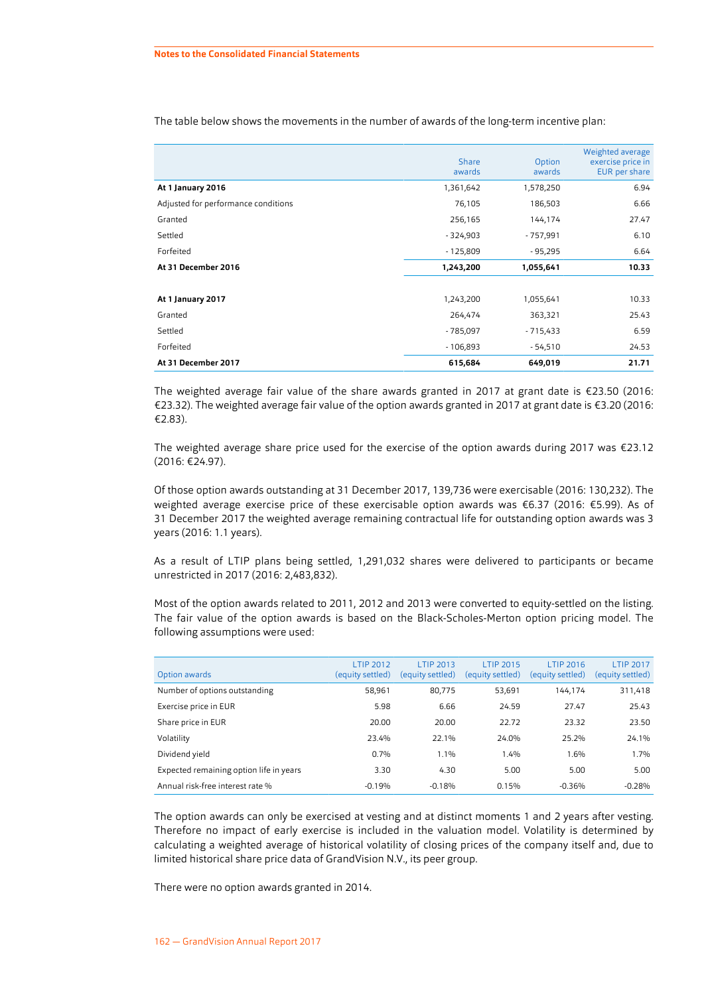|                                     | <b>Share</b><br>awards | Option<br>awards | Weighted average<br>exercise price in<br>EUR per share |
|-------------------------------------|------------------------|------------------|--------------------------------------------------------|
| At 1 January 2016                   | 1,361,642              | 1,578,250        | 6.94                                                   |
| Adjusted for performance conditions | 76,105                 | 186,503          | 6.66                                                   |
| Granted                             | 256,165                | 144,174          | 27.47                                                  |
| Settled                             | $-324,903$             | $-757,991$       | 6.10                                                   |
| Forfeited                           | $-125,809$             | $-95,295$        | 6.64                                                   |
| At 31 December 2016                 | 1,243,200              | 1,055,641        | 10.33                                                  |
|                                     |                        |                  |                                                        |
| At 1 January 2017                   | 1,243,200              | 1,055,641        | 10.33                                                  |
| Granted                             | 264,474                | 363,321          | 25.43                                                  |
| Settled                             | $-785,097$             | $-715,433$       | 6.59                                                   |
| Forfeited                           | $-106,893$             | $-54,510$        | 24.53                                                  |
| At 31 December 2017                 | 615,684                | 649,019          | 21.71                                                  |

The table below shows the movements in the number of awards of the long-term incentive plan:

The weighted average fair value of the share awards granted in 2017 at grant date is €23.50 (2016: €23.32). The weighted average fair value of the option awards granted in 2017 at grant date is €3.20 (2016: €2.83).

The weighted average share price used for the exercise of the option awards during 2017 was €23.12 (2016: €24.97).

Of those option awards outstanding at 31 December 2017, 139,736 were exercisable (2016: 130,232). The weighted average exercise price of these exercisable option awards was €6.37 (2016: €5.99). As of 31 December 2017 the weighted average remaining contractual life for outstanding option awards was 3 years (2016: 1.1 years).

As a result of LTIP plans being settled, 1,291,032 shares were delivered to participants or became unrestricted in 2017 (2016: 2,483,832).

Most of the option awards related to 2011, 2012 and 2013 were converted to equity-settled on the listing. The fair value of the option awards is based on the Black-Scholes-Merton option pricing model. The following assumptions were used:

| Option awards                           | <b>LTIP 2012</b><br>(equity settled) | <b>LTIP 2013</b><br>(equity settled) | <b>LTIP 2015</b><br>(equity settled) | <b>LTIP 2016</b><br>(equity settled) | <b>LTIP 2017</b><br>(equity settled) |
|-----------------------------------------|--------------------------------------|--------------------------------------|--------------------------------------|--------------------------------------|--------------------------------------|
| Number of options outstanding           | 58,961                               | 80,775                               | 53,691                               | 144.174                              | 311,418                              |
| Exercise price in EUR                   | 5.98                                 | 6.66                                 | 24.59                                | 27.47                                | 25.43                                |
| Share price in EUR                      | 20.00                                | 20.00                                | 22.72                                | 23.32                                | 23.50                                |
| Volatility                              | 23.4%                                | 22.1%                                | 24.0%                                | 25.2%                                | 24.1%                                |
| Dividend yield                          | 0.7%                                 | 1.1%                                 | 1.4%                                 | 1.6%                                 | 1.7%                                 |
| Expected remaining option life in years | 3.30                                 | 4.30                                 | 5.00                                 | 5.00                                 | 5.00                                 |
| Annual risk-free interest rate %        | $-0.19%$                             | $-0.18%$                             | 0.15%                                | $-0.36%$                             | $-0.28%$                             |

The option awards can only be exercised at vesting and at distinct moments 1 and 2 years after vesting. Therefore no impact of early exercise is included in the valuation model. Volatility is determined by calculating a weighted average of historical volatility of closing prices of the company itself and, due to limited historical share price data of GrandVision N.V., its peer group.

There were no option awards granted in 2014.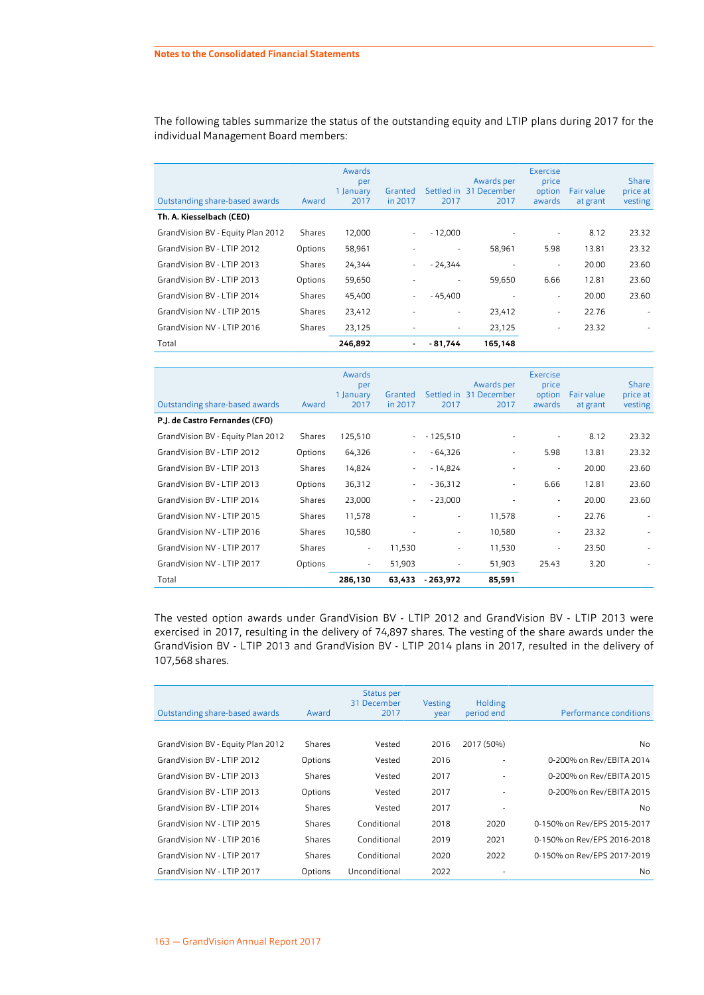The following tables summarize the status of the outstanding equity and LTIP plans during 2017 for the individual Management Board members:

| Outstanding share-based awards    | Award   | Awards<br>per<br>1 January<br>2017 | Granted<br>in 2017 | 2017                     | Awards per<br>Settled in 31 December<br>2017 | <b>Exercise</b><br>price<br>option<br>awards | Fair value<br>at grant | <b>Share</b><br>price at<br>vesting |
|-----------------------------------|---------|------------------------------------|--------------------|--------------------------|----------------------------------------------|----------------------------------------------|------------------------|-------------------------------------|
| Th. A. Kiesselbach (CEO)          |         |                                    |                    |                          |                                              |                                              |                        |                                     |
| GrandVision BV - Equity Plan 2012 | Shares  | 12,000                             | $\sim$             | $-12,000$                |                                              | $\overline{\phantom{a}}$                     | 8.12                   | 23.32                               |
| GrandVision BV - LTIP 2012        | Options | 58,961                             |                    | $\overline{\phantom{a}}$ | 58,961                                       | 5.98                                         | 13.81                  | 23.32                               |
| GrandVision BV - LTIP 2013        | Shares  | 24,344                             | ٠                  | - 24,344                 |                                              | $\overline{\phantom{a}}$                     | 20.00                  | 23.60                               |
| GrandVision BV - LTIP 2013        | Options | 59,650                             |                    | ٠                        | 59,650                                       | 6.66                                         | 12.81                  | 23.60                               |
| GrandVision BV - LTIP 2014        | Shares  | 45,400                             | ۰.                 | - 45,400                 |                                              | $\overline{\phantom{0}}$                     | 20.00                  | 23.60                               |
| GrandVision NV - LTIP 2015        | Shares  | 23,412                             |                    | ٠                        | 23,412                                       | $\overline{\phantom{m}}$                     | 22.76                  |                                     |
| GrandVision NV - LTIP 2016        | Shares  | 23,125                             |                    | ٠                        | 23,125                                       | $\overline{\phantom{a}}$                     | 23.32                  |                                     |
| Total                             |         | 246,892                            | $\blacksquare$     | - 81.744                 | 165,148                                      |                                              |                        |                                     |

|                                   |         | Awards<br>per<br>1 January | Granted |            | Awards per<br>Settled in 31 December | <b>Exercise</b><br>price<br>option | Fair value | Share<br>price at |
|-----------------------------------|---------|----------------------------|---------|------------|--------------------------------------|------------------------------------|------------|-------------------|
| Outstanding share-based awards    | Award   | 2017                       | in 2017 | 2017       | 2017                                 | awards                             | at grant   | vesting           |
| P.J. de Castro Fernandes (CFO)    |         |                            |         |            |                                      |                                    |            |                   |
| GrandVision BV - Equity Plan 2012 | Shares  | 125,510                    | $\sim$  | $-125,510$ |                                      | ٠                                  | 8.12       | 23.32             |
| GrandVision BV - LTIP 2012        | Options | 64,326                     | ٠       | - 64,326   | ٠                                    | 5.98                               | 13.81      | 23.32             |
| GrandVision BV - LTIP 2013        | Shares  | 14,824                     | ٠       | $-14,824$  |                                      | $\overline{\phantom{a}}$           | 20.00      | 23.60             |
| GrandVision BV - LTIP 2013        | Options | 36,312                     | ٠       | $-36,312$  | ٠                                    | 6.66                               | 12.81      | 23.60             |
| GrandVision BV - LTIP 2014        | Shares  | 23,000                     | $\sim$  | $-23,000$  |                                      | $\sim$                             | 20.00      | 23.60             |
| GrandVision NV - LTIP 2015        | Shares  | 11,578                     |         | ٠          | 11,578                               | $\overline{\phantom{a}}$           | 22.76      |                   |
| GrandVision NV - LTIP 2016        | Shares  | 10,580                     | ٠       | ۰          | 10,580                               | $\sim$                             | 23.32      |                   |
| GrandVision NV - LTIP 2017        | Shares  | ٠                          | 11,530  | ۰          | 11,530                               | $\overline{\phantom{a}}$           | 23.50      |                   |
| GrandVision NV - LTIP 2017        | Options | $\overline{\phantom{a}}$   | 51,903  | ۰          | 51,903                               | 25.43                              | 3.20       |                   |
| Total                             |         | 286,130                    | 63,433  | $-263,972$ | 85,591                               |                                    |            |                   |

The vested option awards under GrandVision BV - LTIP 2012 and GrandVision BV - LTIP 2013 were exercised in 2017, resulting in the delivery of 74,897 shares. The vesting of the share awards under the GrandVision BV - LTIP 2013 and GrandVision BV - LTIP 2014 plans in 2017, resulted in the delivery of 107,568 shares.

| Outstanding share-based awards    | Award   | Status per<br>31 December<br>2017 | <b>Vesting</b><br>year | Holding<br>period end | Performance conditions      |
|-----------------------------------|---------|-----------------------------------|------------------------|-----------------------|-----------------------------|
|                                   |         |                                   |                        |                       |                             |
| GrandVision BV - Equity Plan 2012 | Shares  | Vested                            | 2016                   | 2017 (50%)            | No                          |
| GrandVision BV - LTIP 2012        | Options | Vested                            | 2016                   | ٠                     | 0-200% on Rev/EBITA 2014    |
| GrandVision BV - LTIP 2013        | Shares  | Vested                            | 2017                   | ٠                     | 0-200% on Rev/EBITA 2015    |
| GrandVision BV - LTIP 2013        | Options | Vested                            | 2017                   | ٠                     | 0-200% on Rev/EBITA 2015    |
| GrandVision BV - LTIP 2014        | Shares  | Vested                            | 2017                   | ٠                     | No                          |
| GrandVision NV - LTIP 2015        | Shares  | Conditional                       | 2018                   | 2020                  | 0-150% on Rev/EPS 2015-2017 |
| GrandVision NV - LTIP 2016        | Shares  | Conditional                       | 2019                   | 2021                  | 0-150% on Rev/EPS 2016-2018 |
| GrandVision NV - LTIP 2017        | Shares  | Conditional                       | 2020                   | 2022                  | 0-150% on Rev/EPS 2017-2019 |
| GrandVision NV - LTIP 2017        | Options | Unconditional                     | 2022                   | ٠                     | No                          |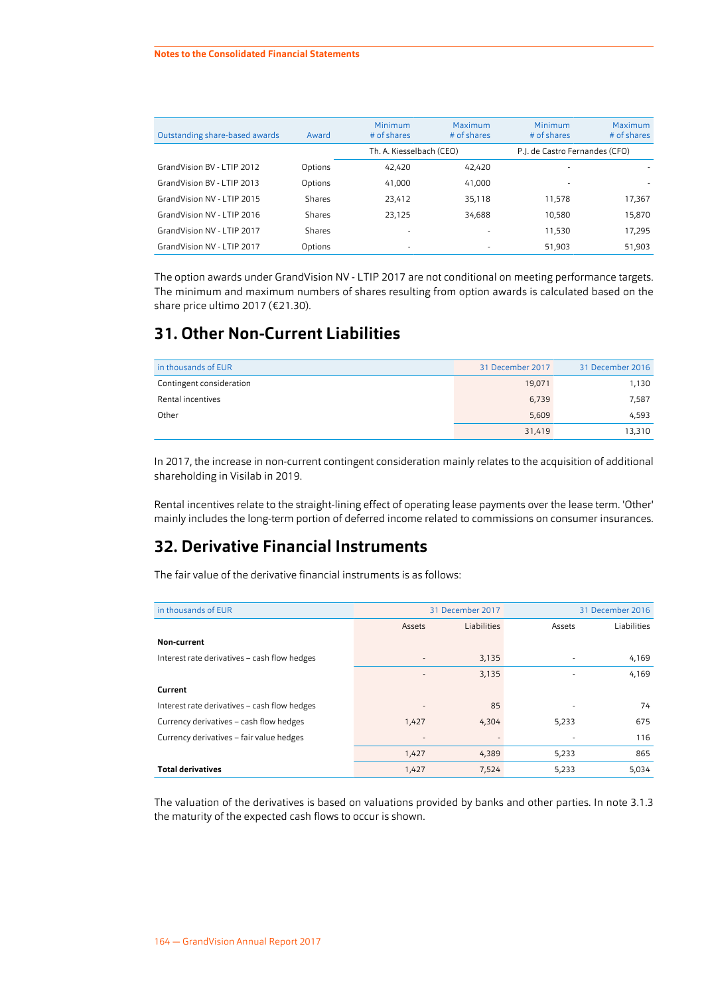| Outstanding share-based awards | Award   | Minimum<br># of shares   | Maximum<br># of shares   | Minimum<br>$#$ of shares       | Maximum<br># of shares |
|--------------------------------|---------|--------------------------|--------------------------|--------------------------------|------------------------|
|                                |         | Th. A. Kiesselbach (CEO) |                          | P.J. de Castro Fernandes (CFO) |                        |
| GrandVision BV - LTIP 2012     | Options | 42.420                   | 42.420                   | $\overline{\phantom{a}}$       |                        |
| GrandVision BV - LTIP 2013     | Options | 41,000                   | 41,000                   | $\overline{\phantom{a}}$       |                        |
| GrandVision NV - LTIP 2015     | Shares  | 23,412                   | 35,118                   | 11.578                         | 17,367                 |
| GrandVision NV - LTIP 2016     | Shares  | 23,125                   | 34,688                   | 10,580                         | 15,870                 |
| GrandVision NV - LTIP 2017     | Shares  |                          |                          | 11,530                         | 17,295                 |
| GrandVision NV - LTIP 2017     | Options | ٠                        | $\overline{\phantom{a}}$ | 51,903                         | 51,903                 |
|                                |         |                          |                          |                                |                        |

The option awards under GrandVision NV - LTIP 2017 are not conditional on meeting performance targets. The minimum and maximum numbers of shares resulting from option awards is calculated based on the share price ultimo 2017 (€21.30).

## **31. Other Non-Current Liabilities**

| in thousands of EUR      | 31 December 2017 | 31 December 2016 |
|--------------------------|------------------|------------------|
| Contingent consideration | 19,071           | 1,130            |
| Rental incentives        | 6,739            | 7,587            |
| Other                    | 5,609            | 4,593            |
|                          | 31,419           | 13,310           |

In 2017, the increase in non-current contingent consideration mainly relates to the acquisition of additional shareholding in Visilab in 2019.

Rental incentives relate to the straight-lining effect of operating lease payments over the lease term. 'Other' mainly includes the long-term portion of deferred income related to commissions on consumer insurances.

## **32. Derivative Financial Instruments**

The fair value of the derivative financial instruments is as follows:

| in thousands of EUR                          | 31 December 2017         |             |        | 31 December 2016 |
|----------------------------------------------|--------------------------|-------------|--------|------------------|
|                                              | Assets                   | Liabilities | Assets | Liabilities      |
| Non-current                                  |                          |             |        |                  |
| Interest rate derivatives - cash flow hedges |                          | 3,135       |        | 4,169            |
|                                              | $\overline{\phantom{a}}$ | 3,135       |        | 4,169            |
| Current                                      |                          |             |        |                  |
| Interest rate derivatives - cash flow hedges | ۰                        | 85          | ٠      | 74               |
| Currency derivatives - cash flow hedges      | 1,427                    | 4,304       | 5,233  | 675              |
| Currency derivatives - fair value hedges     |                          |             |        | 116              |
|                                              | 1,427                    | 4,389       | 5,233  | 865              |
| <b>Total derivatives</b>                     | 1,427                    | 7,524       | 5,233  | 5,034            |

The valuation of the derivatives is based on valuations provided by banks and other parties. In note 3.1.3 the maturity of the expected cash flows to occur is shown.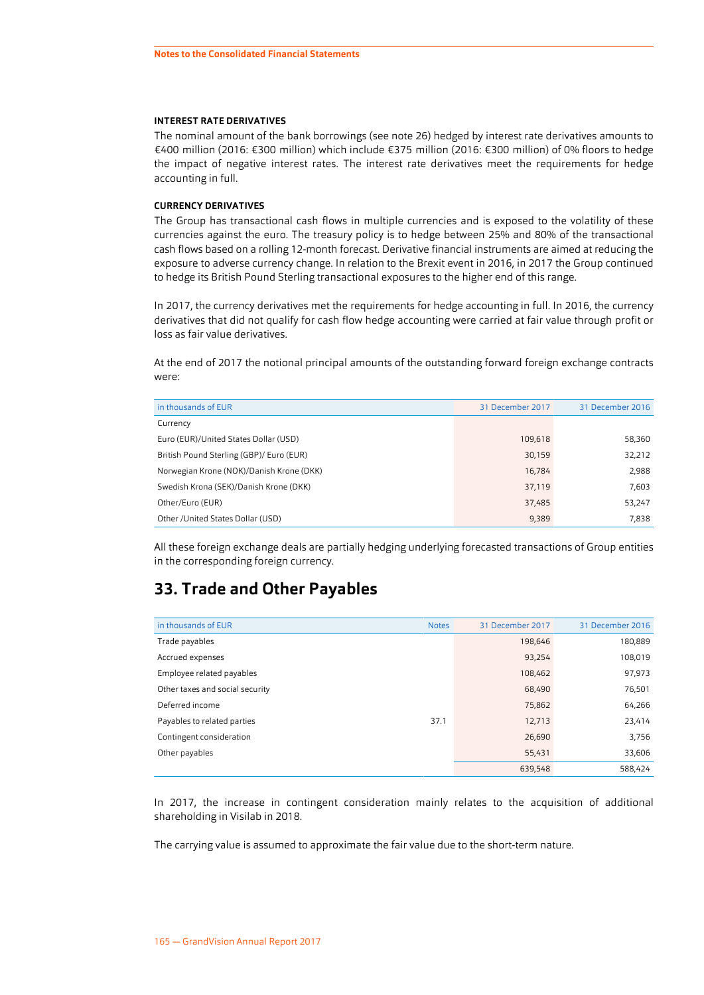#### <span id="page-61-0"></span>**INTEREST RATE DERIVATIVES**

The nominal amount of the bank borrowings (see note [26\)](#page-46-0) hedged by interest rate derivatives amounts to €400 million (2016: €300 million) which include €375 million (2016: €300 million) of 0% floors to hedge the impact of negative interest rates. The interest rate derivatives meet the requirements for hedge accounting in full.

#### **CURRENCY DERIVATIVES**

The Group has transactional cash flows in multiple currencies and is exposed to the volatility of these currencies against the euro. The treasury policy is to hedge between 25% and 80% of the transactional cash flows based on a rolling 12-month forecast. Derivative financial instruments are aimed at reducing the exposure to adverse currency change. In relation to the Brexit event in 2016, in 2017 the Group continued to hedge its British Pound Sterling transactional exposures to the higher end of this range.

In 2017, the currency derivatives met the requirements for hedge accounting in full. In 2016, the currency derivatives that did not qualify for cash flow hedge accounting were carried at fair value through profit or loss as fair value derivatives.

At the end of 2017 the notional principal amounts of the outstanding forward foreign exchange contracts were:

| in thousands of EUR                      | 31 December 2017 | 31 December 2016 |
|------------------------------------------|------------------|------------------|
| Currency                                 |                  |                  |
| Euro (EUR)/United States Dollar (USD)    | 109,618          | 58,360           |
| British Pound Sterling (GBP)/ Euro (EUR) | 30,159           | 32,212           |
| Norwegian Krone (NOK)/Danish Krone (DKK) | 16,784           | 2,988            |
| Swedish Krona (SEK)/Danish Krone (DKK)   | 37,119           | 7,603            |
| Other/Euro (EUR)                         | 37,485           | 53,247           |
| Other / United States Dollar (USD)       | 9,389            | 7,838            |

All these foreign exchange deals are partially hedging underlying forecasted transactions of Group entities in the corresponding foreign currency.

### **33. Trade and Other Payables**

| in thousands of EUR             | <b>Notes</b> | 31 December 2017 | 31 December 2016 |
|---------------------------------|--------------|------------------|------------------|
| Trade payables                  |              | 198,646          | 180,889          |
| Accrued expenses                |              | 93.254           | 108,019          |
| Employee related payables       |              | 108,462          | 97,973           |
| Other taxes and social security |              | 68,490           | 76,501           |
| Deferred income                 |              | 75,862           | 64,266           |
| Payables to related parties     | 37.1         | 12,713           | 23,414           |
| Contingent consideration        |              | 26,690           | 3,756            |
| Other payables                  |              | 55,431           | 33,606           |
|                                 |              | 639,548          | 588,424          |

In 2017, the increase in contingent consideration mainly relates to the acquisition of additional shareholding in Visilab in 2018.

The carrying value is assumed to approximate the fair value due to the short-term nature.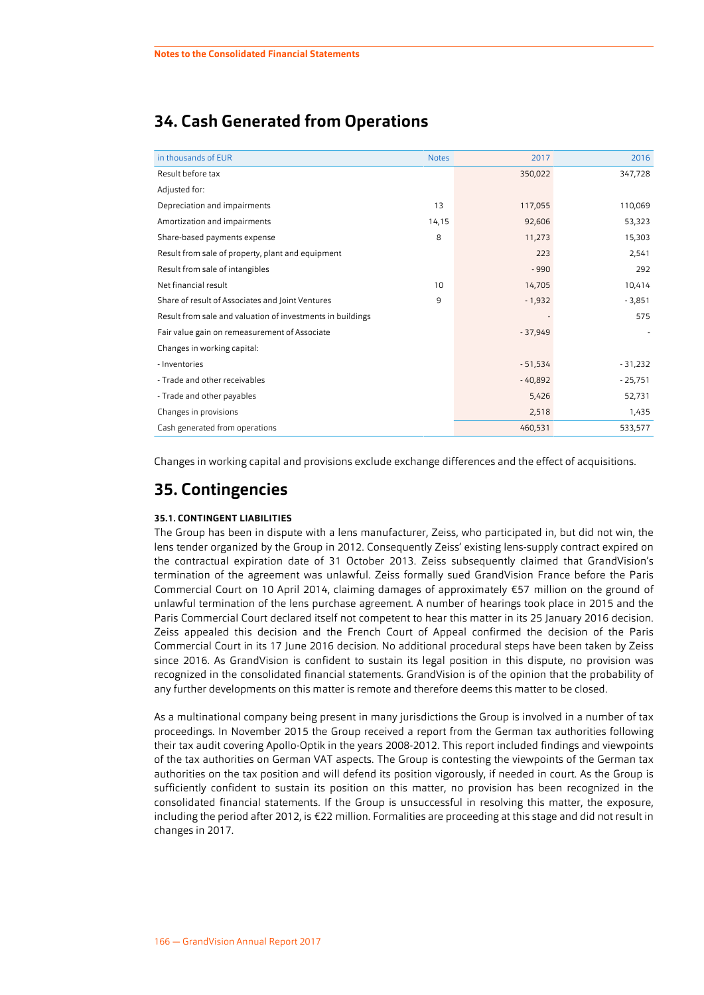## **34. Cash Generated from Operations**

| in thousands of EUR                                        | <b>Notes</b> | 2017      | 2016      |
|------------------------------------------------------------|--------------|-----------|-----------|
| Result before tax                                          |              | 350,022   | 347,728   |
| Adjusted for:                                              |              |           |           |
| Depreciation and impairments                               | 13           | 117,055   | 110,069   |
| Amortization and impairments                               | 14,15        | 92,606    | 53,323    |
| Share-based payments expense                               | 8            | 11,273    | 15,303    |
| Result from sale of property, plant and equipment          |              | 223       | 2,541     |
| Result from sale of intangibles                            |              | $-990$    | 292       |
| Net financial result                                       | 10           | 14,705    | 10,414    |
| Share of result of Associates and Joint Ventures           | 9            | $-1,932$  | $-3,851$  |
| Result from sale and valuation of investments in buildings |              |           | 575       |
| Fair value gain on remeasurement of Associate              |              | $-37,949$ |           |
| Changes in working capital:                                |              |           |           |
| - Inventories                                              |              | $-51,534$ | $-31,232$ |
| - Trade and other receivables                              |              | $-40,892$ | $-25,751$ |
| - Trade and other payables                                 |              | 5,426     | 52,731    |
| Changes in provisions                                      |              | 2,518     | 1,435     |
| Cash generated from operations                             |              | 460,531   | 533,577   |

Changes in working capital and provisions exclude exchange differences and the effect of acquisitions.

## **35. Contingencies**

#### **35.1. CONTINGENT LIABILITIES**

The Group has been in dispute with a lens manufacturer, Zeiss, who participated in, but did not win, the lens tender organized by the Group in 2012. Consequently Zeiss' existing lens-supply contract expired on the contractual expiration date of 31 October 2013. Zeiss subsequently claimed that GrandVision's termination of the agreement was unlawful. Zeiss formally sued GrandVision France before the Paris Commercial Court on 10 April 2014, claiming damages of approximately €57 million on the ground of unlawful termination of the lens purchase agreement. A number of hearings took place in 2015 and the Paris Commercial Court declared itself not competent to hear this matter in its 25 January 2016 decision. Zeiss appealed this decision and the French Court of Appeal confirmed the decision of the Paris Commercial Court in its 17 June 2016 decision. No additional procedural steps have been taken by Zeiss since 2016. As GrandVision is confident to sustain its legal position in this dispute, no provision was recognized in the consolidated financial statements. GrandVision is of the opinion that the probability of any further developments on this matter is remote and therefore deems this matter to be closed.

As a multinational company being present in many jurisdictions the Group is involved in a number of tax proceedings. In November 2015 the Group received a report from the German tax authorities following their tax audit covering Apollo-Optik in the years 2008-2012. This report included findings and viewpoints of the tax authorities on German VAT aspects. The Group is contesting the viewpoints of the German tax authorities on the tax position and will defend its position vigorously, if needed in court. As the Group is sufficiently confident to sustain its position on this matter, no provision has been recognized in the consolidated financial statements. If the Group is unsuccessful in resolving this matter, the exposure, including the period after 2012, is €22 million. Formalities are proceeding at this stage and did not result in changes in 2017.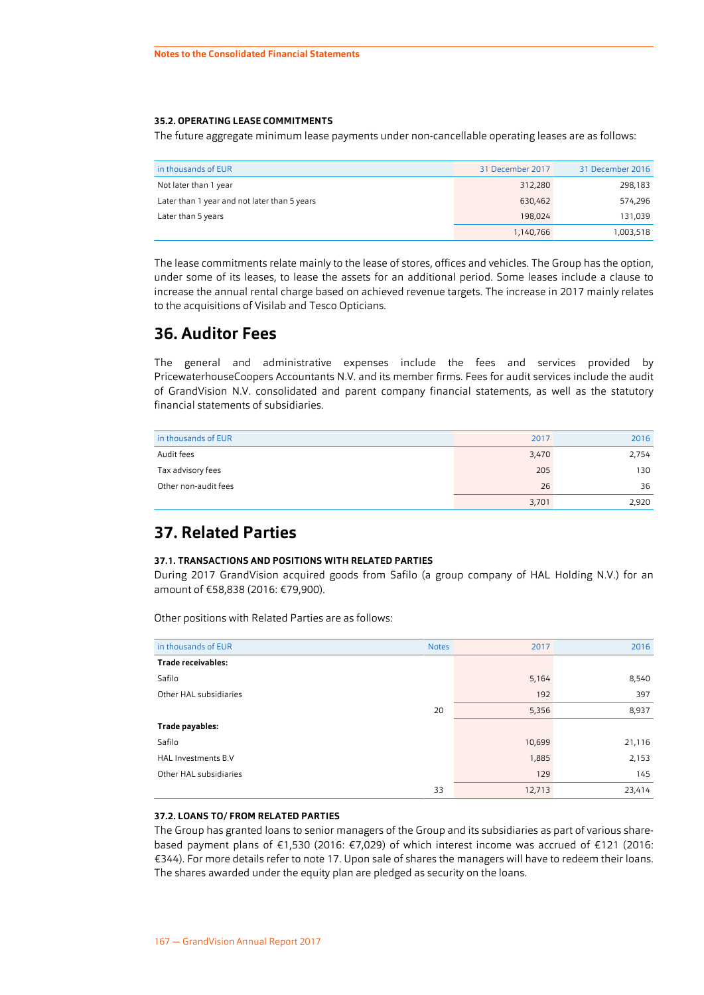#### <span id="page-63-0"></span>**35.2. OPERATING LEASE COMMITMENTS**

The future aggregate minimum lease payments under non-cancellable operating leases are as follows:

| in thousands of EUR                          | 31 December 2017 | 31 December 2016 |
|----------------------------------------------|------------------|------------------|
| Not later than 1 year                        | 312,280          | 298,183          |
| Later than 1 year and not later than 5 years | 630.462          | 574,296          |
| Later than 5 years                           | 198.024          | 131,039          |
|                                              | 1,140,766        | 1,003,518        |

The lease commitments relate mainly to the lease of stores, offices and vehicles. The Group has the option, under some of its leases, to lease the assets for an additional period. Some leases include a clause to increase the annual rental charge based on achieved revenue targets. The increase in 2017 mainly relates to the acquisitions of Visilab and Tesco Opticians.

## **36. Auditor Fees**

The general and administrative expenses include the fees and services provided by PricewaterhouseCoopers Accountants N.V. and its member firms. Fees for audit services include the audit of GrandVision N.V. consolidated and parent company financial statements, as well as the statutory financial statements of subsidiaries.

| in thousands of EUR  | 2017  | 2016  |
|----------------------|-------|-------|
| Audit fees           | 3,470 | 2,754 |
| Tax advisory fees    | 205   | 130   |
| Other non-audit fees | 26    | 36    |
|                      | 3,701 | 2,920 |

## **37. Related Parties**

#### **37.1. TRANSACTIONS AND POSITIONS WITH RELATED PARTIES**

During 2017 GrandVision acquired goods from Safilo (a group company of HAL Holding N.V.) for an amount of €58,838 (2016: €79,900).

Other positions with Related Parties are as follows:

| in thousands of EUR        | <b>Notes</b> | 2017   | 2016   |
|----------------------------|--------------|--------|--------|
| <b>Trade receivables:</b>  |              |        |        |
| Safilo                     |              | 5,164  | 8,540  |
| Other HAL subsidiaries     |              | 192    | 397    |
|                            | 20           | 5,356  | 8,937  |
| Trade payables:            |              |        |        |
| Safilo                     |              | 10,699 | 21,116 |
| <b>HAL Investments B.V</b> |              | 1,885  | 2,153  |
| Other HAL subsidiaries     |              | 129    | 145    |
|                            | 33           | 12,713 | 23,414 |

#### **37.2. LOANS TO/ FROM RELATED PARTIES**

The Group has granted loans to senior managers of the Group and its subsidiaries as part of various sharebased payment plans of €1,530 (2016: €7,029) of which interest income was accrued of €121 (2016: €344). For more details refer to note [17.](#page-41-0) Upon sale of shares the managers will have to redeem their loans. The shares awarded under the equity plan are pledged as security on the loans.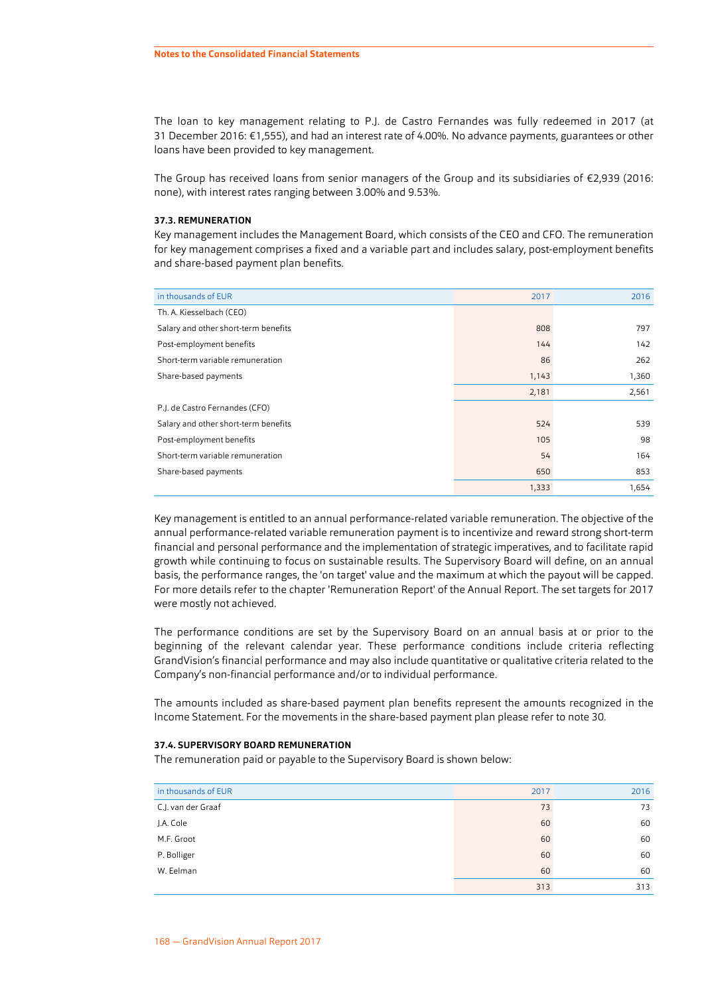The loan to key management relating to P.J. de Castro Fernandes was fully redeemed in 2017 (at 31 December 2016: €1,555), and had an interest rate of 4.00%. No advance payments, guarantees or other loans have been provided to key management.

The Group has received loans from senior managers of the Group and its subsidiaries of €2,939 (2016: none), with interest rates ranging between 3.00% and 9.53%.

#### **37.3. REMUNERATION**

Key management includes the Management Board, which consists of the CEO and CFO. The remuneration for key management comprises a fixed and a variable part and includes salary, post-employment benefits and share-based payment plan benefits.

| in thousands of EUR                  | 2017  | 2016  |
|--------------------------------------|-------|-------|
| Th. A. Kiesselbach (CEO)             |       |       |
| Salary and other short-term benefits | 808   | 797   |
| Post-employment benefits             | 144   | 142   |
| Short-term variable remuneration     | 86    | 262   |
| Share-based payments                 | 1,143 | 1,360 |
|                                      | 2,181 | 2,561 |
| P.J. de Castro Fernandes (CFO)       |       |       |
| Salary and other short-term benefits | 524   | 539   |
| Post-employment benefits             | 105   | 98    |
| Short-term variable remuneration     | 54    | 164   |
| Share-based payments                 | 650   | 853   |
|                                      | 1,333 | 1,654 |

Key management is entitled to an annual performance-related variable remuneration. The objective of the annual performance-related variable remuneration payment is to incentivize and reward strong short-term financial and personal performance and the implementation of strategic imperatives, and to facilitate rapid growth while continuing to focus on sustainable results. The Supervisory Board will define, on an annual basis, the performance ranges, the 'on target' value and the maximum at which the payout will be capped. For more details refer to the chapter ['Remuneration Report'](#page--1-0) of the Annual Report. The set targets for 2017 were mostly not achieved.

The performance conditions are set by the Supervisory Board on an annual basis at or prior to the beginning of the relevant calendar year. These performance conditions include criteria reflecting GrandVision's financial performance and may also include quantitative or qualitative criteria related to the Company's non-financial performance and/or to individual performance.

The amounts included as share-based payment plan benefits represent the amounts recognized in the Income Statement. For the movements in the share-based payment plan please refer to note [30.](#page-56-0)

#### **37.4. SUPERVISORY BOARD REMUNERATION**

The remuneration paid or payable to the Supervisory Board is shown below:

| in thousands of EUR | 2017 | 2016 |
|---------------------|------|------|
| C.J. van der Graaf  | 73   | 73   |
| J.A. Cole           | 60   | 60   |
| M.F. Groot          | 60   | 60   |
| P. Bolliger         | 60   | 60   |
| W. Eelman           | 60   | 60   |
|                     | 313  | 313  |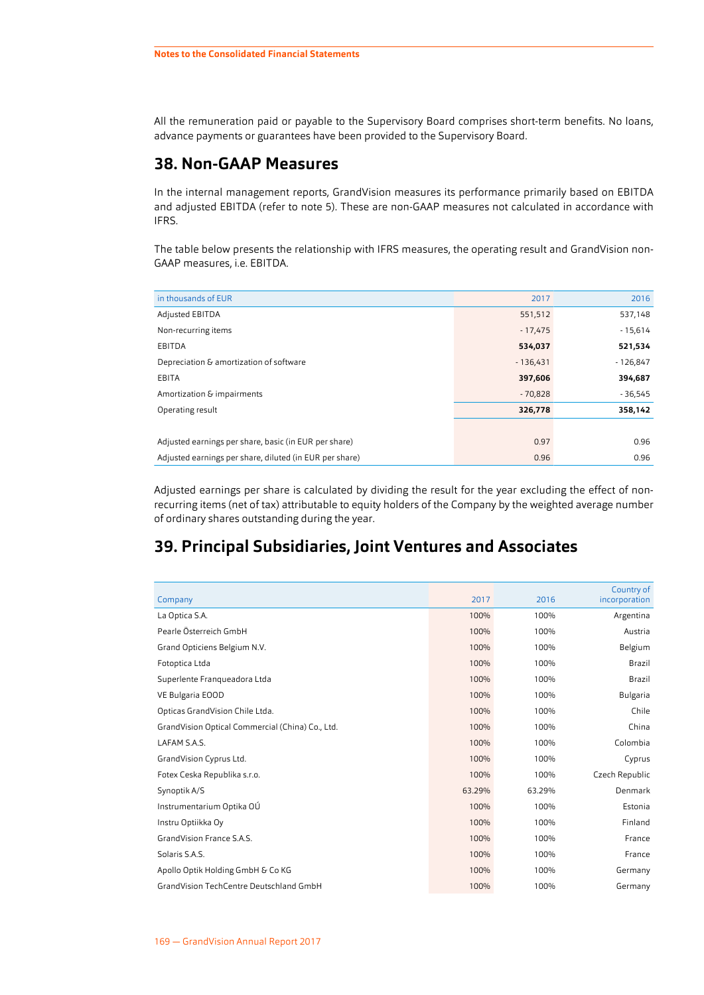All the remuneration paid or payable to the Supervisory Board comprises short-term benefits. No loans, advance payments or guarantees have been provided to the Supervisory Board.

## **38. Non-GAAP Measures**

In the internal management reports, GrandVision measures its performance primarily based on EBITDA and adjusted EBITDA (refer to note [5](#page-28-0)). These are non-GAAP measures not calculated in accordance with IFRS.

The table below presents the relationship with IFRS measures, the operating result and GrandVision non-GAAP measures, i.e. EBITDA.

| in thousands of EUR                                     | 2017       | 2016       |
|---------------------------------------------------------|------------|------------|
| <b>Adjusted EBITDA</b>                                  | 551,512    | 537,148    |
| Non-recurring items                                     | $-17,475$  | $-15,614$  |
| EBITDA                                                  | 534,037    | 521,534    |
| Depreciation & amortization of software                 | $-136,431$ | $-126,847$ |
| EBITA                                                   | 397,606    | 394,687    |
| Amortization & impairments                              | $-70,828$  | $-36,545$  |
| Operating result                                        | 326,778    | 358,142    |
|                                                         |            |            |
| Adjusted earnings per share, basic (in EUR per share)   | 0.97       | 0.96       |
| Adjusted earnings per share, diluted (in EUR per share) | 0.96       | 0.96       |

Adjusted earnings per share is calculated by dividing the result for the year excluding the effect of nonrecurring items (net of tax) attributable to equity holders of the Company by the weighted average number of ordinary shares outstanding during the year.

## **39. Principal Subsidiaries, Joint Ventures and Associates**

| Company                                          | 2017   | 2016   | Country of<br>incorporation |
|--------------------------------------------------|--------|--------|-----------------------------|
| La Optica S.A.                                   | 100%   | 100%   | Argentina                   |
| Pearle Österreich GmbH                           | 100%   | 100%   | Austria                     |
| Grand Opticiens Belgium N.V.                     | 100%   | 100%   | Belgium                     |
| Fotoptica Ltda                                   | 100%   | 100%   | Brazil                      |
| Superlente Franqueadora Ltda                     | 100%   | 100%   | Brazil                      |
| VE Bulgaria EOOD                                 | 100%   | 100%   | Bulgaria                    |
| Opticas GrandVision Chile Ltda.                  | 100%   | 100%   | Chile                       |
| GrandVision Optical Commercial (China) Co., Ltd. | 100%   | 100%   | China                       |
| LAFAM S.A.S.                                     | 100%   | 100%   | Colombia                    |
| GrandVision Cyprus Ltd.                          | 100%   | 100%   | Cyprus                      |
| Fotex Ceska Republika s.r.o.                     | 100%   | 100%   | Czech Republic              |
| Synoptik A/S                                     | 63.29% | 63.29% | Denmark                     |
| Instrumentarium Optika OÚ                        | 100%   | 100%   | Estonia                     |
| Instru Optiikka Oy                               | 100%   | 100%   | Finland                     |
| GrandVision France S.A.S.                        | 100%   | 100%   | France                      |
| Solaris S.A.S.                                   | 100%   | 100%   | France                      |
| Apollo Optik Holding GmbH & Co KG                | 100%   | 100%   | Germany                     |
| <b>GrandVision TechCentre Deutschland GmbH</b>   | 100%   | 100%   | Germany                     |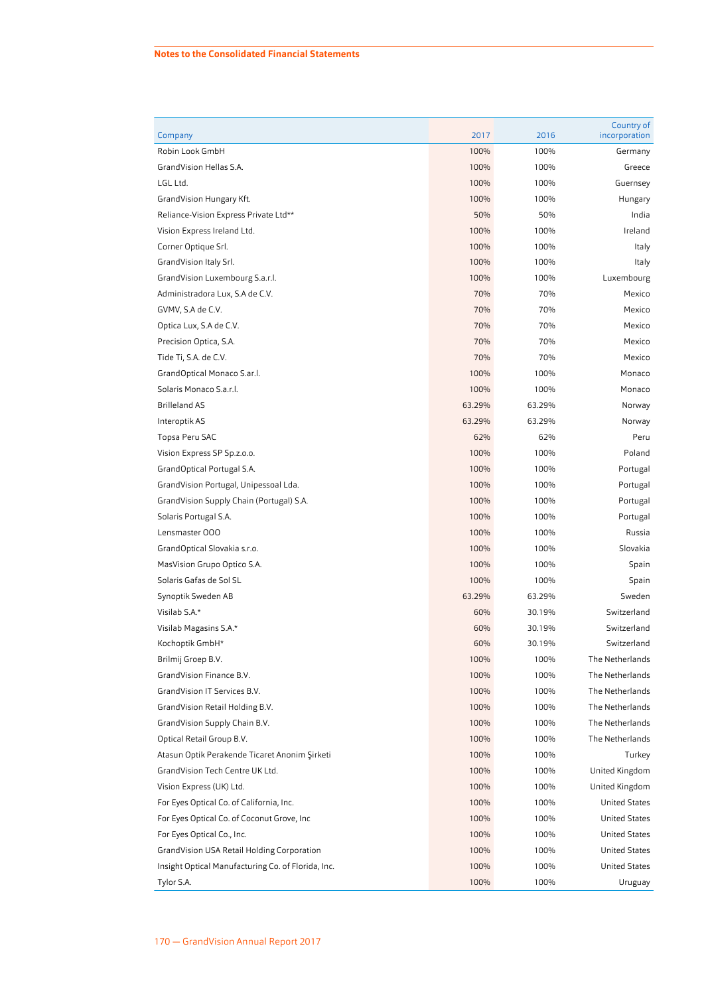#### **Notes to the Consolidated Financial Statements**

| Company                                            | 2017   | 2016   | Country of<br>incorporation |
|----------------------------------------------------|--------|--------|-----------------------------|
| Robin Look GmbH                                    | 100%   | 100%   | Germany                     |
| GrandVision Hellas S.A.                            | 100%   | 100%   | Greece                      |
| LGL Ltd.                                           | 100%   | 100%   | Guernsey                    |
| GrandVision Hungary Kft.                           | 100%   | 100%   | Hungary                     |
| Reliance-Vision Express Private Ltd**              | 50%    | 50%    | India                       |
| Vision Express Ireland Ltd.                        | 100%   | 100%   | Ireland                     |
| Corner Optique Srl.                                | 100%   | 100%   | Italy                       |
| GrandVision Italy Srl.                             | 100%   | 100%   | Italy                       |
| GrandVision Luxembourg S.a.r.l.                    | 100%   | 100%   | Luxembourg                  |
| Administradora Lux, S.A de C.V.                    | 70%    | 70%    | Mexico                      |
| GVMV, S.A de C.V.                                  | 70%    | 70%    | Mexico                      |
| Optica Lux, S.A de C.V.                            | 70%    | 70%    | Mexico                      |
| Precision Optica, S.A.                             | 70%    | 70%    | Mexico                      |
| Tide Ti, S.A. de C.V.                              | 70%    | 70%    | Mexico                      |
| GrandOptical Monaco S.ar.l.                        | 100%   | 100%   | Monaco                      |
| Solaris Monaco S.a.r.l.                            | 100%   | 100%   | Monaco                      |
| <b>Brilleland AS</b>                               | 63.29% | 63.29% | Norway                      |
| Interoptik AS                                      | 63.29% | 63.29% | Norway                      |
| Topsa Peru SAC                                     | 62%    | 62%    | Peru                        |
| Vision Express SP Sp.z.o.o.                        | 100%   | 100%   | Poland                      |
| GrandOptical Portugal S.A.                         | 100%   | 100%   | Portugal                    |
| GrandVision Portugal, Unipessoal Lda.              | 100%   | 100%   | Portugal                    |
| GrandVision Supply Chain (Portugal) S.A.           | 100%   | 100%   | Portugal                    |
| Solaris Portugal S.A.                              | 100%   | 100%   | Portugal                    |
| Lensmaster 000                                     | 100%   | 100%   | Russia                      |
| GrandOptical Slovakia s.r.o.                       | 100%   | 100%   | Slovakia                    |
| MasVision Grupo Optico S.A.                        | 100%   | 100%   | Spain                       |
| Solaris Gafas de Sol SL                            | 100%   | 100%   | Spain                       |
| Synoptik Sweden AB                                 | 63.29% | 63.29% | Sweden                      |
| Visilab S.A.*                                      | 60%    | 30.19% | Switzerland                 |
| Visilab Magasins S.A.*                             | 60%    | 30.19% | Switzerland                 |
| Kochoptik GmbH*                                    | 60%    | 30.19% | Switzerland                 |
| Brilmij Groep B.V.                                 | 100%   | 100%   | The Netherlands             |
| GrandVision Finance B.V.                           | 100%   | 100%   | The Netherlands             |
| GrandVision IT Services B.V.                       | 100%   | 100%   | The Netherlands             |
| GrandVision Retail Holding B.V.                    | 100%   | 100%   | The Netherlands             |
| GrandVision Supply Chain B.V.                      | 100%   | 100%   | The Netherlands             |
| Optical Retail Group B.V.                          | 100%   | 100%   | The Netherlands             |
| Atasun Optik Perakende Ticaret Anonim Şirketi      | 100%   | 100%   | Turkey                      |
| GrandVision Tech Centre UK Ltd.                    | 100%   | 100%   | United Kingdom              |
| Vision Express (UK) Ltd.                           | 100%   | 100%   | United Kingdom              |
| For Eyes Optical Co. of California, Inc.           | 100%   | 100%   | <b>United States</b>        |
| For Eyes Optical Co. of Coconut Grove, Inc         | 100%   | 100%   | <b>United States</b>        |
| For Eyes Optical Co., Inc.                         | 100%   | 100%   | <b>United States</b>        |
| GrandVision USA Retail Holding Corporation         | 100%   | 100%   | <b>United States</b>        |
| Insight Optical Manufacturing Co. of Florida, Inc. | 100%   | 100%   | <b>United States</b>        |
| Tylor S.A.                                         | 100%   | 100%   | Uruguay                     |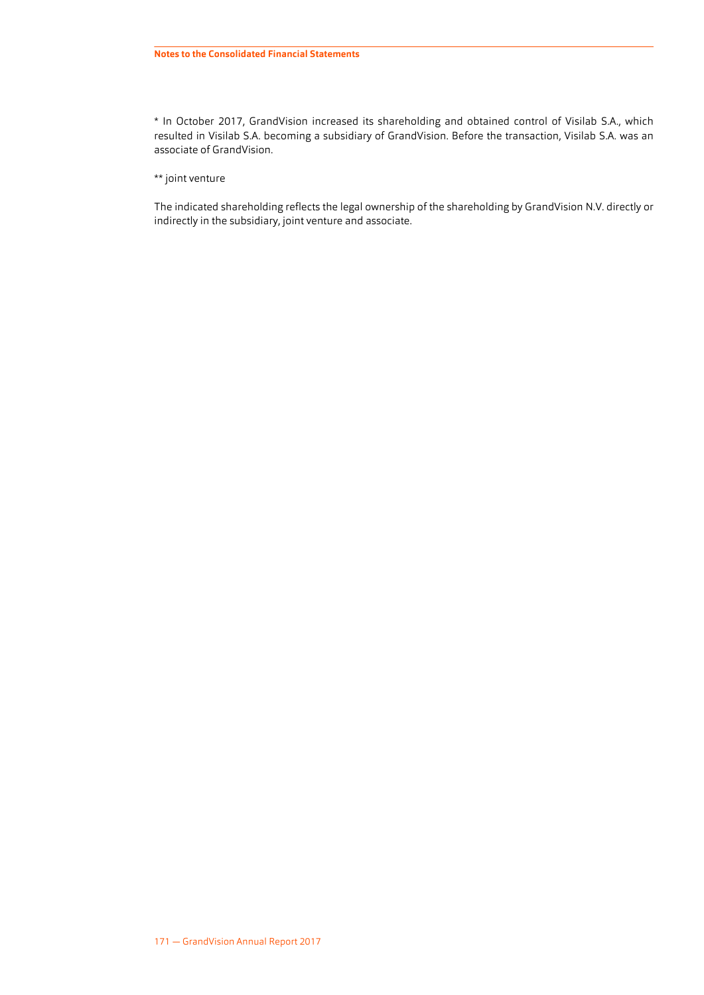\* In October 2017, GrandVision increased its shareholding and obtained control of Visilab S.A., which resulted in Visilab S.A. becoming a subsidiary of GrandVision. Before the transaction, Visilab S.A. was an associate of GrandVision.

\*\* joint venture

The indicated shareholding reflects the legal ownership of the shareholding by GrandVision N.V. directly or indirectly in the subsidiary, joint venture and associate.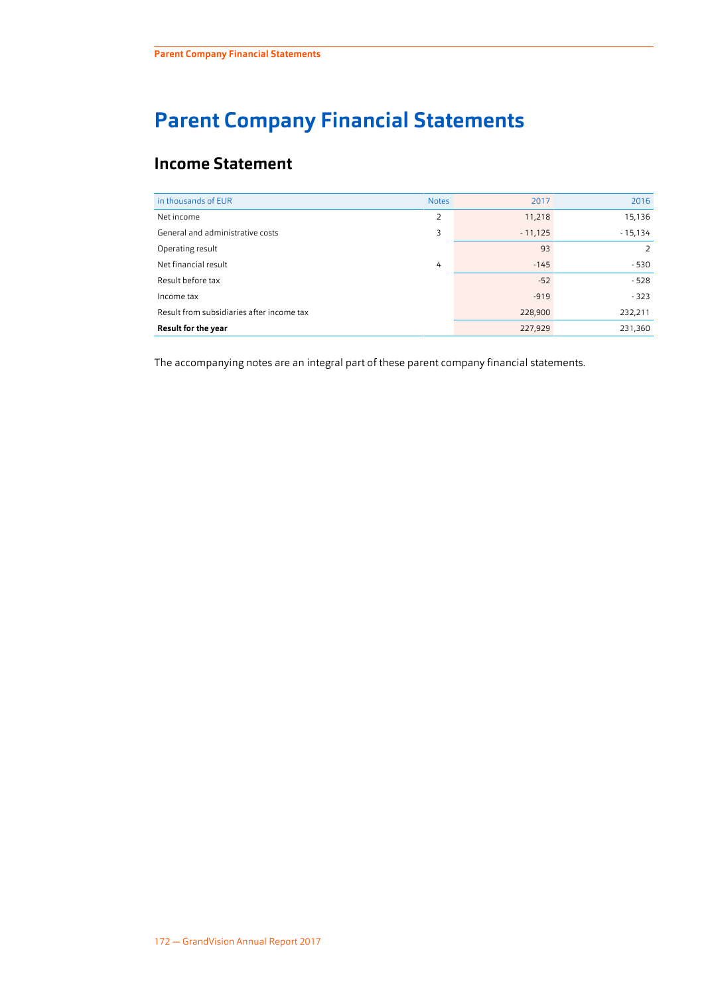# **Parent Company Financial Statements**

## **Income Statement**

| in thousands of EUR                       | <b>Notes</b>   | 2017      | 2016      |
|-------------------------------------------|----------------|-----------|-----------|
| Net income                                | $\overline{2}$ | 11,218    | 15,136    |
| General and administrative costs          | 3              | $-11,125$ | $-15,134$ |
| Operating result                          |                | 93        | 2         |
| Net financial result                      | 4              | $-145$    | $-530$    |
| Result before tax                         |                | $-52$     | $-528$    |
| Income tax                                |                | $-919$    | $-323$    |
| Result from subsidiaries after income tax |                | 228,900   | 232,211   |
| <b>Result for the year</b>                |                | 227,929   | 231,360   |

The accompanying [notes](#page-70-0) are an integral part of these parent company financial statements.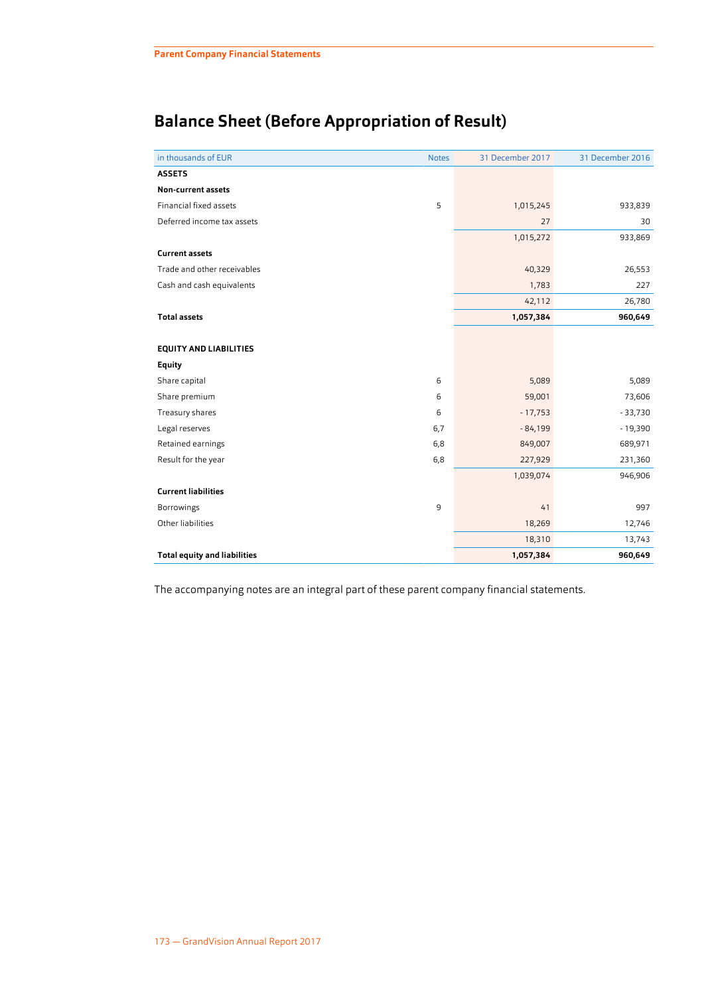## **Balance Sheet (Before Appropriation of Result)**

| in thousands of EUR                 | <b>Notes</b> | 31 December 2017 | 31 December 2016 |
|-------------------------------------|--------------|------------------|------------------|
| <b>ASSETS</b>                       |              |                  |                  |
| Non-current assets                  |              |                  |                  |
| Financial fixed assets              | 5            | 1,015,245        | 933,839          |
| Deferred income tax assets          |              | 27               | 30               |
|                                     |              | 1,015,272        | 933,869          |
| <b>Current assets</b>               |              |                  |                  |
| Trade and other receivables         |              | 40,329           | 26,553           |
| Cash and cash equivalents           |              | 1,783            | 227              |
|                                     |              | 42,112           | 26,780           |
| <b>Total assets</b>                 |              | 1,057,384        | 960,649          |
|                                     |              |                  |                  |
| <b>EQUITY AND LIABILITIES</b>       |              |                  |                  |
| <b>Equity</b>                       |              |                  |                  |
| Share capital                       | 6            | 5,089            | 5,089            |
| Share premium                       | 6            | 59,001           | 73,606           |
| Treasury shares                     | 6            | $-17,753$        | $-33,730$        |
| Legal reserves                      | 6,7          | $-84,199$        | $-19,390$        |
| Retained earnings                   | 6,8          | 849,007          | 689,971          |
| Result for the year                 | 6,8          | 227,929          | 231,360          |
|                                     |              | 1,039,074        | 946,906          |
| <b>Current liabilities</b>          |              |                  |                  |
| Borrowings                          | 9            | 41               | 997              |
| Other liabilities                   |              | 18,269           | 12,746           |
|                                     |              | 18,310           | 13,743           |
| <b>Total equity and liabilities</b> |              | 1,057,384        | 960,649          |
|                                     |              |                  |                  |

The accompanying [notes](#page-70-0) are an integral part of these parent company financial statements.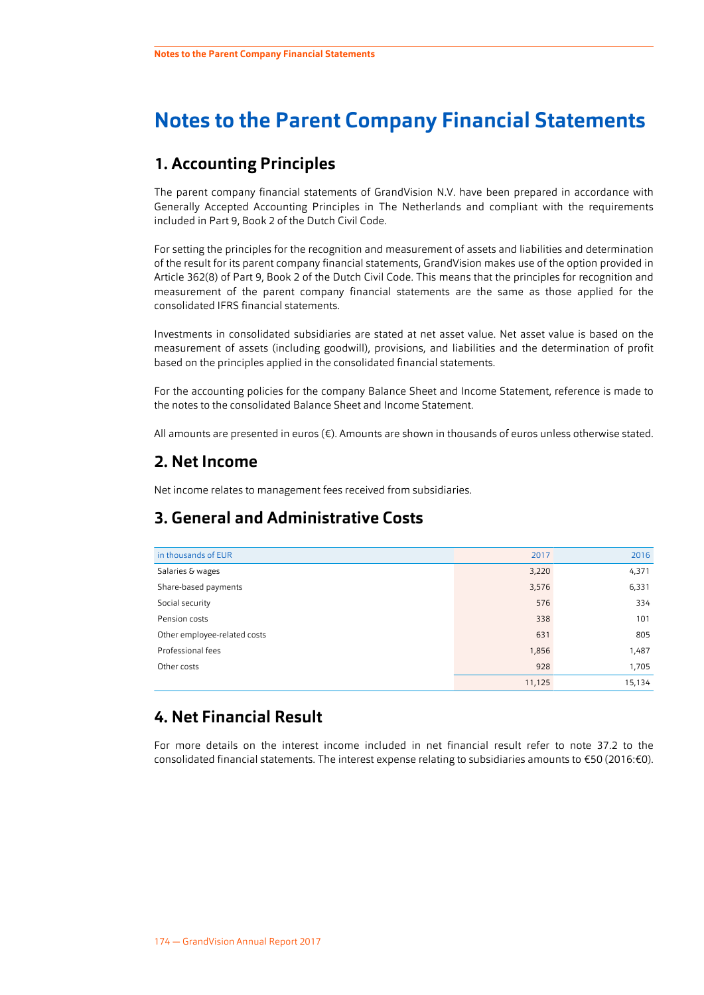## <span id="page-70-0"></span>**Notes to the Parent Company Financial Statements**

## **1. Accounting Principles**

The parent company financial statements of GrandVision N.V. have been prepared in accordance with Generally Accepted Accounting Principles in The Netherlands and compliant with the requirements included in Part 9, Book 2 of the Dutch Civil Code.

For setting the principles for the recognition and measurement of assets and liabilities and determination of the result for its parent company financial statements, GrandVision makes use of the option provided in Article 362(8) of Part 9, Book 2 of the Dutch Civil Code. This means that the principles for recognition and measurement of the parent company financial statements are the same as those applied for the consolidated IFRS financial statements.

Investments in consolidated subsidiaries are stated at net asset value. Net asset value is based on the measurement of assets (including goodwill), provisions, and liabilities and the determination of profit based on the principles applied in the consolidated financial statements.

For the accounting policies for the company Balance Sheet and Income Statement, reference is made to the notes to the consolidated Balance Sheet and Income Statement.

All amounts are presented in euros (€). Amounts are shown in thousands of euros unless otherwise stated.

## **2. Net Income**

Net income relates to management fees received from subsidiaries.

## **3. General and Administrative Costs**

| in thousands of EUR          | 2017   | 2016   |
|------------------------------|--------|--------|
| Salaries & wages             | 3,220  | 4,371  |
| Share-based payments         | 3,576  | 6,331  |
| Social security              | 576    | 334    |
| Pension costs                | 338    | 101    |
| Other employee-related costs | 631    | 805    |
| Professional fees            | 1,856  | 1,487  |
| Other costs                  | 928    | 1,705  |
|                              | 11,125 | 15,134 |

## **4. Net Financial Result**

For more details on the interest income included in net financial result refer to note [37.2](#page-63-0) to the consolidated financial statements. The interest expense relating to subsidiaries amounts to €50 (2016:€0).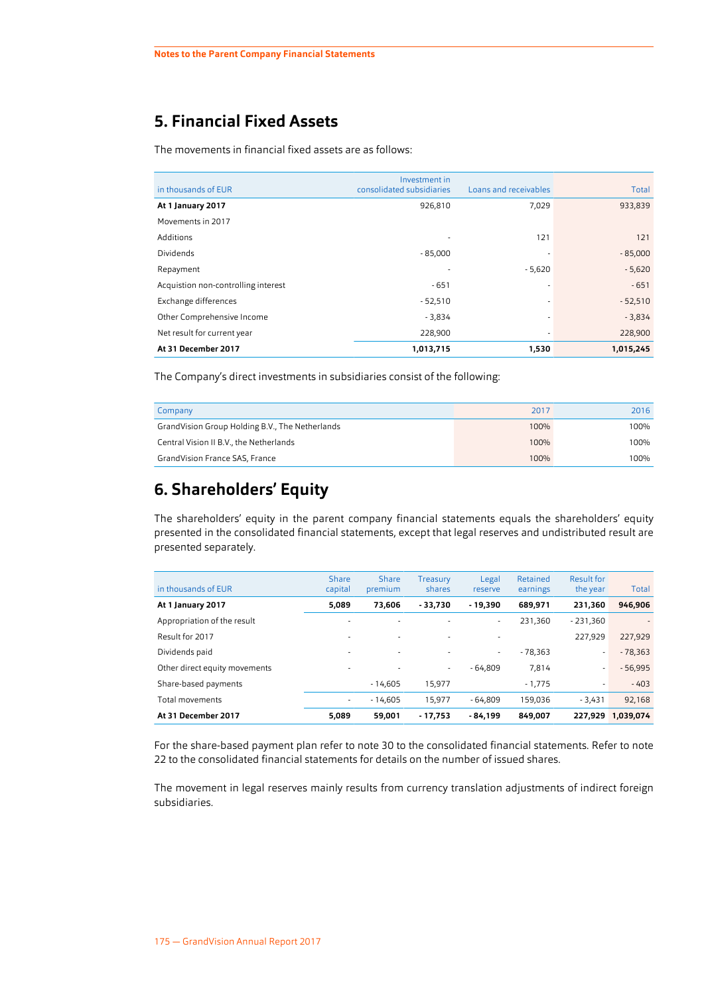## <span id="page-71-0"></span>**5. Financial Fixed Assets**

The movements in financial fixed assets are as follows:

|                                     | Investment in             |                          |           |
|-------------------------------------|---------------------------|--------------------------|-----------|
| in thousands of EUR                 | consolidated subsidiaries | Loans and receivables    | Total     |
| At 1 January 2017                   | 926,810                   | 7,029                    | 933,839   |
| Movements in 2017                   |                           |                          |           |
| Additions                           | ۰                         | 121                      | 121       |
| <b>Dividends</b>                    | $-85,000$                 |                          | $-85,000$ |
| Repayment                           | ۰                         | $-5,620$                 | $-5,620$  |
| Acquistion non-controlling interest | $-651$                    |                          | $-651$    |
| Exchange differences                | $-52,510$                 |                          | $-52,510$ |
| Other Comprehensive Income          | $-3,834$                  |                          | $-3,834$  |
| Net result for current year         | 228,900                   | $\overline{\phantom{a}}$ | 228,900   |
| At 31 December 2017                 | 1,013,715                 | 1,530                    | 1,015,245 |

The Company's direct investments in subsidiaries consist of the following:

| Company                                         | 2017 | 2016 |
|-------------------------------------------------|------|------|
| GrandVision Group Holding B.V., The Netherlands | 100% | 100% |
| Central Vision II B.V., the Netherlands         | 100% | 100% |
| GrandVision France SAS, France                  | 100% | 100% |

## **6. Shareholders' Equity**

The shareholders' equity in the parent company financial statements equals the shareholders' equity presented in the consolidated financial statements, except that legal reserves and undistributed result are presented separately.

| in thousands of EUR           | Share<br>capital         | Share<br>premium         | Treasury<br>shares | Legal<br>reserve | Retained<br>earnings | Result for<br>the year | Total                    |
|-------------------------------|--------------------------|--------------------------|--------------------|------------------|----------------------|------------------------|--------------------------|
| At 1 January 2017             | 5,089                    | 73.606                   | $-33.730$          | - 19.390         | 689,971              | 231.360                | 946,906                  |
| Appropriation of the result   | $\overline{a}$           | $\overline{\phantom{a}}$ |                    | $\sim$           | 231.360              | $-231,360$             | $\overline{\phantom{a}}$ |
| Result for 2017               | $\overline{a}$           | $\overline{\phantom{a}}$ | ۰                  |                  |                      | 227.929                | 227,929                  |
| Dividends paid                | $\overline{\phantom{a}}$ | $\overline{\phantom{a}}$ | ٠                  | $\sim$           | $-78.363$            | ٠                      | $-78,363$                |
| Other direct equity movements | ٠                        | $\overline{\phantom{a}}$ | ٠                  | $-64.809$        | 7,814                | ٠                      | $-56,995$                |
| Share-based payments          |                          | $-14,605$                | 15,977             |                  | $-1,775$             | ٠                      | $-403$                   |
| Total movements               | ٠                        | $-14.605$                | 15,977             | $-64.809$        | 159.036              | $-3.431$               | 92,168                   |
| At 31 December 2017           | 5.089                    | 59.001                   | $-17.753$          | - 84.199         | 849.007              | 227.929                | 1,039,074                |

For the share-based payment plan refer to note [30](#page-56-0) to the consolidated financial statements. Refer to note [22](#page-44-0) to the consolidated financial statements for details on the number of issued shares.

The movement in legal reserves mainly results from currency translation adjustments of indirect foreign subsidiaries.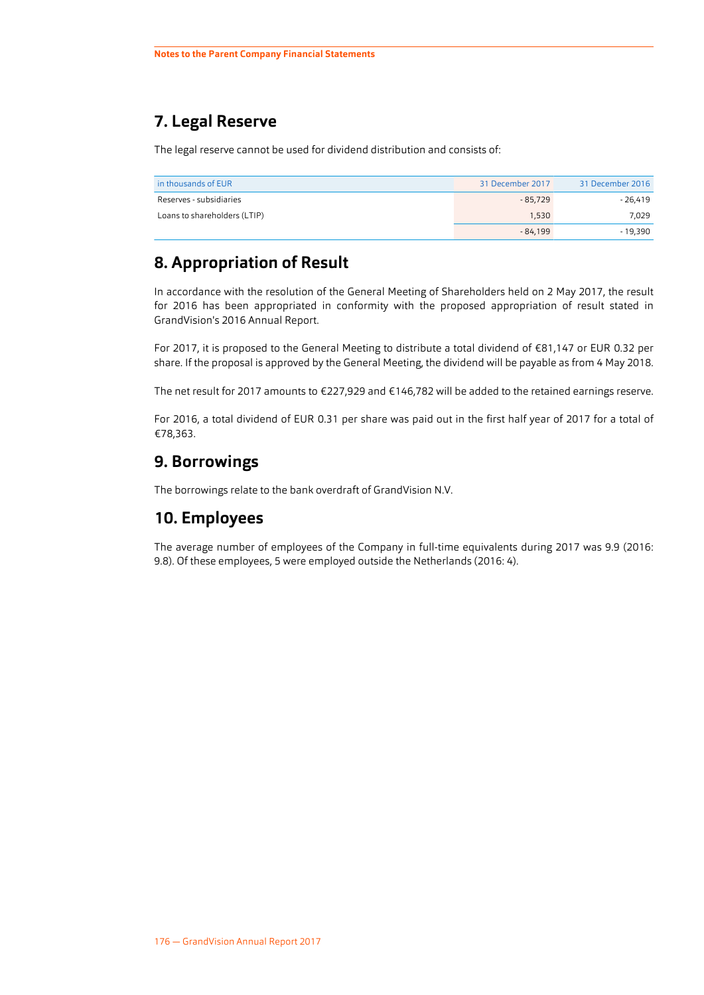## **7. Legal Reserve**

The legal reserve cannot be used for dividend distribution and consists of:

| in thousands of EUR          | 31 December 2017 | 31 December 2016 |
|------------------------------|------------------|------------------|
| Reserves - subsidiaries      | $-85.729$        | - 26.419         |
| Loans to shareholders (LTIP) | 1.530            | 7.029            |
|                              | $-84.199$        | - 19.390         |

## **8. Appropriation of Result**

In accordance with the resolution of the General Meeting of Shareholders held on 2 May 2017, the result for 2016 has been appropriated in conformity with the proposed appropriation of result stated in GrandVision's 2016 Annual Report.

For 2017, it is proposed to the General Meeting to distribute a total dividend of €81,147 or EUR 0.32 per share. If the proposal is approved by the General Meeting, the dividend will be payable as from 4 May 2018.

The net result for 2017 amounts to €227,929 and €146,782 will be added to the retained earnings reserve.

For 2016, a total dividend of EUR 0.31 per share was paid out in the first half year of 2017 for a total of €78,363.

## **9. Borrowings**

The borrowings relate to the bank overdraft of GrandVision N.V.

### **10. Employees**

The average number of employees of the Company in full-time equivalents during 2017 was 9.9 (2016: 9.8). Of these employees, 5 were employed outside the Netherlands (2016: 4).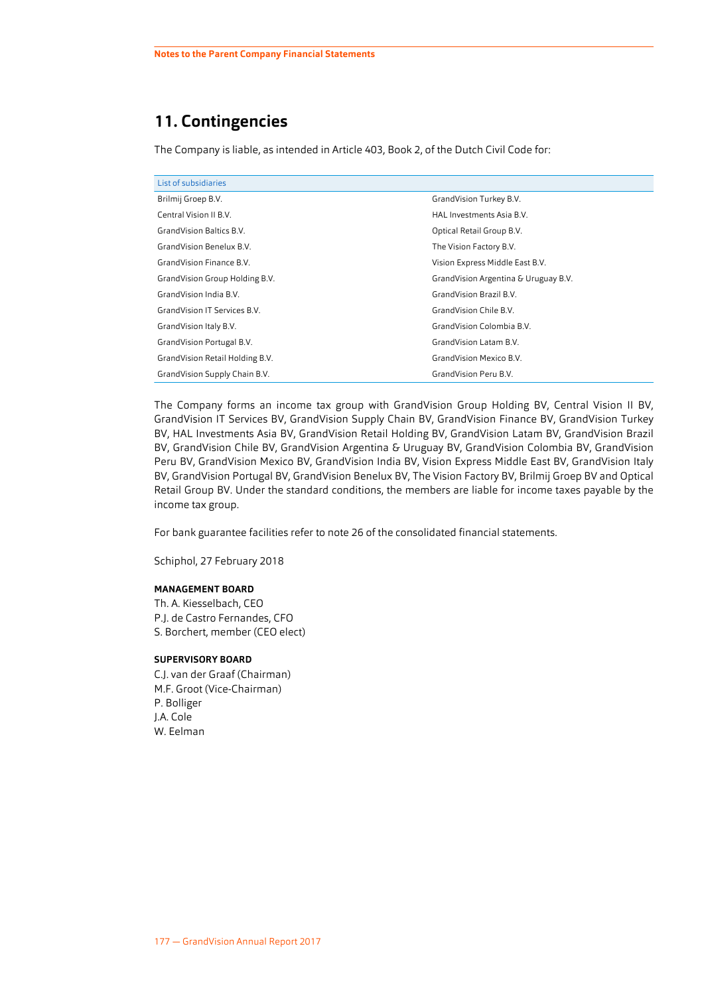## **11. Contingencies**

The Company is liable, as intended in Article 403, Book 2, of the Dutch Civil Code for:

| List of subsidiaries            |                                      |
|---------------------------------|--------------------------------------|
| Brilmij Groep B.V.              | GrandVision Turkey B.V.              |
| Central Vision II B.V.          | HAL Investments Asia B.V.            |
| GrandVision Baltics B.V.        | Optical Retail Group B.V.            |
| GrandVision Benelux B.V.        | The Vision Factory B.V.              |
| GrandVision Finance B.V.        | Vision Express Middle East B.V.      |
| GrandVision Group Holding B.V.  | GrandVision Argentina & Uruguay B.V. |
| GrandVision India B.V.          | GrandVision Brazil B.V.              |
| GrandVision IT Services B.V.    | GrandVision Chile B.V.               |
| GrandVision Italy B.V.          | GrandVision Colombia B.V.            |
| GrandVision Portugal B.V.       | GrandVision Latam B.V.               |
| GrandVision Retail Holding B.V. | GrandVision Mexico B.V.              |
| GrandVision Supply Chain B.V.   | GrandVision Peru B.V.                |

The Company forms an income tax group with GrandVision Group Holding BV, Central Vision II BV, GrandVision IT Services BV, GrandVision Supply Chain BV, GrandVision Finance BV, GrandVision Turkey BV, HAL Investments Asia BV, GrandVision Retail Holding BV, GrandVision Latam BV, GrandVision Brazil BV, GrandVision Chile BV, GrandVision Argentina & Uruguay BV, GrandVision Colombia BV, GrandVision Peru BV, GrandVision Mexico BV, GrandVision India BV, Vision Express Middle East BV, GrandVision Italy BV, GrandVision Portugal BV, GrandVision Benelux BV, The Vision Factory BV, Brilmij Groep BV and Optical Retail Group BV. Under the standard conditions, the members are liable for income taxes payable by the income tax group.

For bank guarantee facilities refer to note [26](#page-46-0) of the consolidated financial statements.

Schiphol, 27 February 2018

#### **MANAGEMENT BOARD**

Th. A. Kiesselbach, CEO P.J. de Castro Fernandes, CFO S. Borchert, member (CEO elect)

#### **SUPERVISORY BOARD**

C.J. van der Graaf (Chairman) M.F. Groot (Vice-Chairman) P. Bolliger J.A. Cole W. Eelman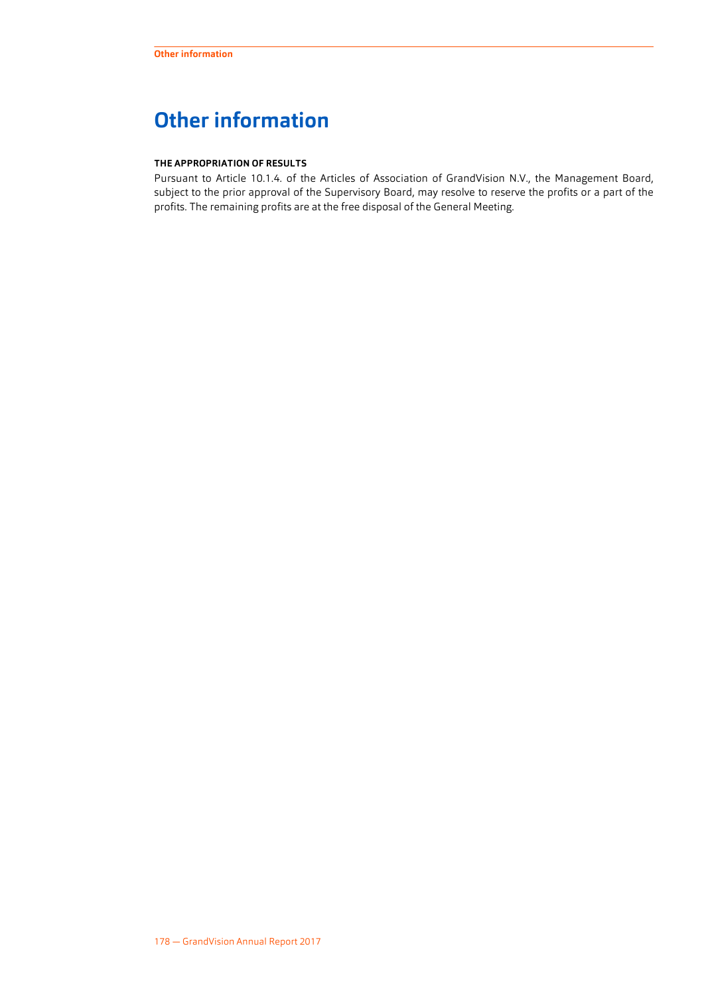# **Other information**

#### **THE APPROPRIATION OF RESULTS**

Pursuant to Article 10.1.4. of the Articles of Association of GrandVision N.V., the Management Board, subject to the prior approval of the Supervisory Board, may resolve to reserve the profits or a part of the profits. The remaining profits are at the free disposal of the General Meeting.